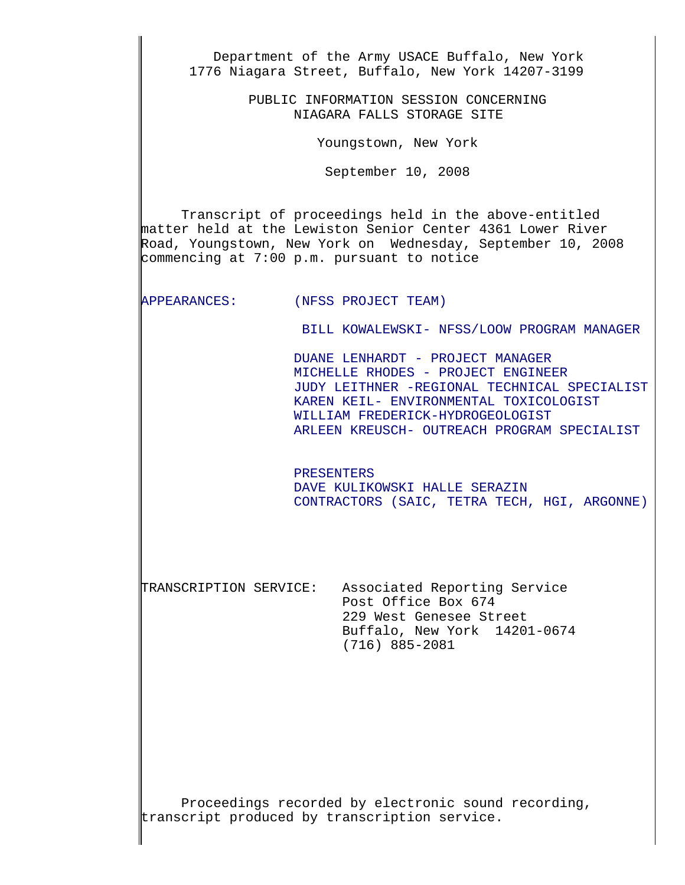Department of the Army USACE Buffalo, New York 1776 Niagara Street, Buffalo, New York 14207-3199 PUBLIC INFORMATION SESSION CONCERNING NIAGARA FALLS STORAGE SITE Youngstown, New York September 10, 2008 Transcript of proceedings held in the above-entitled matter held at the Lewiston Senior Center 4361 Lower River Road, Youngstown, New York on Wednesday, September 10, 2008 commencing at 7:00 p.m. pursuant to notice APPEARANCES: (NFSS PROJECT TEAM)  $\mathbf{L}$  BILL KOWALEWSKI- NFSS/LOOW PROGRAM MANAGER  $\mathbf{L}$  DUANE LENHARDT - PROJECT MANAGER MICHELLE RHODES - PROJECT ENGINEER JUDY LEITHNER -REGIONAL TECHNICAL SPECIALIST KAREN KEIL- ENVIRONMENTAL TOXICOLOGIST WILLIAM FREDERICK-HYDROGEOLOGIST ARLEEN KREUSCH- OUTREACH PROGRAM SPECIALIST PRESENTERS DAVE KULIKOWSKI HALLE SERAZIN CONTRACTORS (SAIC, TETRA TECH, HGI, ARGONNE) TRANSCRIPTION SERVICE: Associated Reporting Service Post Office Box 674 229 West Genesee Street Buffalo, New York 14201-0674 (716) 885-2081

Proceedings recorded by electronic sound recording, transcript produced by transcription service.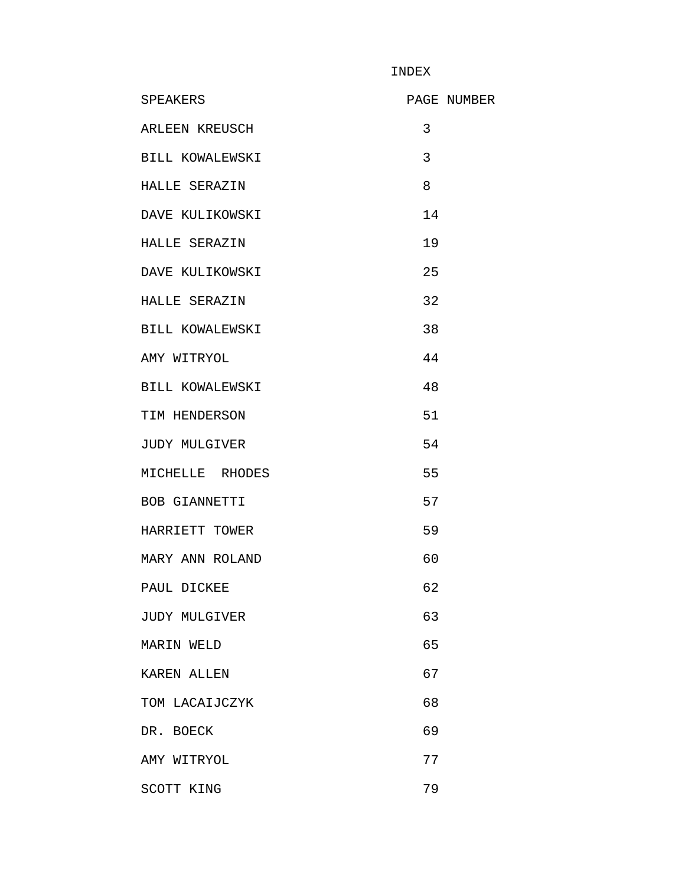INDEX

| <b>SPEAKERS</b>      | PAGE NUMBER |
|----------------------|-------------|
| ARLEEN KREUSCH       | 3           |
| BILL KOWALEWSKI      | 3           |
| HALLE SERAZIN        | 8           |
| DAVE KULIKOWSKI      | 14          |
| HALLE SERAZIN        | 19          |
| DAVE KULIKOWSKI      | 25          |
| HALLE SERAZIN        | 32          |
| BILL KOWALEWSKI      | 38          |
| AMY WITRYOL          | 44          |
| BILL KOWALEWSKI      | 48          |
| TIM HENDERSON        | 51          |
| JUDY MULGIVER        | 54          |
| MICHELLE RHODES      | 55          |
| BOB GIANNETTI        | 57          |
| HARRIETT TOWER       | 59          |
| MARY ANN ROLAND      | 60          |
| PAUL DICKEE          | 62          |
| <b>JUDY MULGIVER</b> | 63          |
| MARIN WELD           | 65          |
| KAREN ALLEN          | 67          |
| TOM LACAIJCZYK       | 68          |
| DR. BOECK            | 69          |
| AMY WITRYOL          | 77          |
| SCOTT KING           | 79          |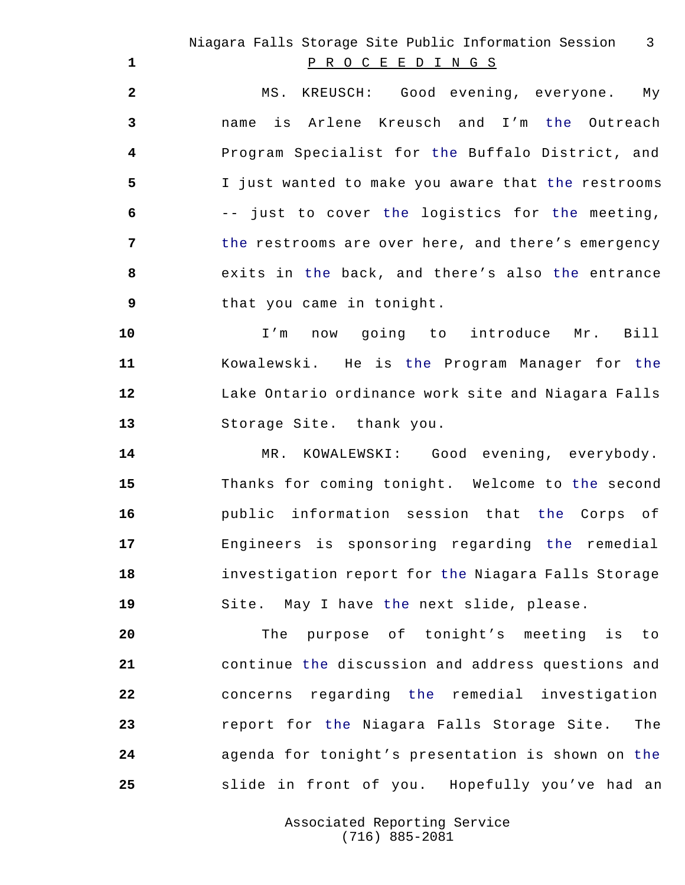MS. KREUSCH: Good evening, everyone. My name is Arlene Kreusch and I'm the Outreach Program Specialist for the Buffalo District, and I just wanted to make you aware that the restrooms -- just to cover the logistics for the meeting, the restrooms are over here, and there's emergency exits in the back, and there's also the entrance that you came in tonight.

 I'm now going to introduce Mr. Bill Kowalewski. He is the Program Manager for the Lake Ontario ordinance work site and Niagara Falls Storage Site. thank you.

14 MR. KOWALEWSKI: Good evening, everybody. Thanks for coming tonight. Welcome to the second public information session that the Corps of Engineers is sponsoring regarding the remedial investigation report for the Niagara Falls Storage Site. May I have the next slide, please.

 The purpose of tonight's meeting is to continue the discussion and address questions and concerns regarding the remedial investigation report for the Niagara Falls Storage Site. The agenda for tonight's presentation is shown on the slide in front of you. Hopefully you've had an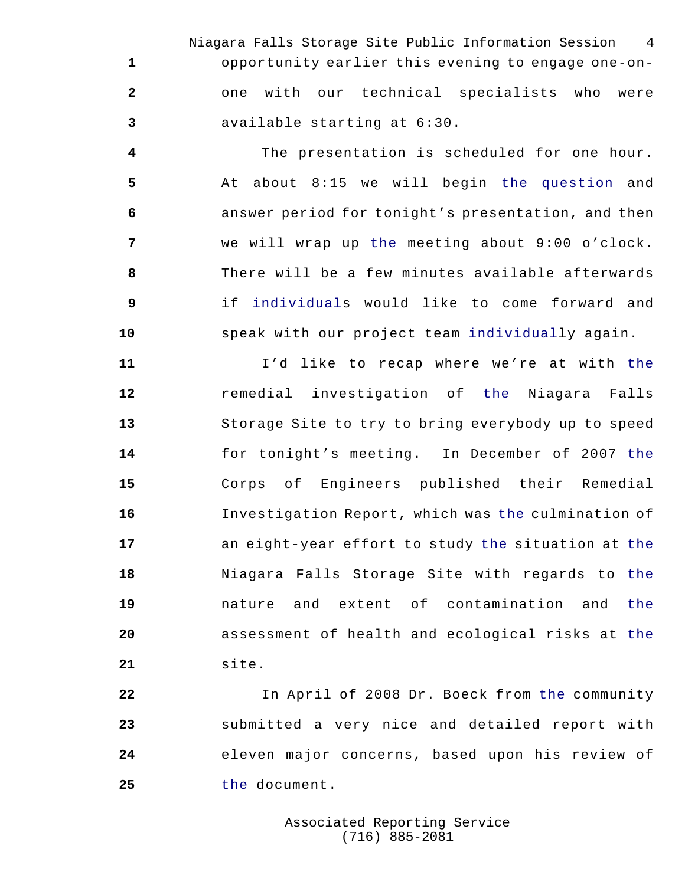Niagara Falls Storage Site Public Information Session 4 opportunity earlier this evening to engage one-on- one with our technical specialists who were available starting at 6:30.

 The presentation is scheduled for one hour. At about 8:15 we will begin the question and answer period for tonight's presentation, and then we will wrap up the meeting about 9:00 o'clock. There will be a few minutes available afterwards if individuals would like to come forward and speak with our project team individually again.

 I'd like to recap where we're at with the remedial investigation of the Niagara Falls Storage Site to try to bring everybody up to speed for tonight's meeting. In December of 2007 the Corps of Engineers published their Remedial Investigation Report, which was the culmination of an eight-year effort to study the situation at the Niagara Falls Storage Site with regards to the nature and extent of contamination and the assessment of health and ecological risks at the site.

 In April of 2008 Dr. Boeck from the community submitted a very nice and detailed report with eleven major concerns, based upon his review of the document.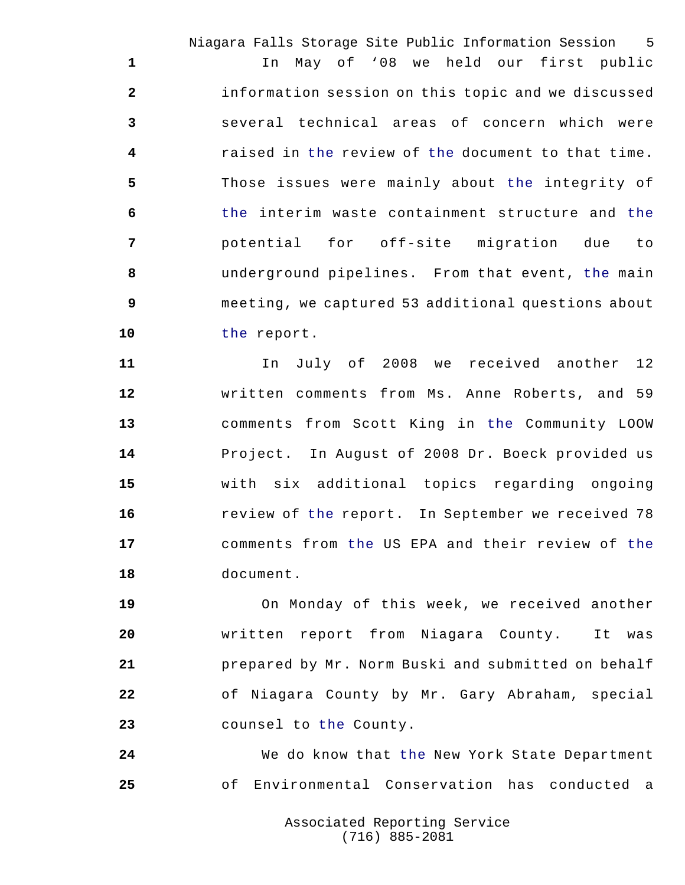Niagara Falls Storage Site Public Information Session 5 In May of '08 we held our first public information session on this topic and we discussed several technical areas of concern which were raised in the review of the document to that time. Those issues were mainly about the integrity of the interim waste containment structure and the potential for off-site migration due to underground pipelines. From that event, the main meeting, we captured 53 additional questions about the report.

 In July of 2008 we received another 12 written comments from Ms. Anne Roberts, and 59 comments from Scott King in the Community LOOW Project. In August of 2008 Dr. Boeck provided us with six additional topics regarding ongoing review of the report. In September we received 78 comments from the US EPA and their review of the document.

 On Monday of this week, we received another written report from Niagara County. It was prepared by Mr. Norm Buski and submitted on behalf of Niagara County by Mr. Gary Abraham, special counsel to the County.

 We do know that the New York State Department of Environmental Conservation has conducted a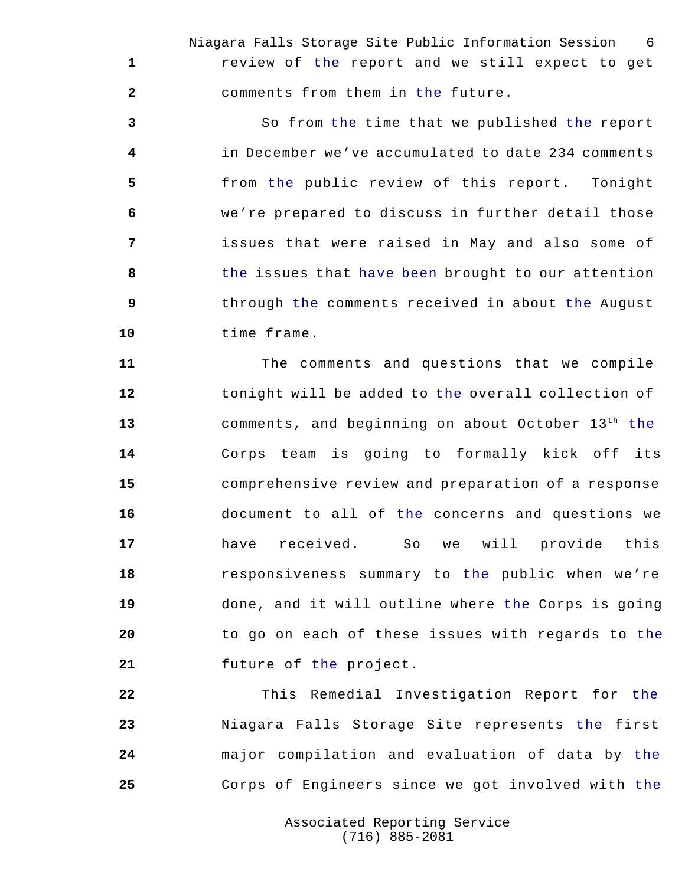Niagara Falls Storage Site Public Information Session 6 review of the report and we still expect to get comments from them in the future.

 So from the time that we published the report in December we've accumulated to date 234 comments from the public review of this report. Tonight we're prepared to discuss in further detail those issues that were raised in May and also some of the issues that have been brought to our attention through the comments received in about the August time frame.

 The comments and questions that we compile tonight will be added to the overall collection of 13 comments, and beginning on about October 13<sup>th</sup> the Corps team is going to formally kick off its comprehensive review and preparation of a response document to all of the concerns and questions we have received. So we will provide this responsiveness summary to the public when we're done, and it will outline where the Corps is going to go on each of these issues with regards to the future of the project.

 This Remedial Investigation Report for the Niagara Falls Storage Site represents the first major compilation and evaluation of data by the Corps of Engineers since we got involved with the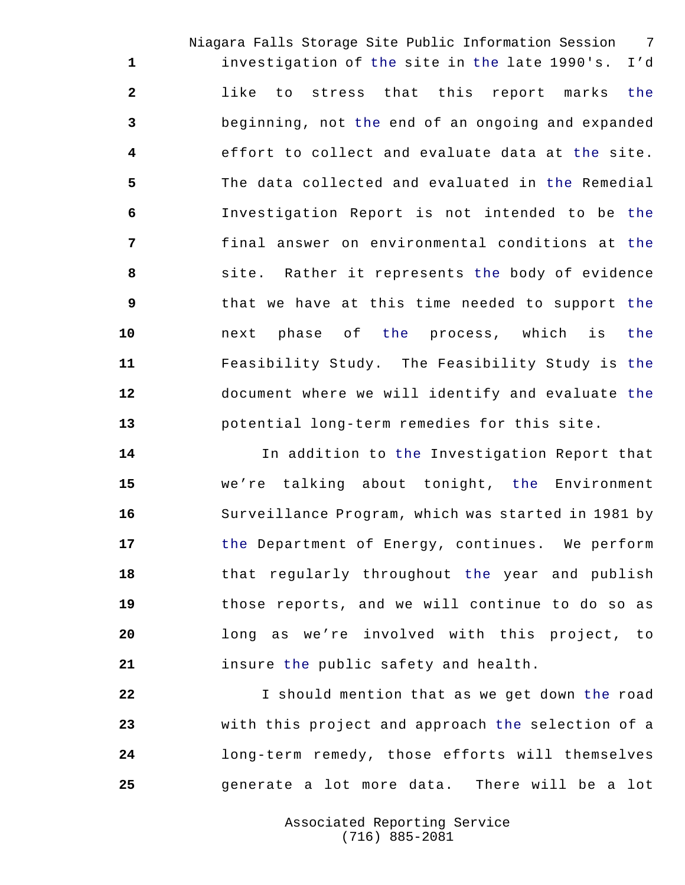Niagara Falls Storage Site Public Information Session 7 investigation of the site in the late 1990's. I'd like to stress that this report marks the beginning, not the end of an ongoing and expanded effort to collect and evaluate data at the site. The data collected and evaluated in the Remedial Investigation Report is not intended to be the final answer on environmental conditions at the site. Rather it represents the body of evidence that we have at this time needed to support the next phase of the process, which is the Feasibility Study. The Feasibility Study is the document where we will identify and evaluate the potential long-term remedies for this site.

 In addition to the Investigation Report that we're talking about tonight, the Environment Surveillance Program, which was started in 1981 by the Department of Energy, continues. We perform that regularly throughout the year and publish those reports, and we will continue to do so as long as we're involved with this project, to insure the public safety and health.

 I should mention that as we get down the road with this project and approach the selection of a long-term remedy, those efforts will themselves generate a lot more data. There will be a lot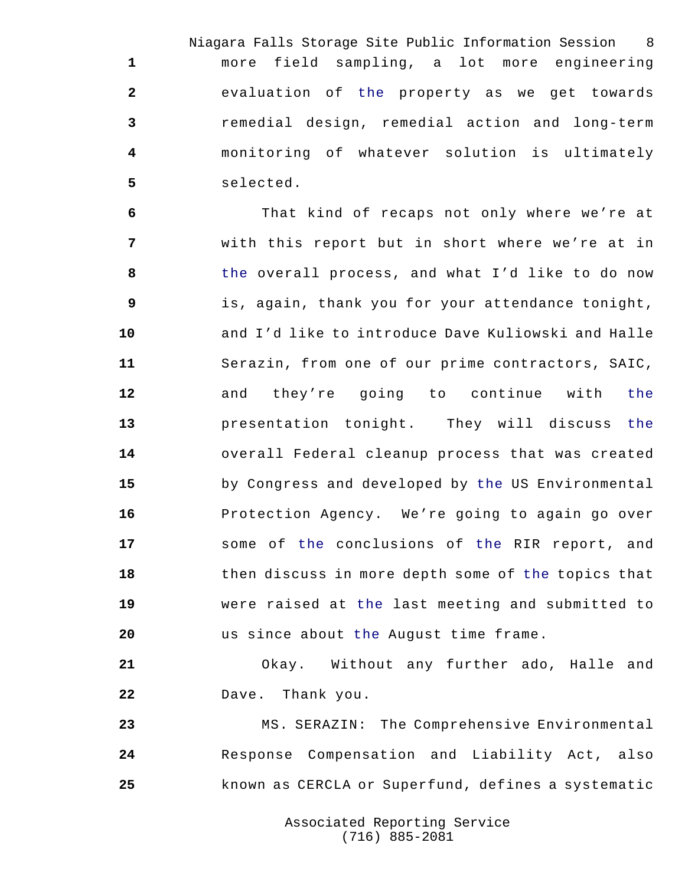Niagara Falls Storage Site Public Information Session 8 more field sampling, a lot more engineering evaluation of the property as we get towards remedial design, remedial action and long-term monitoring of whatever solution is ultimately selected.

 That kind of recaps not only where we're at with this report but in short where we're at in the overall process, and what I'd like to do now is, again, thank you for your attendance tonight, and I'd like to introduce Dave Kuliowski and Halle Serazin, from one of our prime contractors, SAIC, and they're going to continue with the presentation tonight. They will discuss the overall Federal cleanup process that was created by Congress and developed by the US Environmental Protection Agency. We're going to again go over some of the conclusions of the RIR report, and then discuss in more depth some of the topics that were raised at the last meeting and submitted to us since about the August time frame.

 Okay. Without any further ado, Halle and Dave. Thank you.

 MS. SERAZIN: The Comprehensive Environmental Response Compensation and Liability Act, also known as CERCLA or Superfund, defines a systematic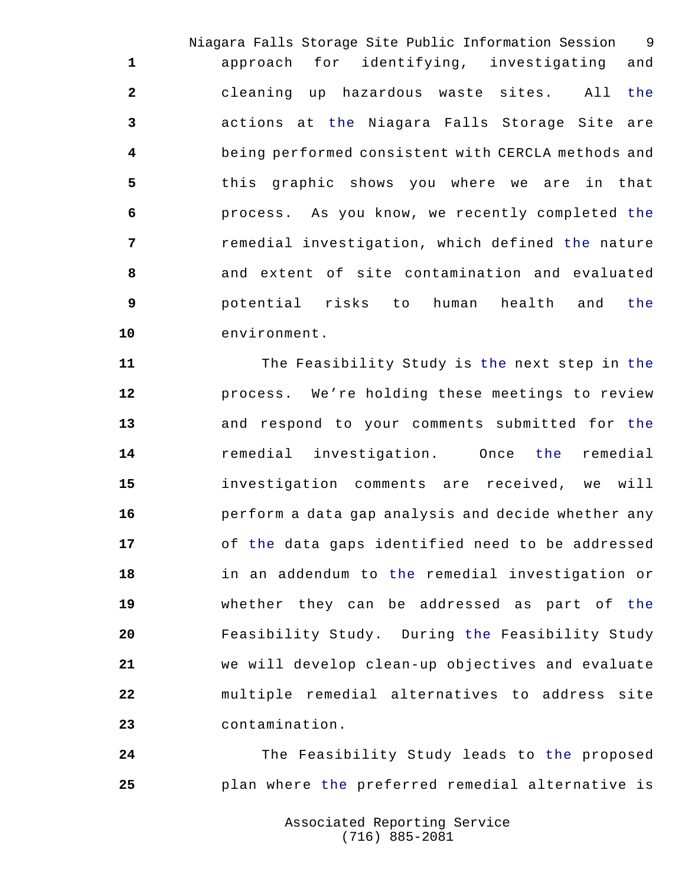Niagara Falls Storage Site Public Information Session 9 approach for identifying, investigating and cleaning up hazardous waste sites. All the actions at the Niagara Falls Storage Site are being performed consistent with CERCLA methods and this graphic shows you where we are in that process. As you know, we recently completed the remedial investigation, which defined the nature and extent of site contamination and evaluated potential risks to human health and the environment.

 The Feasibility Study is the next step in the process. We're holding these meetings to review and respond to your comments submitted for the remedial investigation. Once the remedial investigation comments are received, we will perform a data gap analysis and decide whether any of the data gaps identified need to be addressed in an addendum to the remedial investigation or whether they can be addressed as part of the Feasibility Study. During the Feasibility Study we will develop clean-up objectives and evaluate multiple remedial alternatives to address site contamination.

 The Feasibility Study leads to the proposed plan where the preferred remedial alternative is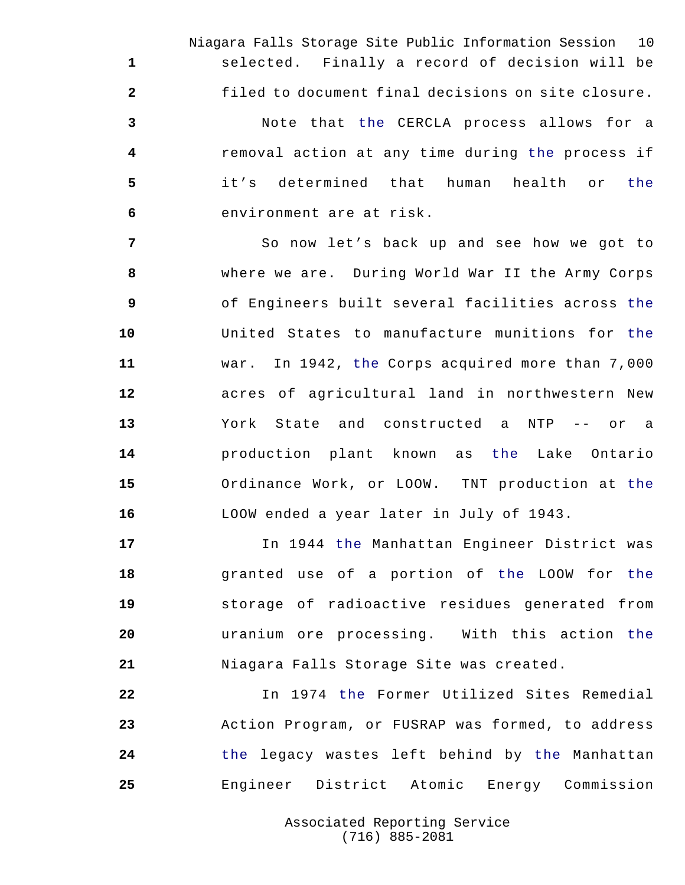Niagara Falls Storage Site Public Information Session 10 selected. Finally a record of decision will be filed to document final decisions on site closure. Note that the CERCLA process allows for a removal action at any time during the process if

 it's determined that human health or the environment are at risk.

 So now let's back up and see how we got to where we are. During World War II the Army Corps of Engineers built several facilities across the United States to manufacture munitions for the war. In 1942, the Corps acquired more than 7,000 acres of agricultural land in northwestern New York State and constructed a NTP -- or a production plant known as the Lake Ontario Ordinance Work, or LOOW. TNT production at the LOOW ended a year later in July of 1943.

 In 1944 the Manhattan Engineer District was granted use of a portion of the LOOW for the storage of radioactive residues generated from uranium ore processing. With this action the Niagara Falls Storage Site was created.

 In 1974 the Former Utilized Sites Remedial Action Program, or FUSRAP was formed, to address the legacy wastes left behind by the Manhattan Engineer District Atomic Energy Commission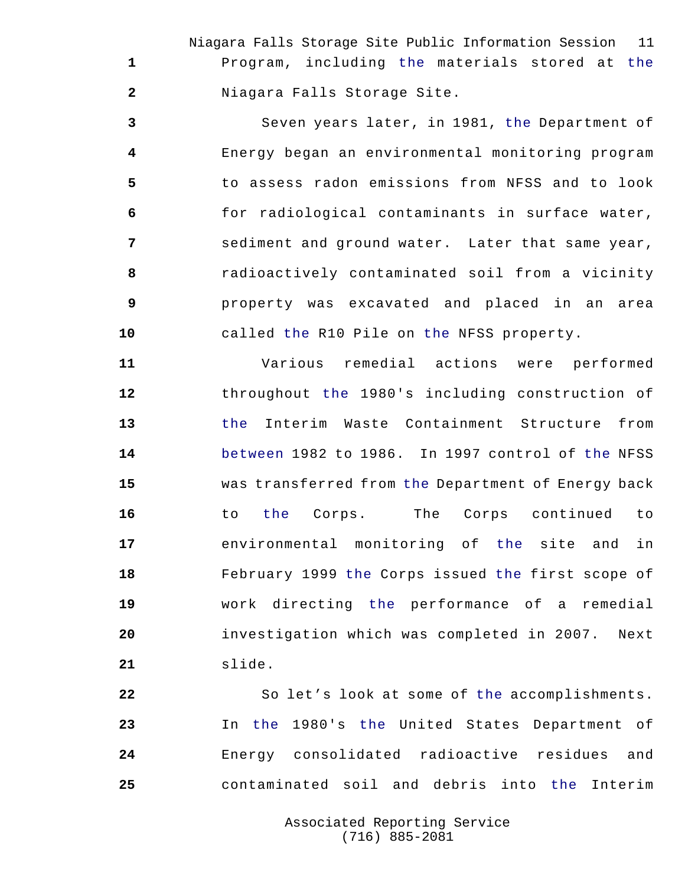Niagara Falls Storage Site Public Information Session 11 Program, including the materials stored at the Niagara Falls Storage Site.

 Seven years later, in 1981, the Department of Energy began an environmental monitoring program to assess radon emissions from NFSS and to look for radiological contaminants in surface water, sediment and ground water. Later that same year, radioactively contaminated soil from a vicinity property was excavated and placed in an area called the R10 Pile on the NFSS property.

 Various remedial actions were performed throughout the 1980's including construction of the Interim Waste Containment Structure from between 1982 to 1986. In 1997 control of the NFSS was transferred from the Department of Energy back to the Corps. The Corps continued to environmental monitoring of the site and in February 1999 the Corps issued the first scope of work directing the performance of a remedial investigation which was completed in 2007. Next slide.

 So let's look at some of the accomplishments. In the 1980's the United States Department of Energy consolidated radioactive residues and contaminated soil and debris into the Interim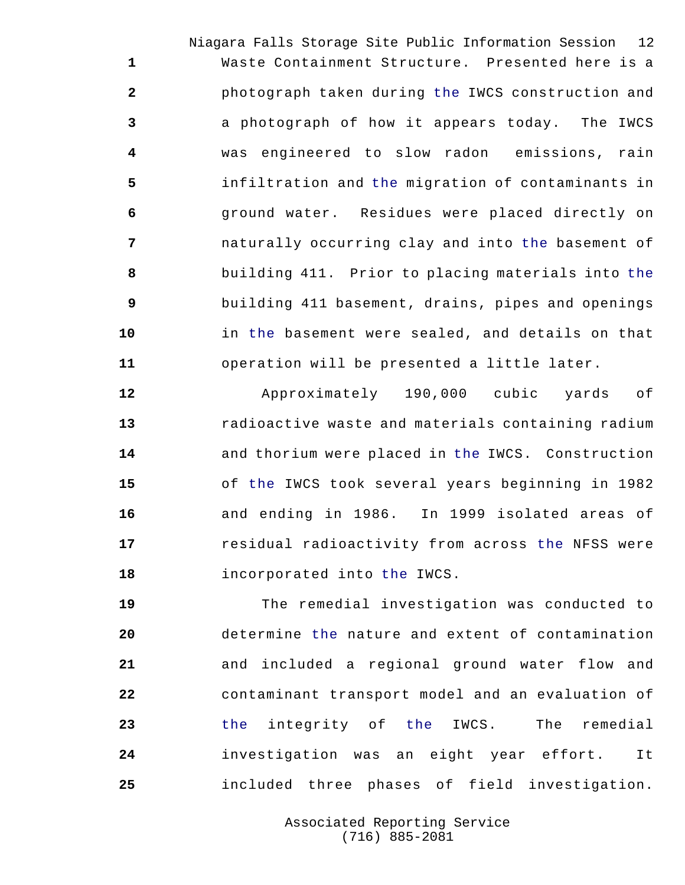Niagara Falls Storage Site Public Information Session 12 Waste Containment Structure. Presented here is a photograph taken during the IWCS construction and a photograph of how it appears today. The IWCS was engineered to slow radon emissions, rain infiltration and the migration of contaminants in ground water. Residues were placed directly on naturally occurring clay and into the basement of building 411. Prior to placing materials into the building 411 basement, drains, pipes and openings in the basement were sealed, and details on that operation will be presented a little later.

 Approximately 190,000 cubic yards of radioactive waste and materials containing radium and thorium were placed in the IWCS. Construction of the IWCS took several years beginning in 1982 and ending in 1986. In 1999 isolated areas of residual radioactivity from across the NFSS were incorporated into the IWCS.

 The remedial investigation was conducted to determine the nature and extent of contamination and included a regional ground water flow and contaminant transport model and an evaluation of the integrity of the IWCS. The remedial investigation was an eight year effort. It included three phases of field investigation.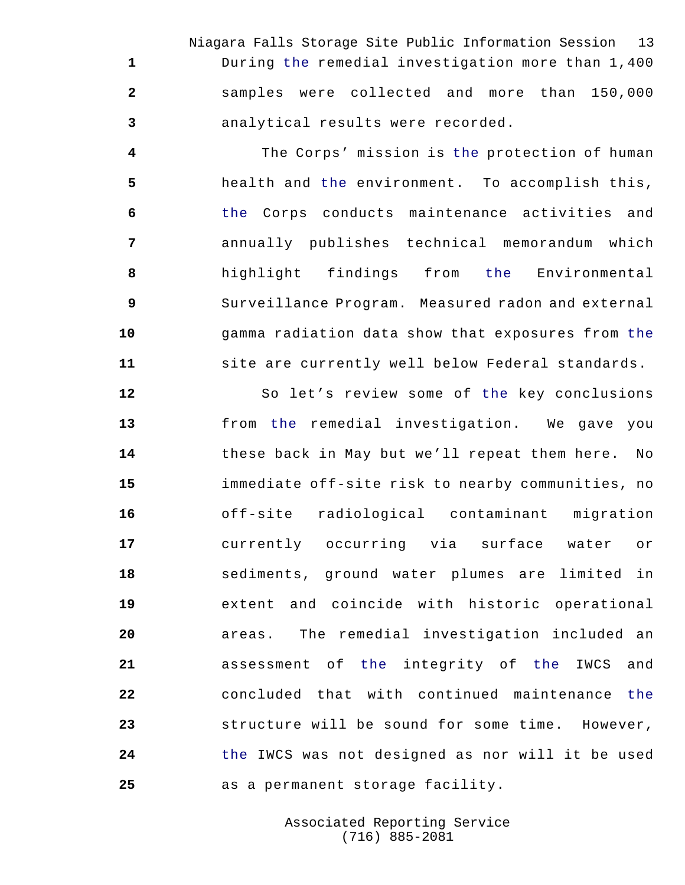Niagara Falls Storage Site Public Information Session 13 During the remedial investigation more than 1,400 samples were collected and more than 150,000 analytical results were recorded.

 The Corps' mission is the protection of human health and the environment. To accomplish this, the Corps conducts maintenance activities and annually publishes technical memorandum which highlight findings from the Environmental Surveillance Program. Measured radon and external gamma radiation data show that exposures from the site are currently well below Federal standards.

 So let's review some of the key conclusions from the remedial investigation. We gave you these back in May but we'll repeat them here. No immediate off-site risk to nearby communities, no off-site radiological contaminant migration currently occurring via surface water or sediments, ground water plumes are limited in extent and coincide with historic operational areas. The remedial investigation included an assessment of the integrity of the IWCS and concluded that with continued maintenance the structure will be sound for some time. However, the IWCS was not designed as nor will it be used as a permanent storage facility.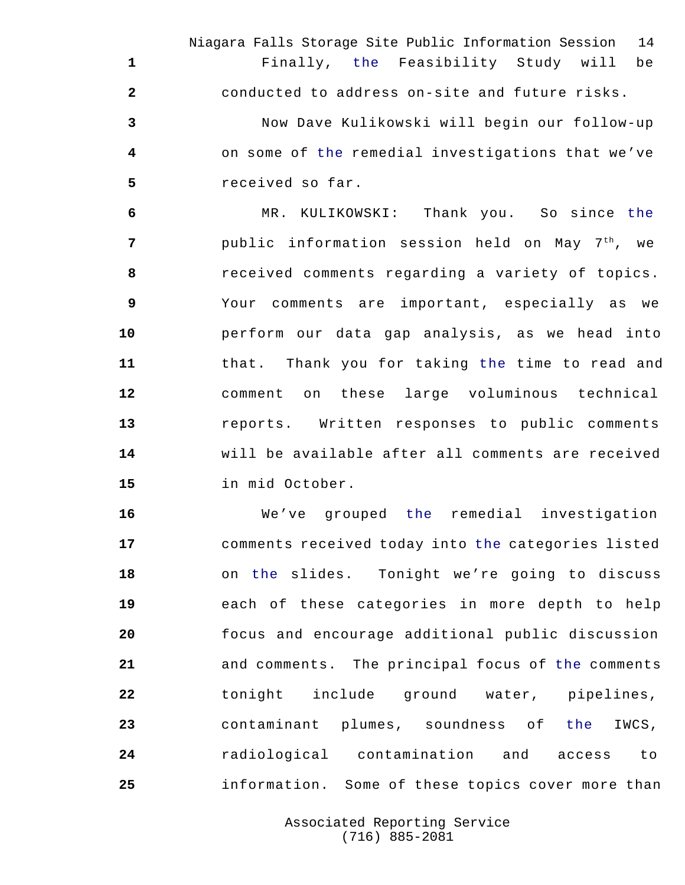Niagara Falls Storage Site Public Information Session 14 Finally, the Feasibility Study will be conducted to address on-site and future risks. Now Dave Kulikowski will begin our follow-up on some of the remedial investigations that we've received so far.

 MR. KULIKOWSKI: Thank you. So since the public information session held on May 7 th , we received comments regarding a variety of topics. Your comments are important, especially as we perform our data gap analysis, as we head into that. Thank you for taking the time to read and comment on these large voluminous technical reports. Written responses to public comments will be available after all comments are received in mid October.

 We've grouped the remedial investigation comments received today into the categories listed on the slides. Tonight we're going to discuss each of these categories in more depth to help focus and encourage additional public discussion and comments. The principal focus of the comments tonight include ground water, pipelines, contaminant plumes, soundness of the IWCS, radiological contamination and access to information. Some of these topics cover more than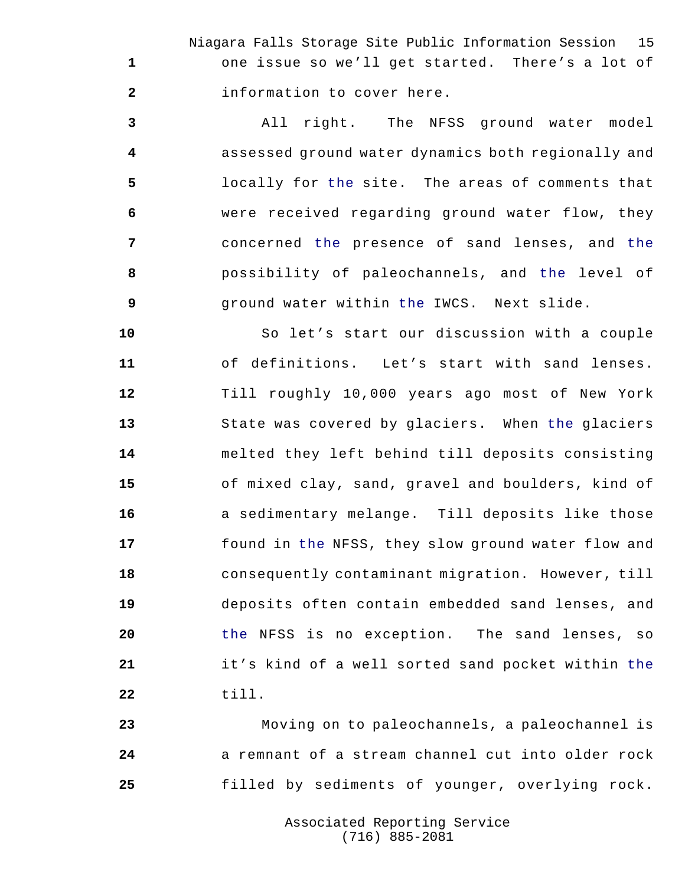Niagara Falls Storage Site Public Information Session 15 one issue so we'll get started. There's a lot of information to cover here.

 All right. The NFSS ground water model assessed ground water dynamics both regionally and locally for the site. The areas of comments that were received regarding ground water flow, they concerned the presence of sand lenses, and the possibility of paleochannels, and the level of ground water within the IWCS. Next slide.

 So let's start our discussion with a couple of definitions. Let's start with sand lenses. Till roughly 10,000 years ago most of New York State was covered by glaciers. When the glaciers melted they left behind till deposits consisting of mixed clay, sand, gravel and boulders, kind of a sedimentary melange. Till deposits like those found in the NFSS, they slow ground water flow and consequently contaminant migration. However, till deposits often contain embedded sand lenses, and the NFSS is no exception. The sand lenses, so it's kind of a well sorted sand pocket within the till.

 Moving on to paleochannels, a paleochannel is a remnant of a stream channel cut into older rock filled by sediments of younger, overlying rock.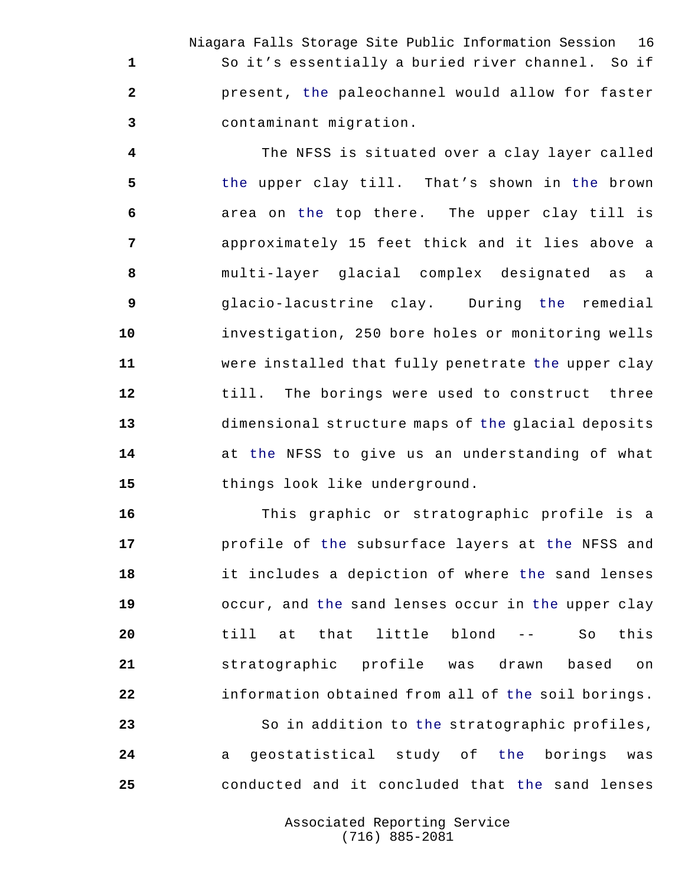Niagara Falls Storage Site Public Information Session 16 So it's essentially a buried river channel. So if present, the paleochannel would allow for faster contaminant migration.

 The NFSS is situated over a clay layer called the upper clay till. That's shown in the brown area on the top there. The upper clay till is approximately 15 feet thick and it lies above a multi-layer glacial complex designated as a glacio-lacustrine clay. During the remedial investigation, 250 bore holes or monitoring wells were installed that fully penetrate the upper clay till. The borings were used to construct three dimensional structure maps of the glacial deposits at the NFSS to give us an understanding of what things look like underground.

 This graphic or stratographic profile is a profile of the subsurface layers at the NFSS and it includes a depiction of where the sand lenses occur, and the sand lenses occur in the upper clay till at that little blond -- So this stratographic profile was drawn based on information obtained from all of the soil borings. So in addition to the stratographic profiles, a geostatistical study of the borings was

> Associated Reporting Service (716) 885-2081

conducted and it concluded that the sand lenses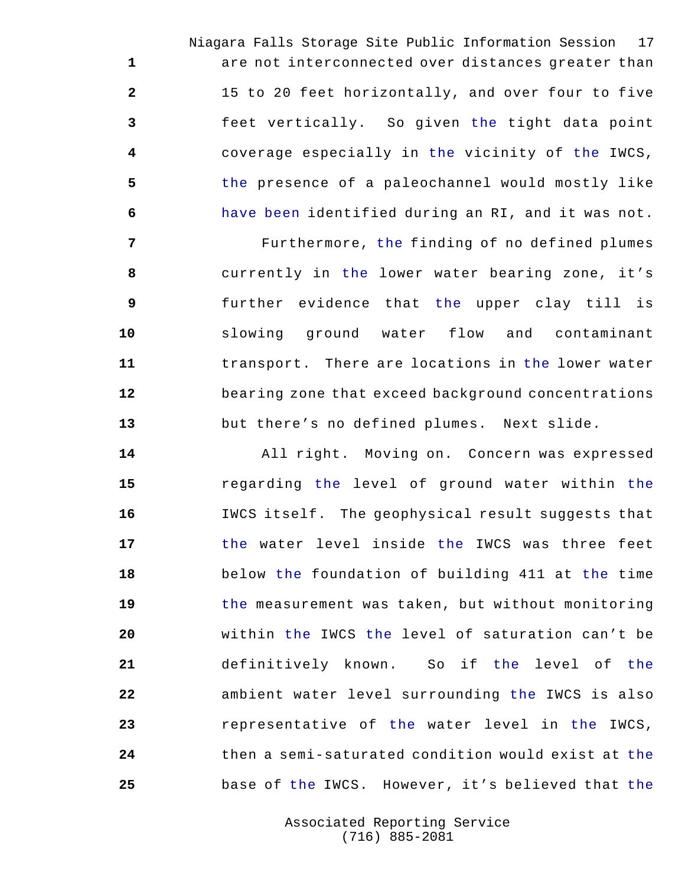Niagara Falls Storage Site Public Information Session 17 are not interconnected over distances greater than 15 to 20 feet horizontally, and over four to five feet vertically. So given the tight data point coverage especially in the vicinity of the IWCS, the presence of a paleochannel would mostly like have been identified during an RI, and it was not.

 Furthermore, the finding of no defined plumes currently in the lower water bearing zone, it's further evidence that the upper clay till is slowing ground water flow and contaminant transport. There are locations in the lower water bearing zone that exceed background concentrations but there's no defined plumes. Next slide.

 All right. Moving on. Concern was expressed regarding the level of ground water within the IWCS itself. The geophysical result suggests that the water level inside the IWCS was three feet below the foundation of building 411 at the time the measurement was taken, but without monitoring within the IWCS the level of saturation can't be definitively known. So if the level of the ambient water level surrounding the IWCS is also representative of the water level in the IWCS, then a semi-saturated condition would exist at the base of the IWCS. However, it's believed that the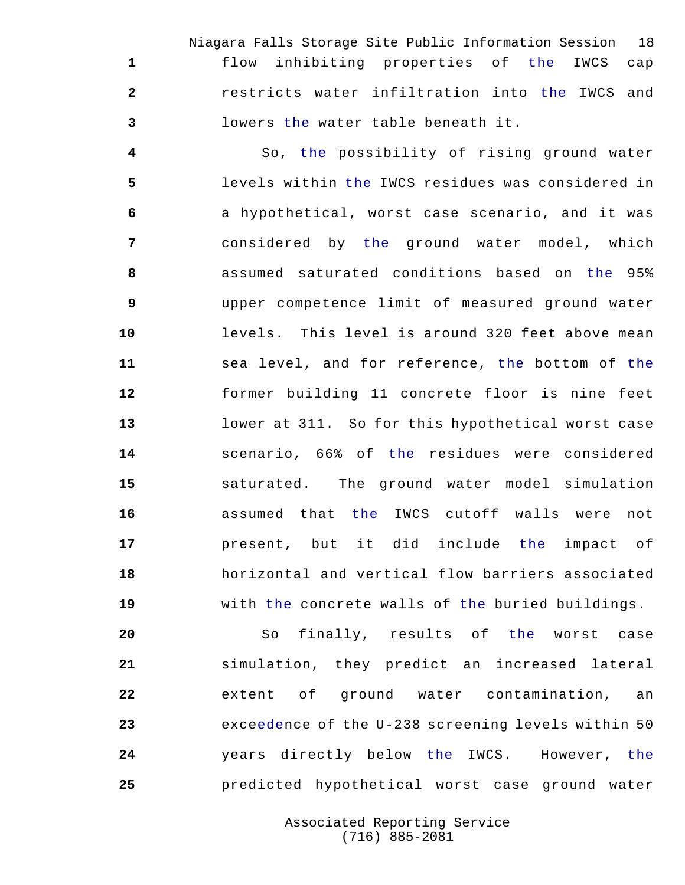Niagara Falls Storage Site Public Information Session 18 flow inhibiting properties of the IWCS cap restricts water infiltration into the IWCS and lowers the water table beneath it.

 So, the possibility of rising ground water levels within the IWCS residues was considered in a hypothetical, worst case scenario, and it was considered by the ground water model, which assumed saturated conditions based on the 95% upper competence limit of measured ground water levels. This level is around 320 feet above mean sea level, and for reference, the bottom of the former building 11 concrete floor is nine feet lower at 311. So for this hypothetical worst case scenario, 66% of the residues were considered saturated. The ground water model simulation assumed that the IWCS cutoff walls were not present, but it did include the impact of horizontal and vertical flow barriers associated with the concrete walls of the buried buildings.

 So finally, results of the worst case simulation, they predict an increased lateral extent of ground water contamination, an exceedence of the U-238 screening levels within 50 years directly below the IWCS. However, the predicted hypothetical worst case ground water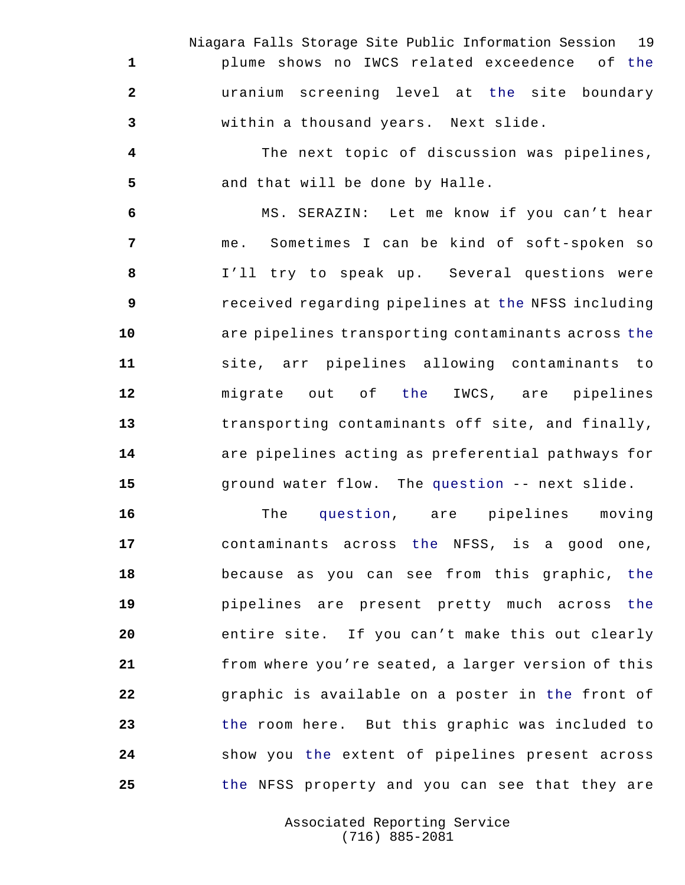Niagara Falls Storage Site Public Information Session 19 plume shows no IWCS related exceedence of the uranium screening level at the site boundary within a thousand years. Next slide.

 The next topic of discussion was pipelines, and that will be done by Halle.

 MS. SERAZIN: Let me know if you can't hear me. Sometimes I can be kind of soft-spoken so I'll try to speak up. Several questions were received regarding pipelines at the NFSS including are pipelines transporting contaminants across the site, arr pipelines allowing contaminants to migrate out of the IWCS, are pipelines transporting contaminants off site, and finally, are pipelines acting as preferential pathways for ground water flow. The question -- next slide.

 The question, are pipelines moving contaminants across the NFSS, is a good one, because as you can see from this graphic, the pipelines are present pretty much across the entire site. If you can't make this out clearly from where you're seated, a larger version of this graphic is available on a poster in the front of the room here. But this graphic was included to show you the extent of pipelines present across the NFSS property and you can see that they are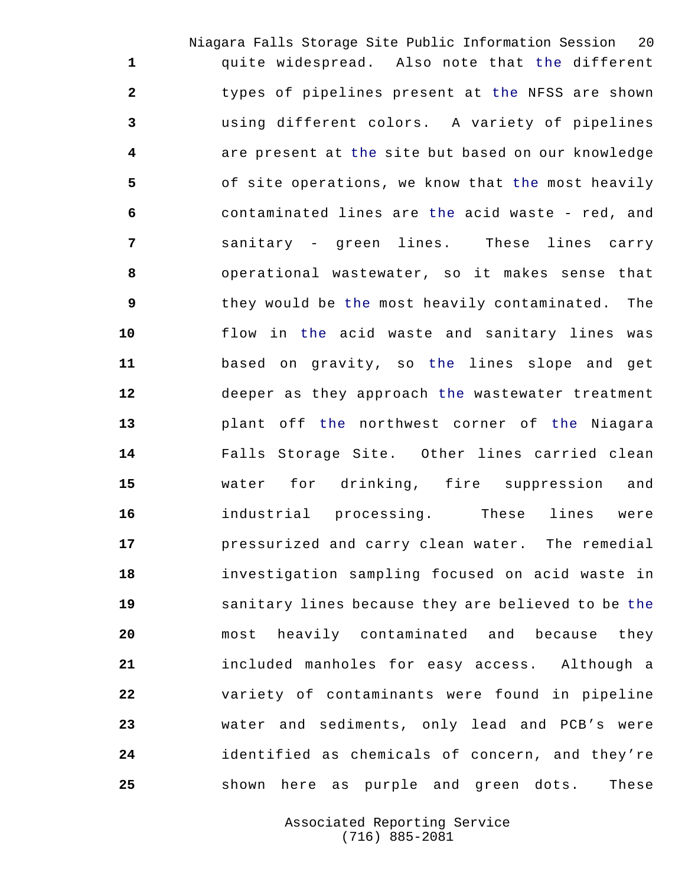Niagara Falls Storage Site Public Information Session 20 quite widespread. Also note that the different types of pipelines present at the NFSS are shown using different colors. A variety of pipelines are present at the site but based on our knowledge of site operations, we know that the most heavily contaminated lines are the acid waste - red, and sanitary - green lines. These lines carry operational wastewater, so it makes sense that they would be the most heavily contaminated. The flow in the acid waste and sanitary lines was based on gravity, so the lines slope and get deeper as they approach the wastewater treatment plant off the northwest corner of the Niagara Falls Storage Site. Other lines carried clean water for drinking, fire suppression and industrial processing. These lines were pressurized and carry clean water. The remedial investigation sampling focused on acid waste in sanitary lines because they are believed to be the most heavily contaminated and because they included manholes for easy access. Although a variety of contaminants were found in pipeline water and sediments, only lead and PCB's were identified as chemicals of concern, and they're shown here as purple and green dots. These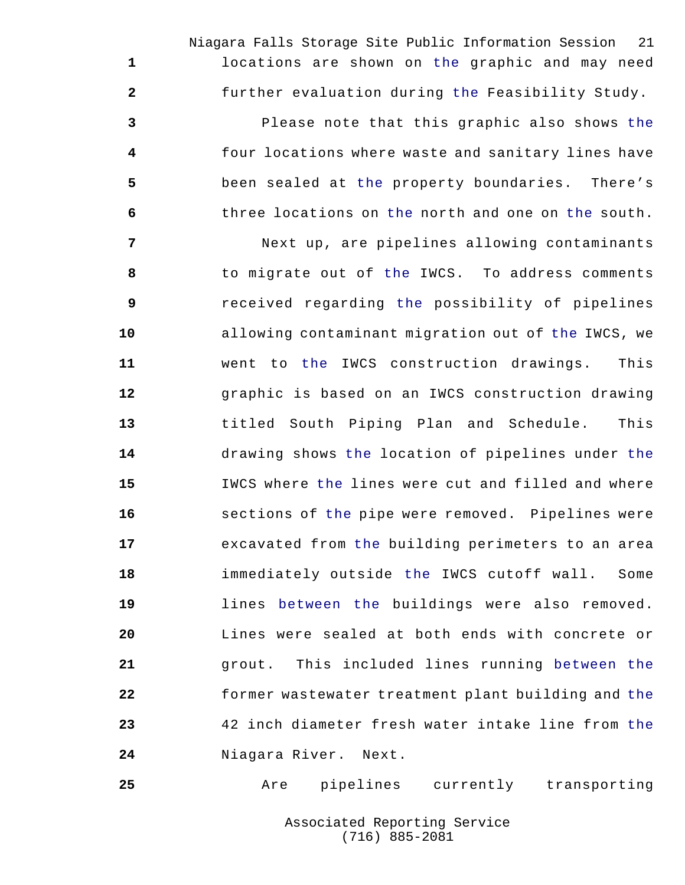Niagara Falls Storage Site Public Information Session 21 locations are shown on the graphic and may need further evaluation during the Feasibility Study.

 Please note that this graphic also shows the four locations where waste and sanitary lines have been sealed at the property boundaries. There's three locations on the north and one on the south.

 Next up, are pipelines allowing contaminants to migrate out of the IWCS. To address comments received regarding the possibility of pipelines allowing contaminant migration out of the IWCS, we went to the IWCS construction drawings. This graphic is based on an IWCS construction drawing titled South Piping Plan and Schedule. This drawing shows the location of pipelines under the IWCS where the lines were cut and filled and where sections of the pipe were removed. Pipelines were excavated from the building perimeters to an area immediately outside the IWCS cutoff wall. Some lines between the buildings were also removed. Lines were sealed at both ends with concrete or grout. This included lines running between the former wastewater treatment plant building and the 42 inch diameter fresh water intake line from the Niagara River. Next.

Are pipelines currently transporting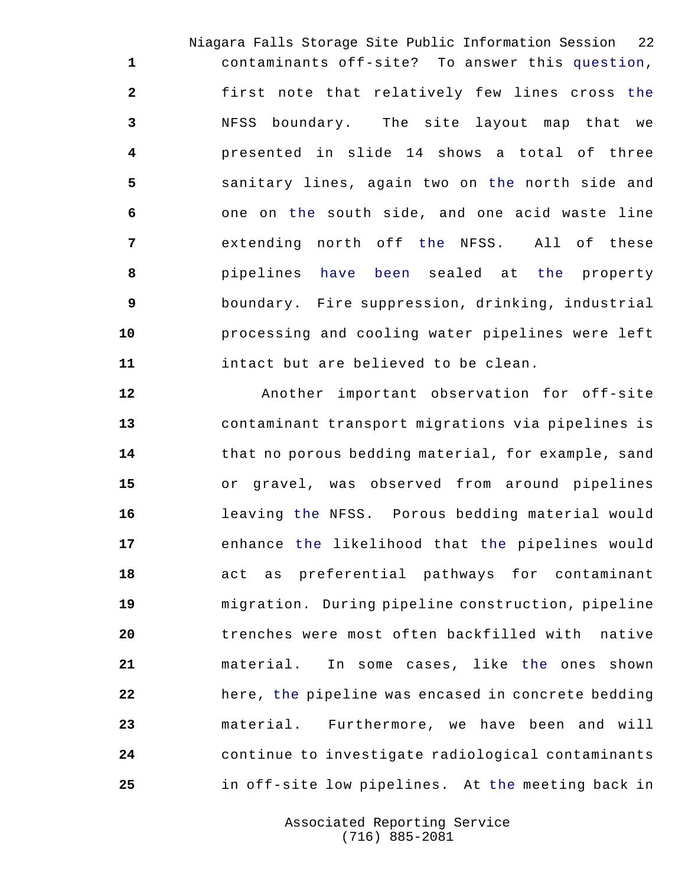Niagara Falls Storage Site Public Information Session 22 contaminants off-site? To answer this question, first note that relatively few lines cross the NFSS boundary. The site layout map that we presented in slide 14 shows a total of three sanitary lines, again two on the north side and one on the south side, and one acid waste line extending north off the NFSS. All of these pipelines have been sealed at the property boundary. Fire suppression, drinking, industrial processing and cooling water pipelines were left intact but are believed to be clean.

 Another important observation for off-site contaminant transport migrations via pipelines is that no porous bedding material, for example, sand or gravel, was observed from around pipelines leaving the NFSS. Porous bedding material would enhance the likelihood that the pipelines would act as preferential pathways for contaminant migration. During pipeline construction, pipeline trenches were most often backfilled with native material. In some cases, like the ones shown here, the pipeline was encased in concrete bedding material. Furthermore, we have been and will continue to investigate radiological contaminants in off-site low pipelines. At the meeting back in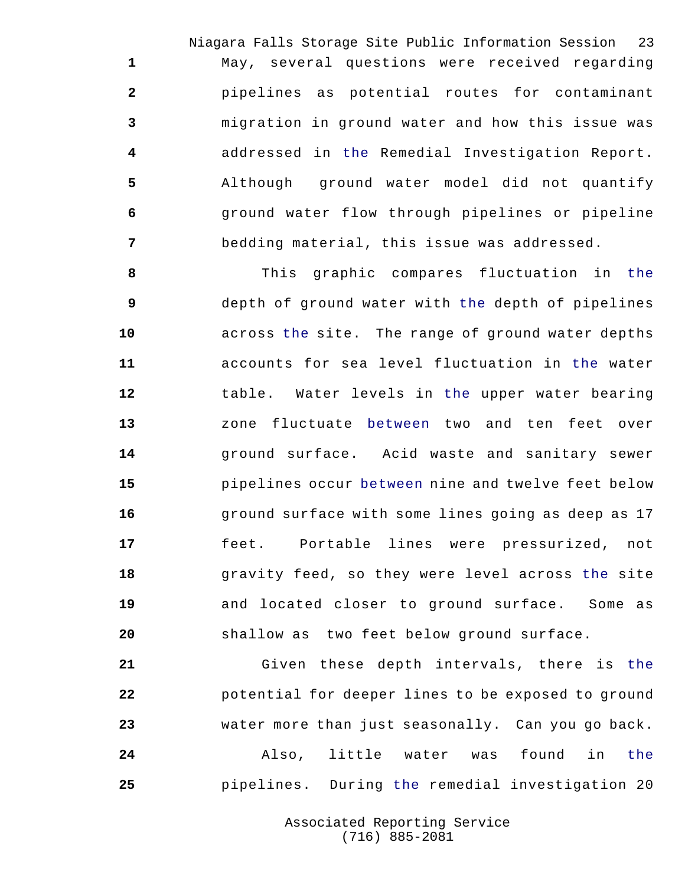Niagara Falls Storage Site Public Information Session 23 May, several questions were received regarding pipelines as potential routes for contaminant migration in ground water and how this issue was addressed in the Remedial Investigation Report. Although ground water model did not quantify ground water flow through pipelines or pipeline bedding material, this issue was addressed.

 This graphic compares fluctuation in the depth of ground water with the depth of pipelines across the site. The range of ground water depths accounts for sea level fluctuation in the water table. Water levels in the upper water bearing zone fluctuate between two and ten feet over ground surface. Acid waste and sanitary sewer pipelines occur between nine and twelve feet below ground surface with some lines going as deep as 17 feet. Portable lines were pressurized, not **18** gravity feed, so they were level across the site and located closer to ground surface. Some as shallow as two feet below ground surface.

 Given these depth intervals, there is the potential for deeper lines to be exposed to ground water more than just seasonally. Can you go back. Also, little water was found in the pipelines. During the remedial investigation 20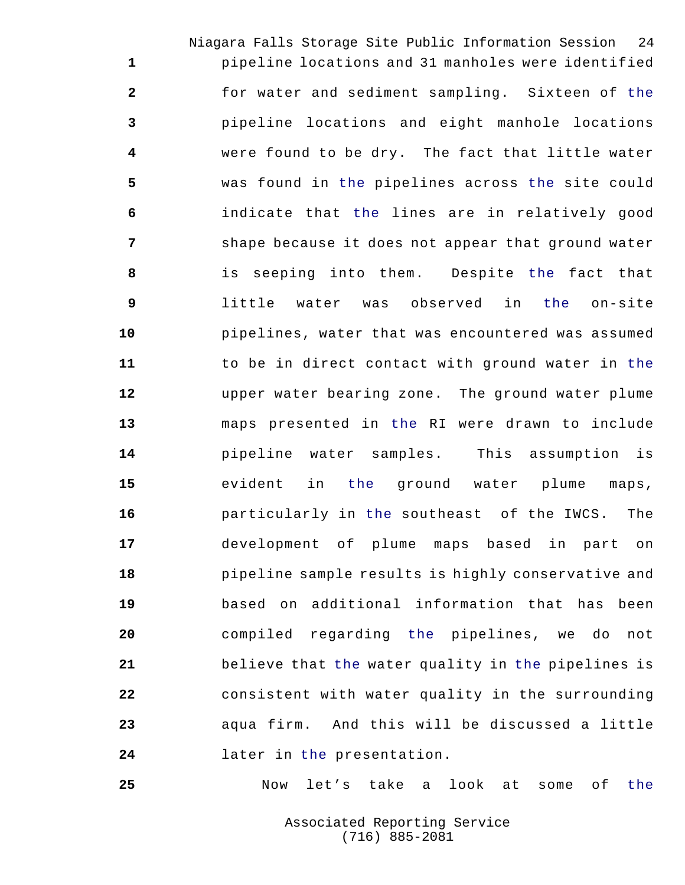Niagara Falls Storage Site Public Information Session 24 pipeline locations and 31 manholes were identified for water and sediment sampling. Sixteen of the pipeline locations and eight manhole locations were found to be dry. The fact that little water was found in the pipelines across the site could indicate that the lines are in relatively good **Shape because it does not appear that ground water**  is seeping into them. Despite the fact that little water was observed in the on-site pipelines, water that was encountered was assumed to be in direct contact with ground water in the upper water bearing zone. The ground water plume maps presented in the RI were drawn to include pipeline water samples. This assumption is evident in the ground water plume maps, particularly in the southeast of the IWCS. The development of plume maps based in part on pipeline sample results is highly conservative and based on additional information that has been compiled regarding the pipelines, we do not believe that the water quality in the pipelines is consistent with water quality in the surrounding aqua firm. And this will be discussed a little later in the presentation.

Now let's take a look at some of the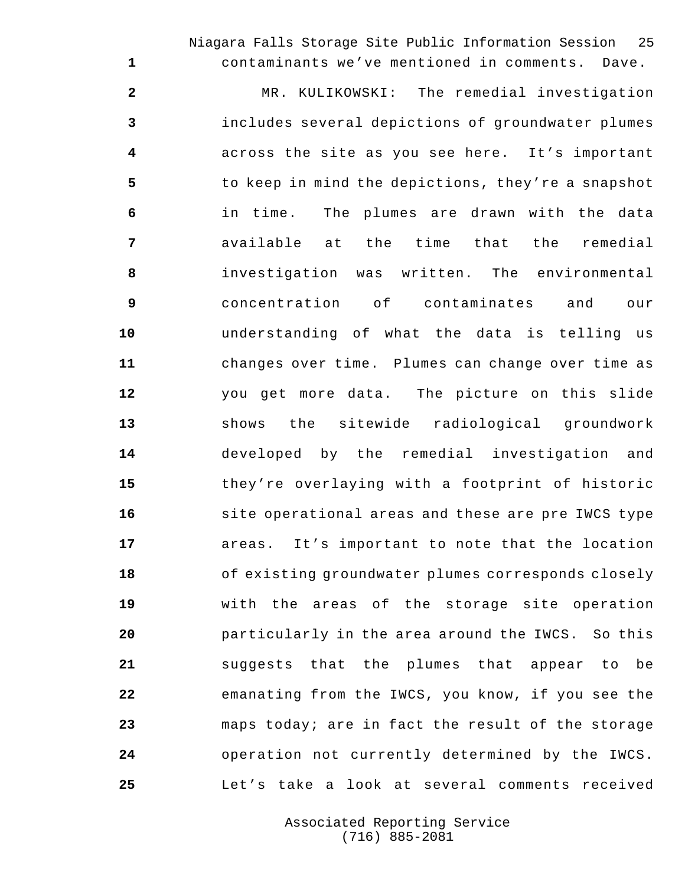Niagara Falls Storage Site Public Information Session 25

contaminants we've mentioned in comments. Dave.

 MR. KULIKOWSKI: The remedial investigation includes several depictions of groundwater plumes across the site as you see here. It's important to keep in mind the depictions, they're a snapshot in time. The plumes are drawn with the data available at the time that the remedial investigation was written. The environmental concentration of contaminates and our understanding of what the data is telling us changes over time. Plumes can change over time as you get more data. The picture on this slide shows the sitewide radiological groundwork developed by the remedial investigation and they're overlaying with a footprint of historic **site operational areas and these are pre IWCS type**  areas. It's important to note that the location of existing groundwater plumes corresponds closely with the areas of the storage site operation particularly in the area around the IWCS. So this suggests that the plumes that appear to be emanating from the IWCS, you know, if you see the maps today; are in fact the result of the storage operation not currently determined by the IWCS. Let's take a look at several comments received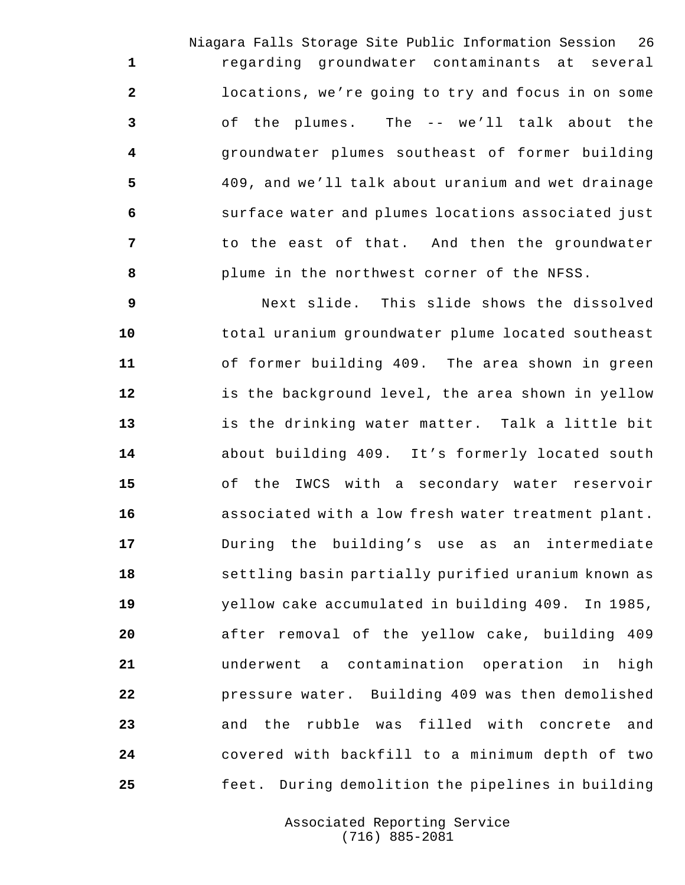Niagara Falls Storage Site Public Information Session 26 regarding groundwater contaminants at several locations, we're going to try and focus in on some of the plumes. The -- we'll talk about the groundwater plumes southeast of former building 409, and we'll talk about uranium and wet drainage surface water and plumes locations associated just to the east of that. And then the groundwater plume in the northwest corner of the NFSS.

 Next slide. This slide shows the dissolved total uranium groundwater plume located southeast of former building 409. The area shown in green is the background level, the area shown in yellow is the drinking water matter. Talk a little bit about building 409. It's formerly located south of the IWCS with a secondary water reservoir associated with a low fresh water treatment plant. During the building's use as an intermediate settling basin partially purified uranium known as yellow cake accumulated in building 409. In 1985, after removal of the yellow cake, building 409 underwent a contamination operation in high pressure water. Building 409 was then demolished and the rubble was filled with concrete and covered with backfill to a minimum depth of two feet. During demolition the pipelines in building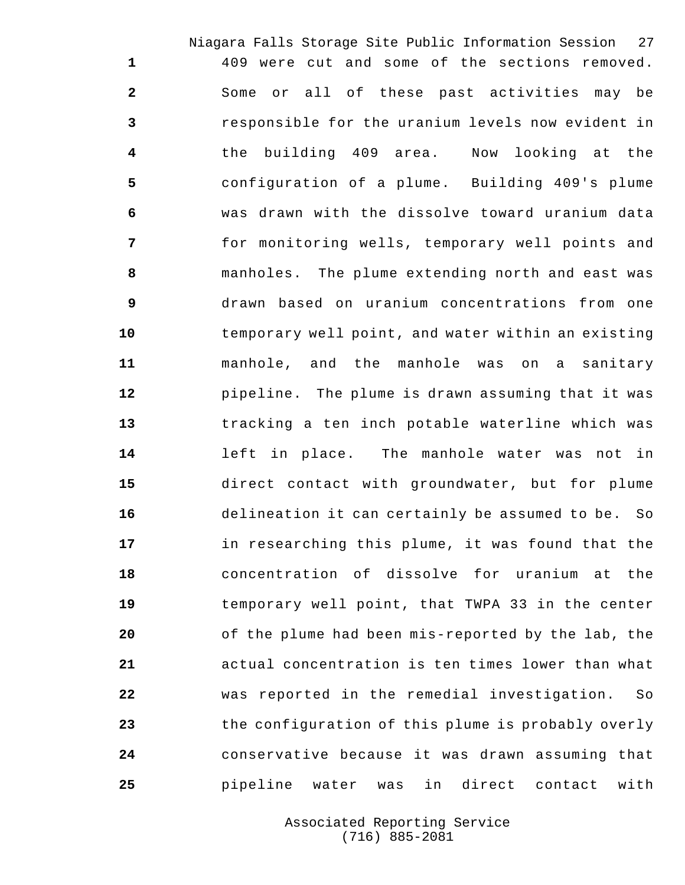Niagara Falls Storage Site Public Information Session 27 409 were cut and some of the sections removed. Some or all of these past activities may be responsible for the uranium levels now evident in the building 409 area. Now looking at the configuration of a plume. Building 409's plume was drawn with the dissolve toward uranium data for monitoring wells, temporary well points and manholes. The plume extending north and east was drawn based on uranium concentrations from one temporary well point, and water within an existing manhole, and the manhole was on a sanitary pipeline. The plume is drawn assuming that it was tracking a ten inch potable waterline which was left in place. The manhole water was not in direct contact with groundwater, but for plume delineation it can certainly be assumed to be. So in researching this plume, it was found that the concentration of dissolve for uranium at the temporary well point, that TWPA 33 in the center of the plume had been mis-reported by the lab, the actual concentration is ten times lower than what was reported in the remedial investigation. So the configuration of this plume is probably overly conservative because it was drawn assuming that pipeline water was in direct contact with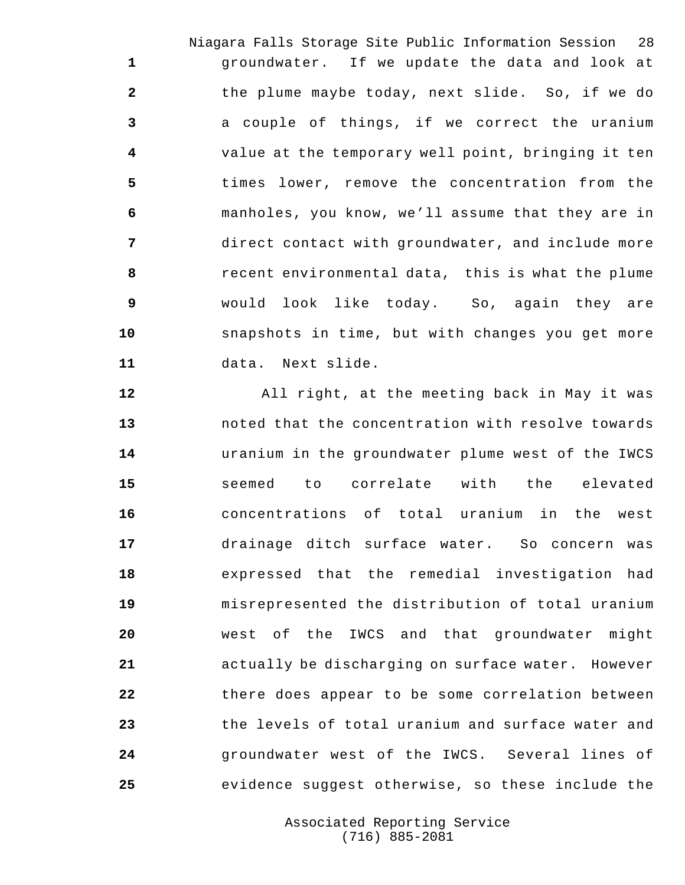Niagara Falls Storage Site Public Information Session 28 groundwater. If we update the data and look at the plume maybe today, next slide. So, if we do a couple of things, if we correct the uranium value at the temporary well point, bringing it ten times lower, remove the concentration from the manholes, you know, we'll assume that they are in direct contact with groundwater, and include more recent environmental data, this is what the plume would look like today. So, again they are snapshots in time, but with changes you get more data. Next slide.

 All right, at the meeting back in May it was noted that the concentration with resolve towards uranium in the groundwater plume west of the IWCS seemed to correlate with the elevated concentrations of total uranium in the west drainage ditch surface water. So concern was expressed that the remedial investigation had misrepresented the distribution of total uranium west of the IWCS and that groundwater might actually be discharging on surface water. However there does appear to be some correlation between the levels of total uranium and surface water and groundwater west of the IWCS. Several lines of evidence suggest otherwise, so these include the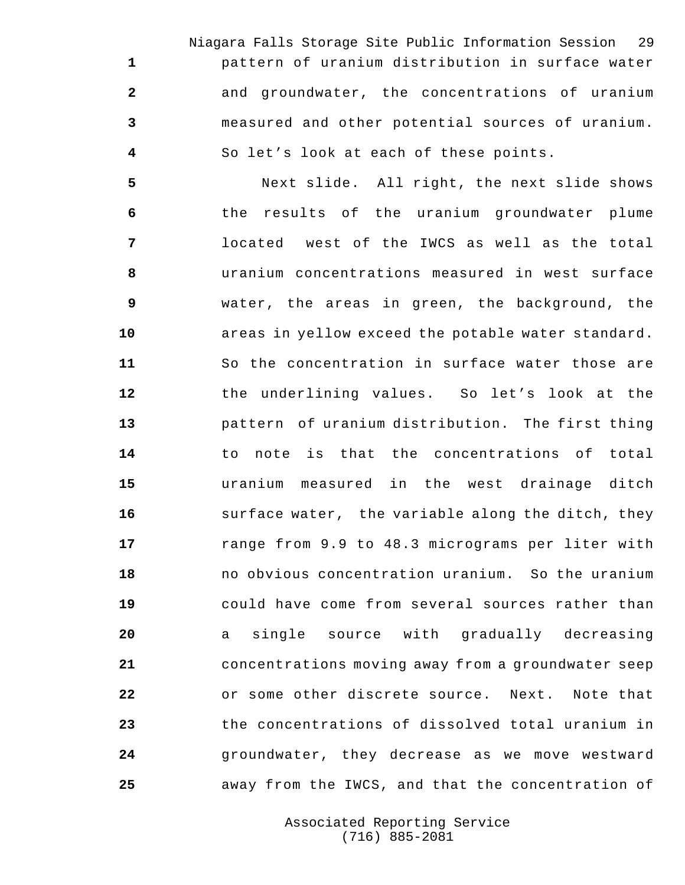Niagara Falls Storage Site Public Information Session 29 pattern of uranium distribution in surface water and groundwater, the concentrations of uranium measured and other potential sources of uranium. So let's look at each of these points.

 Next slide. All right, the next slide shows the results of the uranium groundwater plume located west of the IWCS as well as the total uranium concentrations measured in west surface water, the areas in green, the background, the areas in yellow exceed the potable water standard. So the concentration in surface water those are the underlining values. So let's look at the pattern of uranium distribution. The first thing to note is that the concentrations of total uranium measured in the west drainage ditch surface water, the variable along the ditch, they range from 9.9 to 48.3 micrograms per liter with no obvious concentration uranium. So the uranium could have come from several sources rather than a single source with gradually decreasing concentrations moving away from a groundwater seep or some other discrete source. Next. Note that the concentrations of dissolved total uranium in groundwater, they decrease as we move westward away from the IWCS, and that the concentration of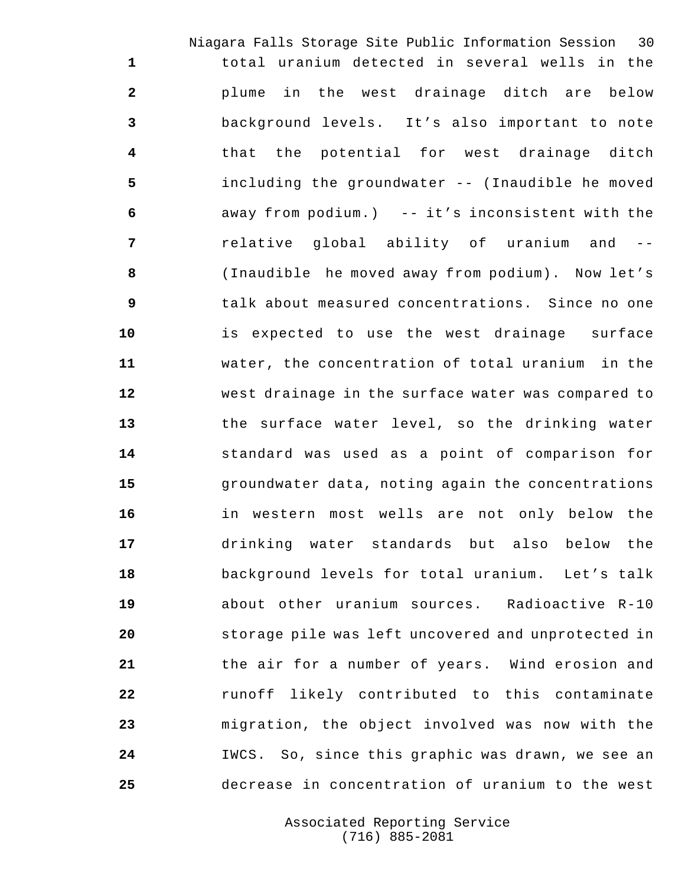Niagara Falls Storage Site Public Information Session 30 total uranium detected in several wells in the plume in the west drainage ditch are below background levels. It's also important to note that the potential for west drainage ditch including the groundwater -- (Inaudible he moved away from podium.) -- it's inconsistent with the relative global ability of uranium and -- (Inaudible he moved away from podium). Now let's talk about measured concentrations. Since no one is expected to use the west drainage surface water, the concentration of total uranium in the west drainage in the surface water was compared to the surface water level, so the drinking water standard was used as a point of comparison for groundwater data, noting again the concentrations in western most wells are not only below the drinking water standards but also below the background levels for total uranium. Let's talk about other uranium sources. Radioactive R-10 storage pile was left uncovered and unprotected in the air for a number of years. Wind erosion and runoff likely contributed to this contaminate migration, the object involved was now with the IWCS. So, since this graphic was drawn, we see an decrease in concentration of uranium to the west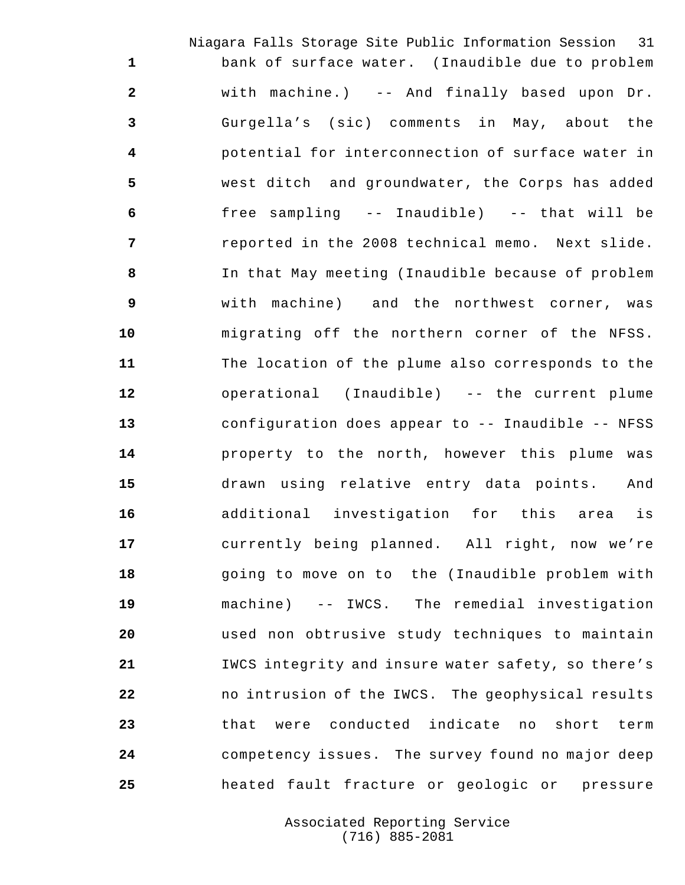Niagara Falls Storage Site Public Information Session 31 bank of surface water. (Inaudible due to problem with machine.) -- And finally based upon Dr. Gurgella's (sic) comments in May, about the potential for interconnection of surface water in west ditch and groundwater, the Corps has added free sampling -- Inaudible) -- that will be reported in the 2008 technical memo. Next slide. In that May meeting (Inaudible because of problem with machine) and the northwest corner, was migrating off the northern corner of the NFSS. The location of the plume also corresponds to the operational (Inaudible) -- the current plume configuration does appear to -- Inaudible -- NFSS property to the north, however this plume was drawn using relative entry data points. And additional investigation for this area is currently being planned. All right, now we're going to move on to the (Inaudible problem with machine) -- IWCS. The remedial investigation used non obtrusive study techniques to maintain IWCS integrity and insure water safety, so there's no intrusion of the IWCS. The geophysical results that were conducted indicate no short term competency issues. The survey found no major deep heated fault fracture or geologic or pressure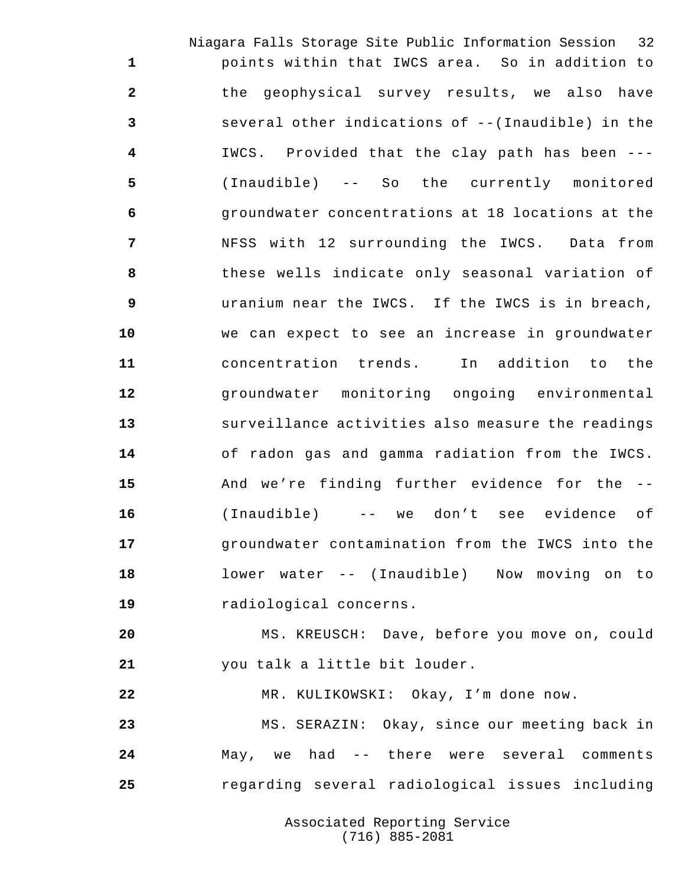Niagara Falls Storage Site Public Information Session 32 points within that IWCS area. So in addition to the geophysical survey results, we also have several other indications of --(Inaudible) in the IWCS. Provided that the clay path has been --- (Inaudible) -- So the currently monitored groundwater concentrations at 18 locations at the NFSS with 12 surrounding the IWCS. Data from these wells indicate only seasonal variation of uranium near the IWCS. If the IWCS is in breach, we can expect to see an increase in groundwater concentration trends. In addition to the groundwater monitoring ongoing environmental surveillance activities also measure the readings of radon gas and gamma radiation from the IWCS. And we're finding further evidence for the -- (Inaudible) -- we don't see evidence of groundwater contamination from the IWCS into the lower water -- (Inaudible) Now moving on to radiological concerns.

 MS. KREUSCH: Dave, before you move on, could you talk a little bit louder.

MR. KULIKOWSKI: Okay, I'm done now.

 MS. SERAZIN: Okay, since our meeting back in May, we had -- there were several comments regarding several radiological issues including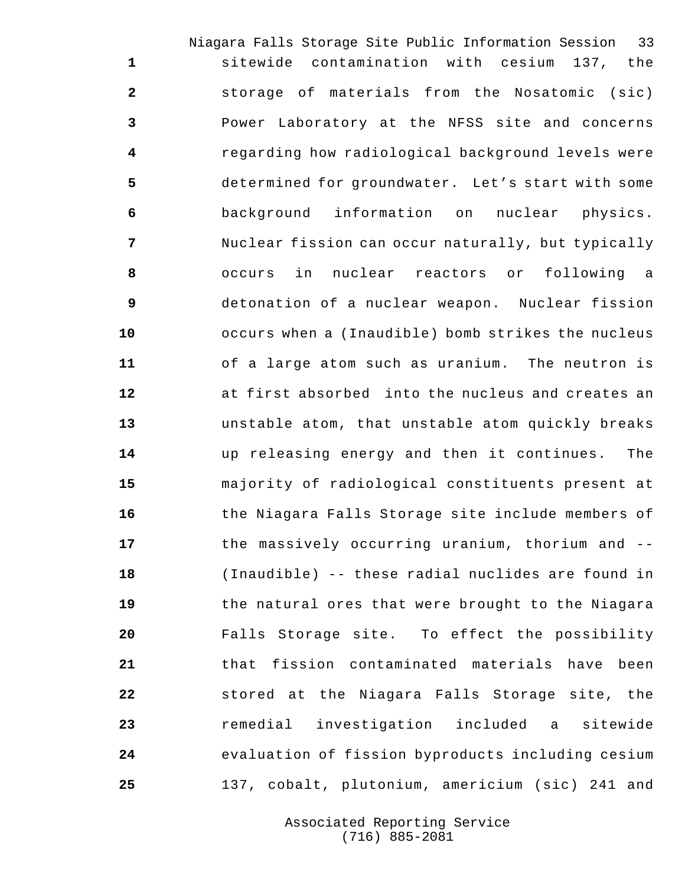Niagara Falls Storage Site Public Information Session 33 sitewide contamination with cesium 137, the storage of materials from the Nosatomic (sic) Power Laboratory at the NFSS site and concerns regarding how radiological background levels were determined for groundwater. Let's start with some background information on nuclear physics. Nuclear fission can occur naturally, but typically occurs in nuclear reactors or following a detonation of a nuclear weapon. Nuclear fission occurs when a (Inaudible) bomb strikes the nucleus of a large atom such as uranium. The neutron is at first absorbed into the nucleus and creates an unstable atom, that unstable atom quickly breaks up releasing energy and then it continues. The majority of radiological constituents present at the Niagara Falls Storage site include members of the massively occurring uranium, thorium and -- (Inaudible) -- these radial nuclides are found in the natural ores that were brought to the Niagara Falls Storage site. To effect the possibility that fission contaminated materials have been stored at the Niagara Falls Storage site, the remedial investigation included a sitewide evaluation of fission byproducts including cesium 137, cobalt, plutonium, americium (sic) 241 and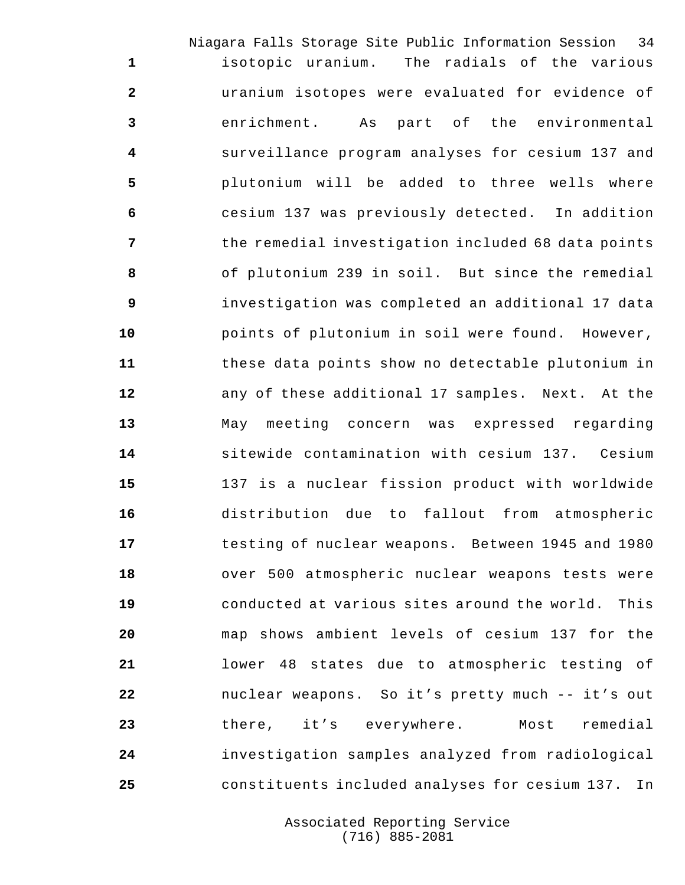Niagara Falls Storage Site Public Information Session 34 isotopic uranium. The radials of the various uranium isotopes were evaluated for evidence of enrichment. As part of the environmental surveillance program analyses for cesium 137 and plutonium will be added to three wells where cesium 137 was previously detected. In addition the remedial investigation included 68 data points of plutonium 239 in soil. But since the remedial investigation was completed an additional 17 data points of plutonium in soil were found. However, these data points show no detectable plutonium in any of these additional 17 samples. Next. At the May meeting concern was expressed regarding sitewide contamination with cesium 137. Cesium 137 is a nuclear fission product with worldwide distribution due to fallout from atmospheric testing of nuclear weapons. Between 1945 and 1980 over 500 atmospheric nuclear weapons tests were conducted at various sites around the world. This map shows ambient levels of cesium 137 for the lower 48 states due to atmospheric testing of nuclear weapons. So it's pretty much -- it's out there, it's everywhere. Most remedial investigation samples analyzed from radiological constituents included analyses for cesium 137. In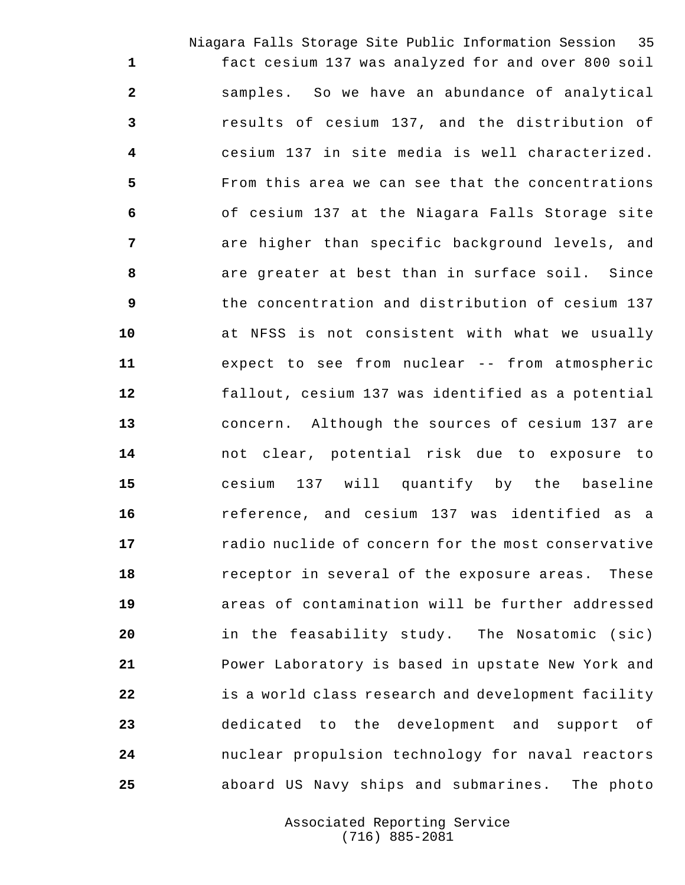Niagara Falls Storage Site Public Information Session 35 fact cesium 137 was analyzed for and over 800 soil samples. So we have an abundance of analytical results of cesium 137, and the distribution of cesium 137 in site media is well characterized. From this area we can see that the concentrations of cesium 137 at the Niagara Falls Storage site are higher than specific background levels, and are greater at best than in surface soil. Since the concentration and distribution of cesium 137 at NFSS is not consistent with what we usually expect to see from nuclear -- from atmospheric fallout, cesium 137 was identified as a potential concern. Although the sources of cesium 137 are not clear, potential risk due to exposure to cesium 137 will quantify by the baseline reference, and cesium 137 was identified as a radio nuclide of concern for the most conservative receptor in several of the exposure areas. These areas of contamination will be further addressed in the feasability study. The Nosatomic (sic) Power Laboratory is based in upstate New York and is a world class research and development facility dedicated to the development and support of nuclear propulsion technology for naval reactors aboard US Navy ships and submarines. The photo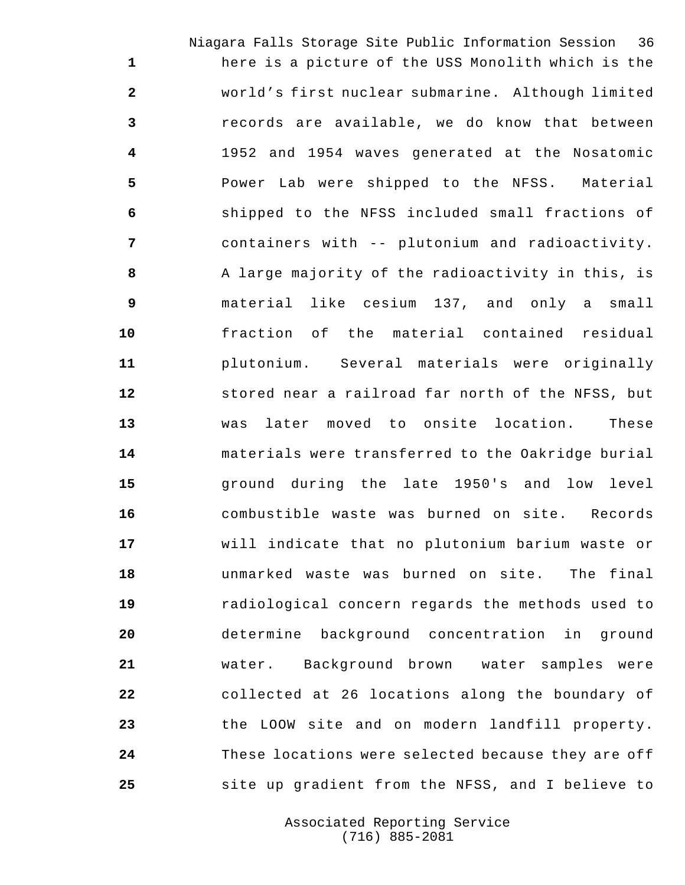Niagara Falls Storage Site Public Information Session 36 here is a picture of the USS Monolith which is the world's first nuclear submarine. Although limited records are available, we do know that between 1952 and 1954 waves generated at the Nosatomic Power Lab were shipped to the NFSS. Material shipped to the NFSS included small fractions of containers with -- plutonium and radioactivity. A large majority of the radioactivity in this, is material like cesium 137, and only a small fraction of the material contained residual plutonium. Several materials were originally stored near a railroad far north of the NFSS, but was later moved to onsite location. These materials were transferred to the Oakridge burial ground during the late 1950's and low level combustible waste was burned on site. Records will indicate that no plutonium barium waste or unmarked waste was burned on site. The final radiological concern regards the methods used to determine background concentration in ground water. Background brown water samples were collected at 26 locations along the boundary of the LOOW site and on modern landfill property. These locations were selected because they are off site up gradient from the NFSS, and I believe to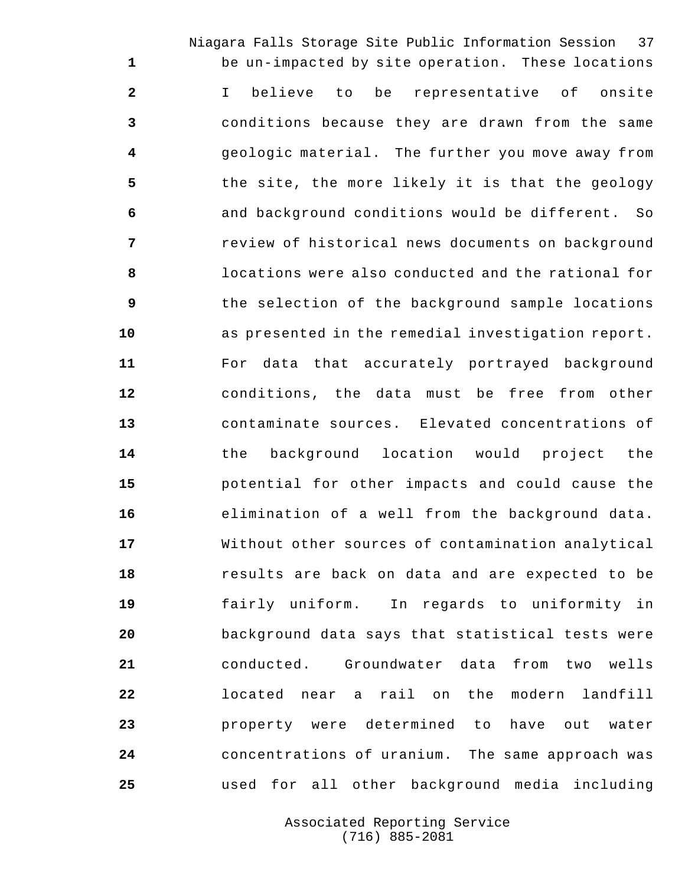Niagara Falls Storage Site Public Information Session 37 be un-impacted by site operation. These locations I believe to be representative of onsite conditions because they are drawn from the same geologic material. The further you move away from the site, the more likely it is that the geology and background conditions would be different. So review of historical news documents on background locations were also conducted and the rational for the selection of the background sample locations as presented in the remedial investigation report. For data that accurately portrayed background conditions, the data must be free from other contaminate sources. Elevated concentrations of the background location would project the potential for other impacts and could cause the elimination of a well from the background data. Without other sources of contamination analytical results are back on data and are expected to be fairly uniform. In regards to uniformity in background data says that statistical tests were conducted. Groundwater data from two wells located near a rail on the modern landfill property were determined to have out water concentrations of uranium. The same approach was

> Associated Reporting Service (716) 885-2081

used for all other background media including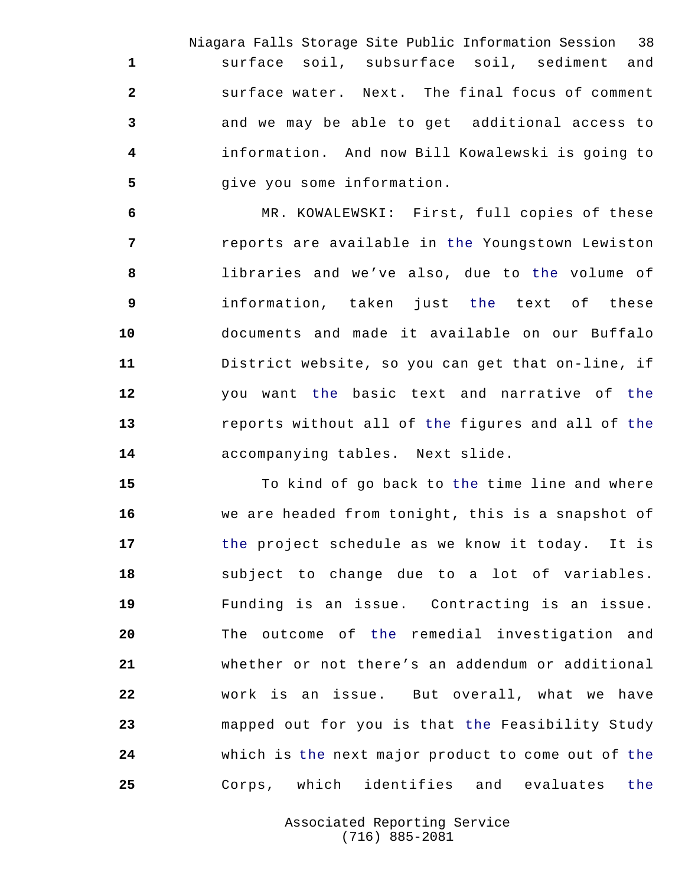Niagara Falls Storage Site Public Information Session 38 surface soil, subsurface soil, sediment and surface water. Next. The final focus of comment and we may be able to get additional access to information. And now Bill Kowalewski is going to **give you some information.** 

 MR. KOWALEWSKI: First, full copies of these reports are available in the Youngstown Lewiston libraries and we've also, due to the volume of information, taken just the text of these documents and made it available on our Buffalo District website, so you can get that on-line, if you want the basic text and narrative of the reports without all of the figures and all of the accompanying tables. Next slide.

 To kind of go back to the time line and where we are headed from tonight, this is a snapshot of the project schedule as we know it today. It is subject to change due to a lot of variables. Funding is an issue. Contracting is an issue. The outcome of the remedial investigation and whether or not there's an addendum or additional work is an issue. But overall, what we have mapped out for you is that the Feasibility Study which is the next major product to come out of the Corps, which identifies and evaluates the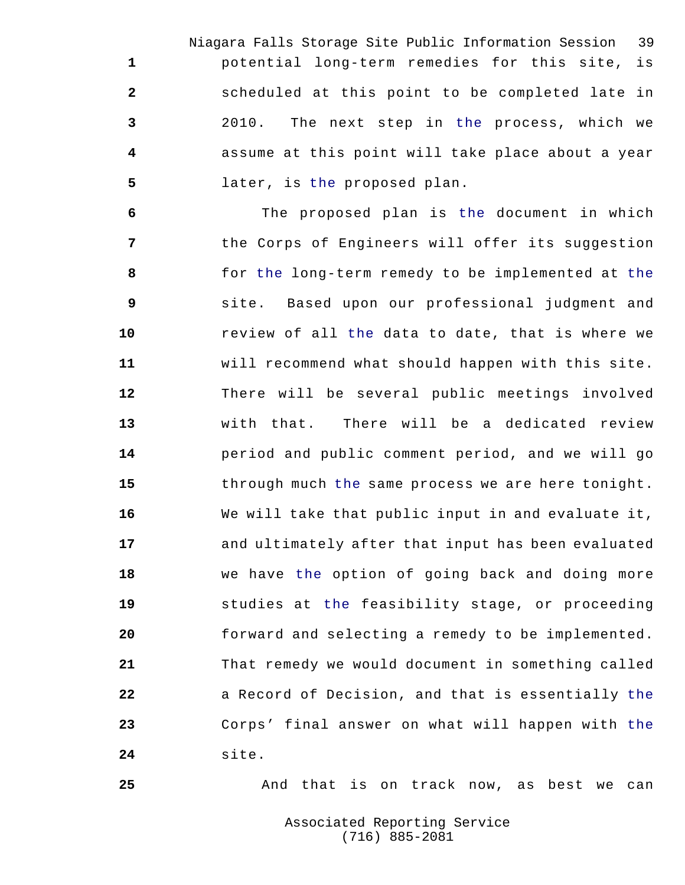Niagara Falls Storage Site Public Information Session 39 potential long-term remedies for this site, is scheduled at this point to be completed late in 2010. The next step in the process, which we assume at this point will take place about a year later, is the proposed plan.

 The proposed plan is the document in which the Corps of Engineers will offer its suggestion for the long-term remedy to be implemented at the site. Based upon our professional judgment and review of all the data to date, that is where we will recommend what should happen with this site. There will be several public meetings involved with that. There will be a dedicated review period and public comment period, and we will go through much the same process we are here tonight. We will take that public input in and evaluate it, and ultimately after that input has been evaluated we have the option of going back and doing more studies at the feasibility stage, or proceeding forward and selecting a remedy to be implemented. That remedy we would document in something called **a** Record of Decision, and that is essentially the Corps' final answer on what will happen with the site.

And that is on track now, as best we can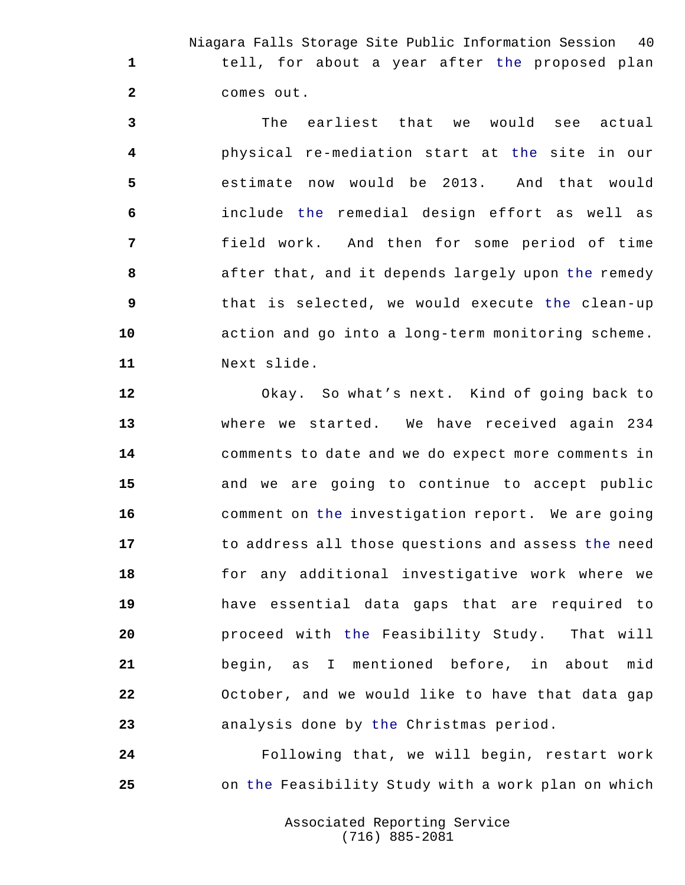Niagara Falls Storage Site Public Information Session 40 tell, for about a year after the proposed plan comes out.

 The earliest that we would see actual physical re-mediation start at the site in our estimate now would be 2013. And that would include the remedial design effort as well as field work. And then for some period of time after that, and it depends largely upon the remedy that is selected, we would execute the clean-up action and go into a long-term monitoring scheme. Next slide.

 Okay. So what's next. Kind of going back to where we started. We have received again 234 comments to date and we do expect more comments in and we are going to continue to accept public comment on the investigation report. We are going to address all those questions and assess the need for any additional investigative work where we have essential data gaps that are required to proceed with the Feasibility Study. That will begin, as I mentioned before, in about mid October, and we would like to have that data gap analysis done by the Christmas period.

 Following that, we will begin, restart work on the Feasibility Study with a work plan on which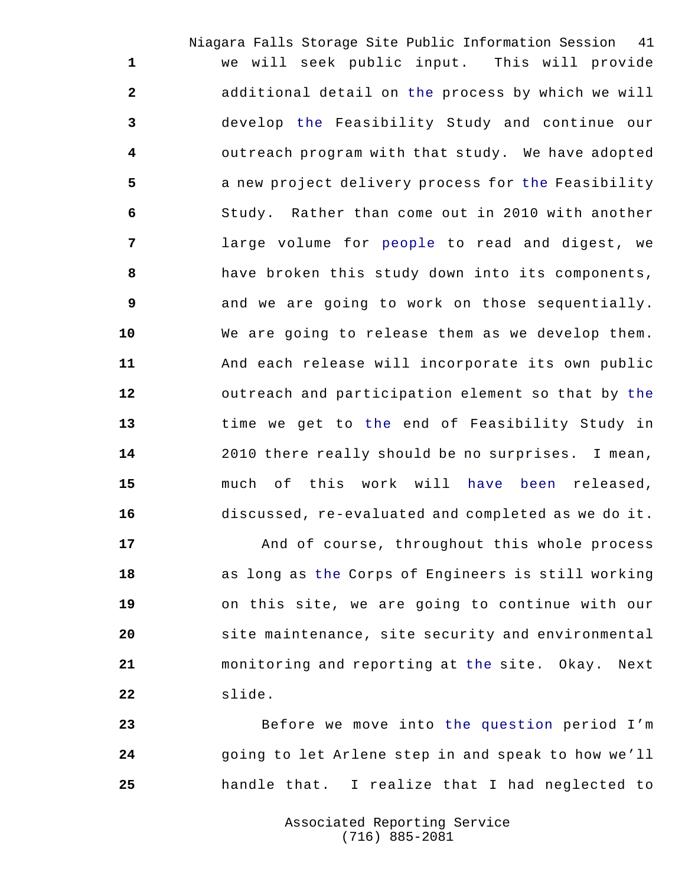Niagara Falls Storage Site Public Information Session 41 we will seek public input. This will provide additional detail on the process by which we will develop the Feasibility Study and continue our outreach program with that study. We have adopted a new project delivery process for the Feasibility Study. Rather than come out in 2010 with another large volume for people to read and digest, we have broken this study down into its components, and we are going to work on those sequentially. We are going to release them as we develop them. And each release will incorporate its own public outreach and participation element so that by the time we get to the end of Feasibility Study in 2010 there really should be no surprises. I mean, much of this work will have been released, discussed, re-evaluated and completed as we do it.

 And of course, throughout this whole process as long as the Corps of Engineers is still working on this site, we are going to continue with our site maintenance, site security and environmental monitoring and reporting at the site. Okay. Next slide.

 Before we move into the question period I'm going to let Arlene step in and speak to how we'll handle that. I realize that I had neglected to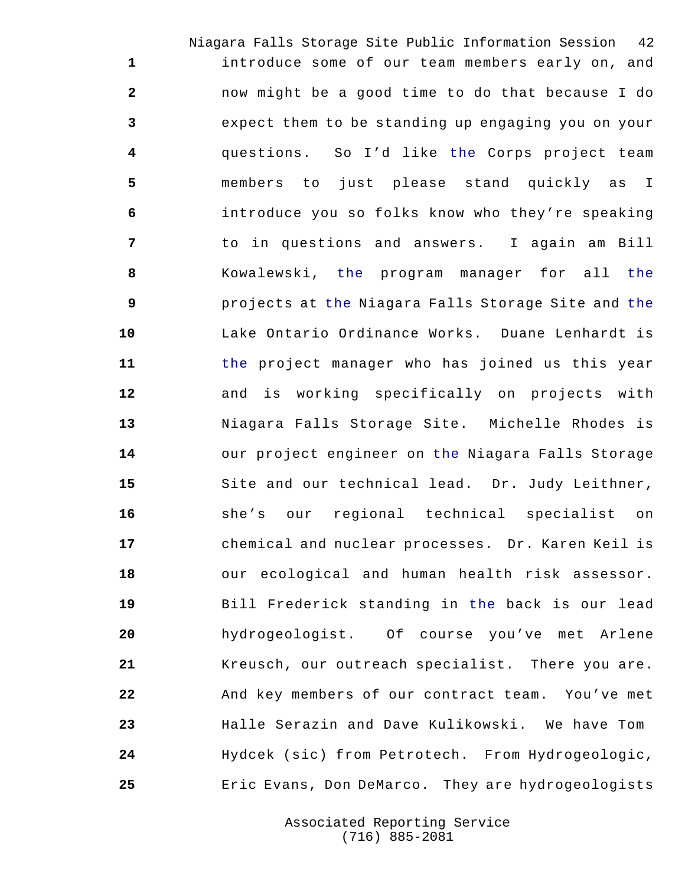Niagara Falls Storage Site Public Information Session 42 introduce some of our team members early on, and now might be a good time to do that because I do expect them to be standing up engaging you on your questions. So I'd like the Corps project team members to just please stand quickly as I introduce you so folks know who they're speaking to in questions and answers. I again am Bill Kowalewski, the program manager for all the projects at the Niagara Falls Storage Site and the Lake Ontario Ordinance Works. Duane Lenhardt is the project manager who has joined us this year and is working specifically on projects with Niagara Falls Storage Site. Michelle Rhodes is our project engineer on the Niagara Falls Storage Site and our technical lead. Dr. Judy Leithner, she's our regional technical specialist on chemical and nuclear processes. Dr. Karen Keil is our ecological and human health risk assessor. Bill Frederick standing in the back is our lead hydrogeologist. Of course you've met Arlene Kreusch, our outreach specialist. There you are. And key members of our contract team. You've met Halle Serazin and Dave Kulikowski. We have Tom Hydcek (sic) from Petrotech. From Hydrogeologic, Eric Evans, Don DeMarco. They are hydrogeologists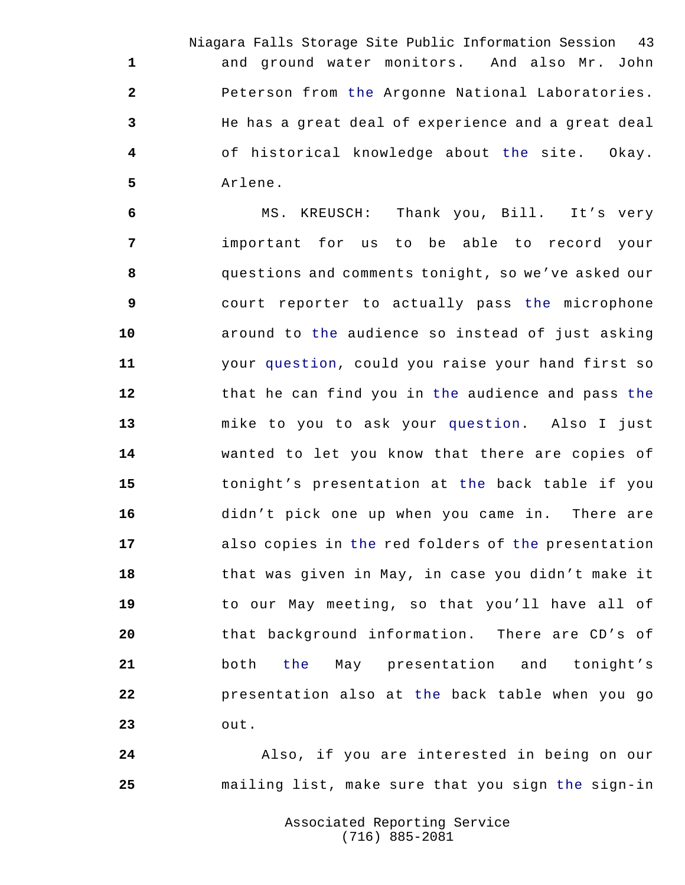Niagara Falls Storage Site Public Information Session 43 and ground water monitors. And also Mr. John Peterson from the Argonne National Laboratories. He has a great deal of experience and a great deal of historical knowledge about the site. Okay. Arlene.

 MS. KREUSCH: Thank you, Bill. It's very important for us to be able to record your questions and comments tonight, so we've asked our court reporter to actually pass the microphone around to the audience so instead of just asking your question, could you raise your hand first so that he can find you in the audience and pass the mike to you to ask your question. Also I just wanted to let you know that there are copies of tonight's presentation at the back table if you didn't pick one up when you came in. There are also copies in the red folders of the presentation that was given in May, in case you didn't make it to our May meeting, so that you'll have all of that background information. There are CD's of both the May presentation and tonight's presentation also at the back table when you go out.

 Also, if you are interested in being on our mailing list, make sure that you sign the sign-in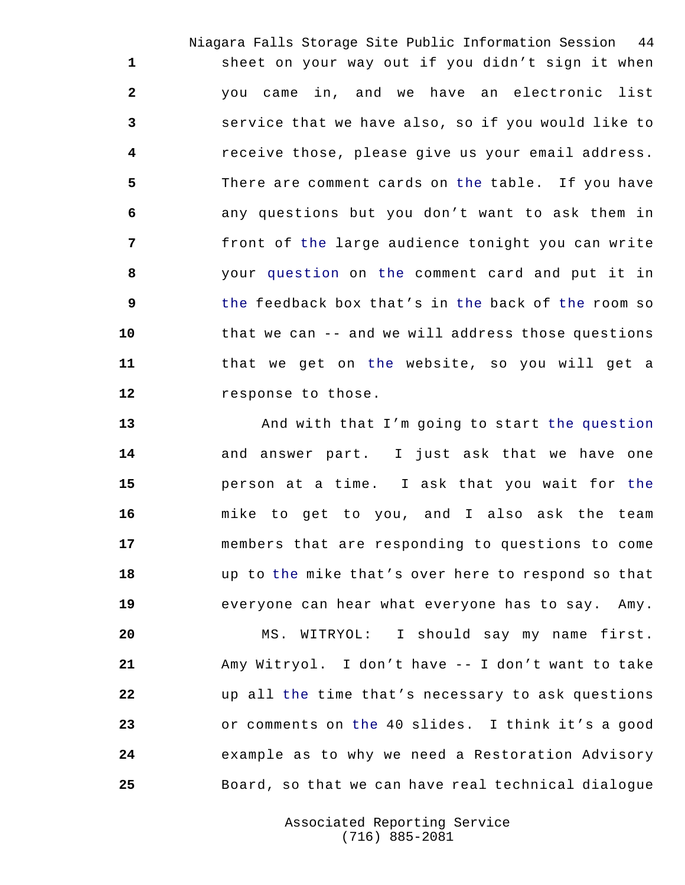Niagara Falls Storage Site Public Information Session 44 sheet on your way out if you didn't sign it when you came in, and we have an electronic list service that we have also, so if you would like to receive those, please give us your email address. There are comment cards on the table. If you have any questions but you don't want to ask them in front of the large audience tonight you can write your question on the comment card and put it in the feedback box that's in the back of the room so that we can -- and we will address those questions that we get on the website, so you will get a response to those.

 And with that I'm going to start the question and answer part. I just ask that we have one person at a time. I ask that you wait for the mike to get to you, and I also ask the team members that are responding to questions to come up to the mike that's over here to respond so that everyone can hear what everyone has to say. Amy.

 MS. WITRYOL: I should say my name first. Amy Witryol. I don't have -- I don't want to take up all the time that's necessary to ask questions or comments on the 40 slides. I think it's a good example as to why we need a Restoration Advisory Board, so that we can have real technical dialogue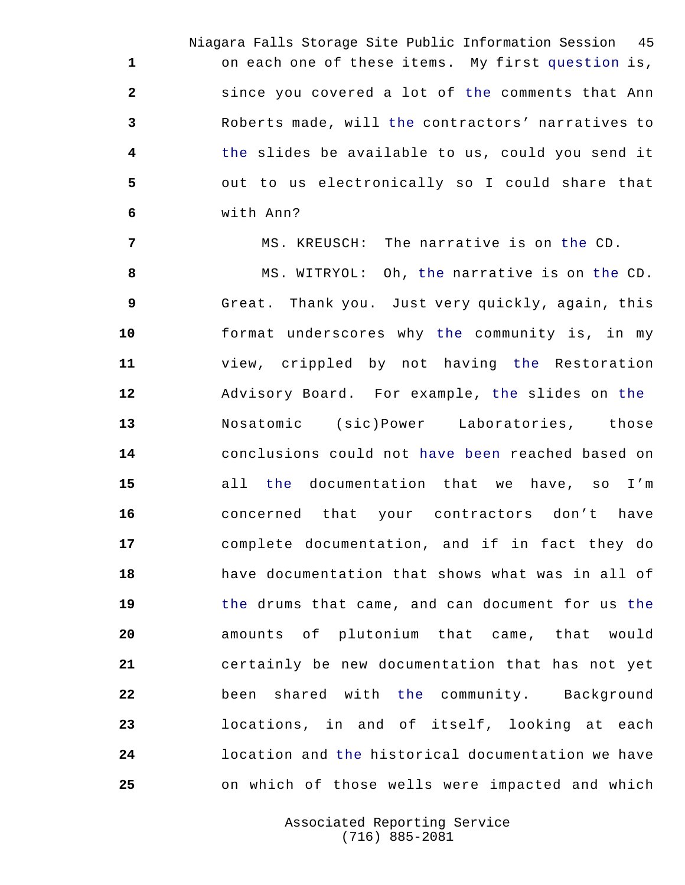Niagara Falls Storage Site Public Information Session 45 on each one of these items. My first question is, since you covered a lot of the comments that Ann Roberts made, will the contractors' narratives to the slides be available to us, could you send it out to us electronically so I could share that with Ann?

MS. KREUSCH: The narrative is on the CD.

 MS. WITRYOL: Oh, the narrative is on the CD. Great. Thank you. Just very quickly, again, this format underscores why the community is, in my view, crippled by not having the Restoration Advisory Board. For example, the slides on the Nosatomic (sic)Power Laboratories, those conclusions could not have been reached based on all the documentation that we have, so I'm concerned that your contractors don't have complete documentation, and if in fact they do have documentation that shows what was in all of the drums that came, and can document for us the amounts of plutonium that came, that would certainly be new documentation that has not yet been shared with the community. Background locations, in and of itself, looking at each location and the historical documentation we have on which of those wells were impacted and which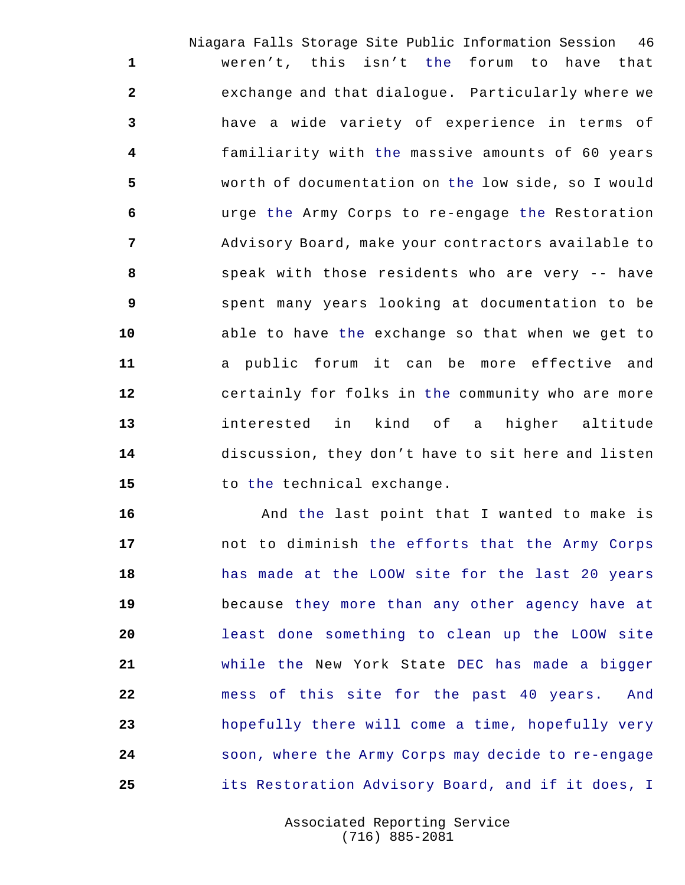Niagara Falls Storage Site Public Information Session 46 weren't, this isn't the forum to have that exchange and that dialogue. Particularly where we have a wide variety of experience in terms of familiarity with the massive amounts of 60 years worth of documentation on the low side, so I would urge the Army Corps to re-engage the Restoration Advisory Board, make your contractors available to speak with those residents who are very -- have spent many years looking at documentation to be able to have the exchange so that when we get to a public forum it can be more effective and certainly for folks in the community who are more interested in kind of a higher altitude discussion, they don't have to sit here and listen 15 to the technical exchange.

 And the last point that I wanted to make is not to diminish the efforts that the Army Corps has made at the LOOW site for the last 20 years because they more than any other agency have at least done something to clean up the LOOW site while the New York State DEC has made a bigger mess of this site for the past 40 years. And hopefully there will come a time, hopefully very soon, where the Army Corps may decide to re-engage its Restoration Advisory Board, and if it does, I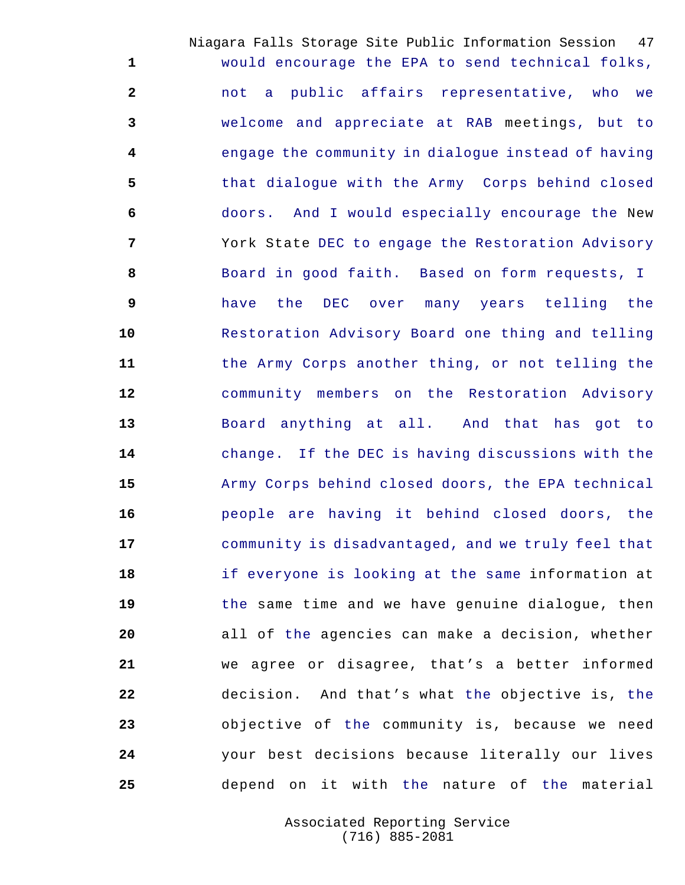Niagara Falls Storage Site Public Information Session 47 would encourage the EPA to send technical folks, not a public affairs representative, who we welcome and appreciate at RAB meetings, but to engage the community in dialogue instead of having that dialogue with the Army Corps behind closed doors. And I would especially encourage the New York State DEC to engage the Restoration Advisory Board in good faith. Based on form requests, I have the DEC over many years telling the Restoration Advisory Board one thing and telling the Army Corps another thing, or not telling the community members on the Restoration Advisory Board anything at all. And that has got to change. If the DEC is having discussions with the Army Corps behind closed doors, the EPA technical people are having it behind closed doors, the community is disadvantaged, and we truly feel that if everyone is looking at the same information at the same time and we have genuine dialogue, then all of the agencies can make a decision, whether we agree or disagree, that's a better informed decision. And that's what the objective is, the objective of the community is, because we need your best decisions because literally our lives depend on it with the nature of the material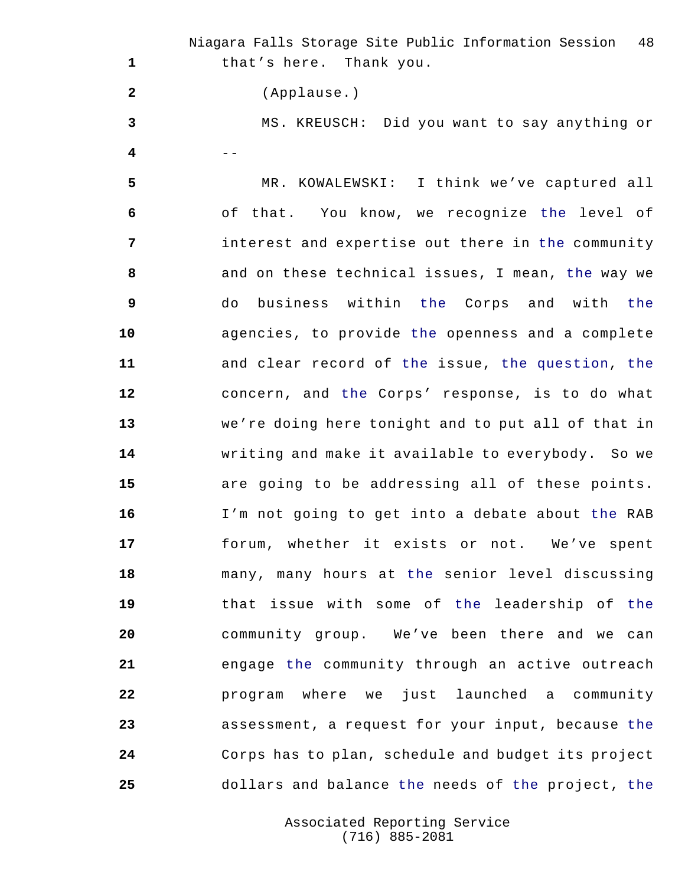Niagara Falls Storage Site Public Information Session 48 that's here. Thank you. (Applause.) MS. KREUSCH: Did you want to say anything or -- MR. KOWALEWSKI: I think we've captured all of that. You know, we recognize the level of interest and expertise out there in the community and on these technical issues, I mean, the way we do business within the Corps and with the agencies, to provide the openness and a complete and clear record of the issue, the question, the concern, and the Corps' response, is to do what we're doing here tonight and to put all of that in writing and make it available to everybody. So we are going to be addressing all of these points. I'm not going to get into a debate about the RAB forum, whether it exists or not. We've spent many, many hours at the senior level discussing that issue with some of the leadership of the community group. We've been there and we can engage the community through an active outreach program where we just launched a community assessment, a request for your input, because the Corps has to plan, schedule and budget its project dollars and balance the needs of the project, the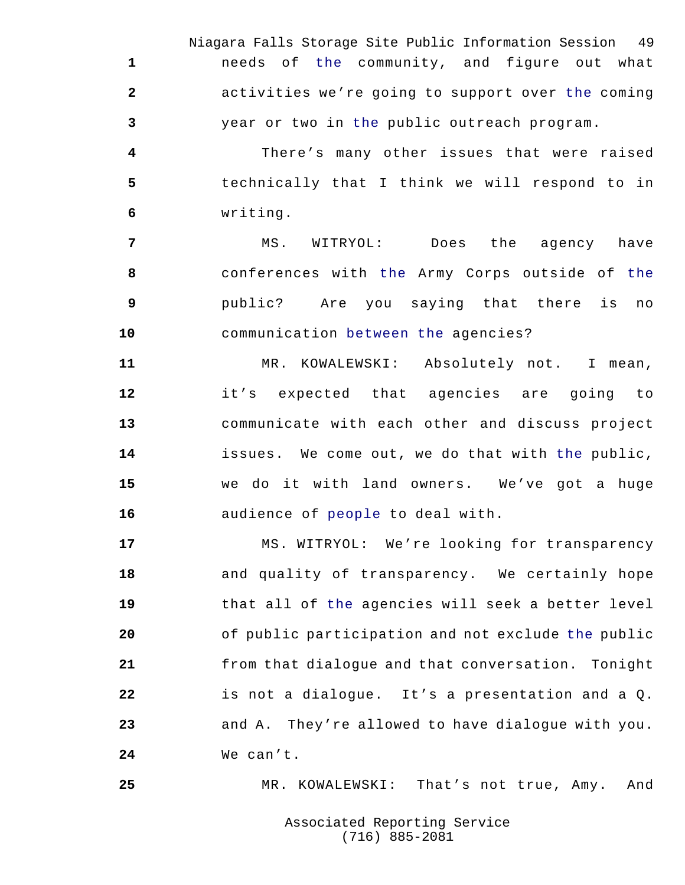Niagara Falls Storage Site Public Information Session 49 needs of the community, and figure out what activities we're going to support over the coming year or two in the public outreach program.

 There's many other issues that were raised technically that I think we will respond to in writing.

 MS. WITRYOL: Does the agency have conferences with the Army Corps outside of the public? Are you saying that there is no communication between the agencies?

 MR. KOWALEWSKI: Absolutely not. I mean, it's expected that agencies are going to communicate with each other and discuss project issues. We come out, we do that with the public, we do it with land owners. We've got a huge audience of people to deal with.

 MS. WITRYOL: We're looking for transparency and quality of transparency. We certainly hope that all of the agencies will seek a better level of public participation and not exclude the public from that dialogue and that conversation. Tonight is not a dialogue. It's a presentation and a Q. and A. They're allowed to have dialogue with you. We can't.

MR. KOWALEWSKI: That's not true, Amy. And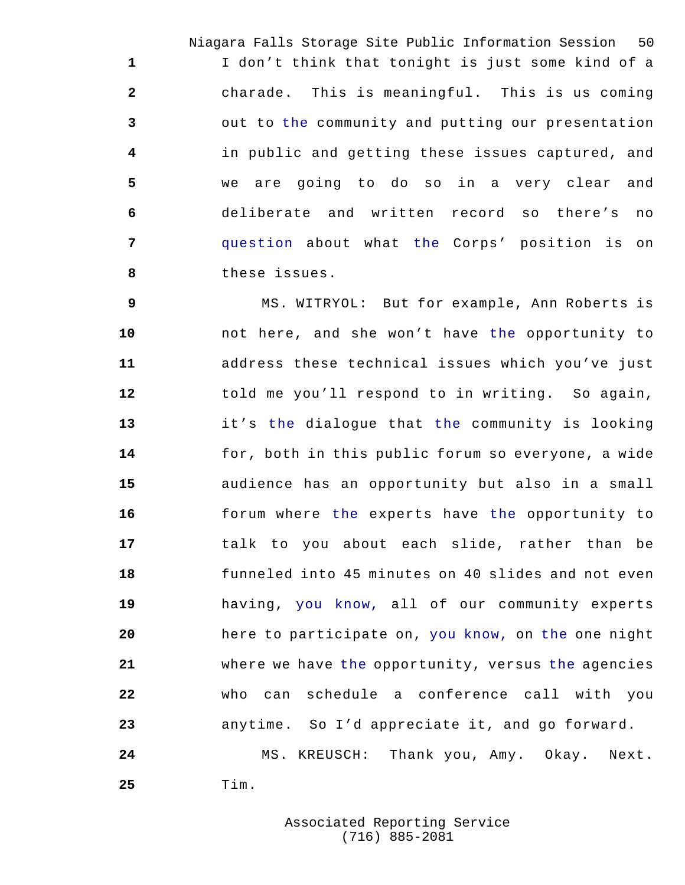Niagara Falls Storage Site Public Information Session 50 I don't think that tonight is just some kind of a charade. This is meaningful. This is us coming out to the community and putting our presentation in public and getting these issues captured, and we are going to do so in a very clear and deliberate and written record so there's no question about what the Corps' position is on these issues.

 MS. WITRYOL: But for example, Ann Roberts is not here, and she won't have the opportunity to address these technical issues which you've just told me you'll respond to in writing. So again, it's the dialogue that the community is looking for, both in this public forum so everyone, a wide audience has an opportunity but also in a small forum where the experts have the opportunity to talk to you about each slide, rather than be funneled into 45 minutes on 40 slides and not even having, you know, all of our community experts here to participate on, you know, on the one night where we have the opportunity, versus the agencies who can schedule a conference call with you anytime. So I'd appreciate it, and go forward. MS. KREUSCH: Thank you, Amy. Okay. Next. Tim.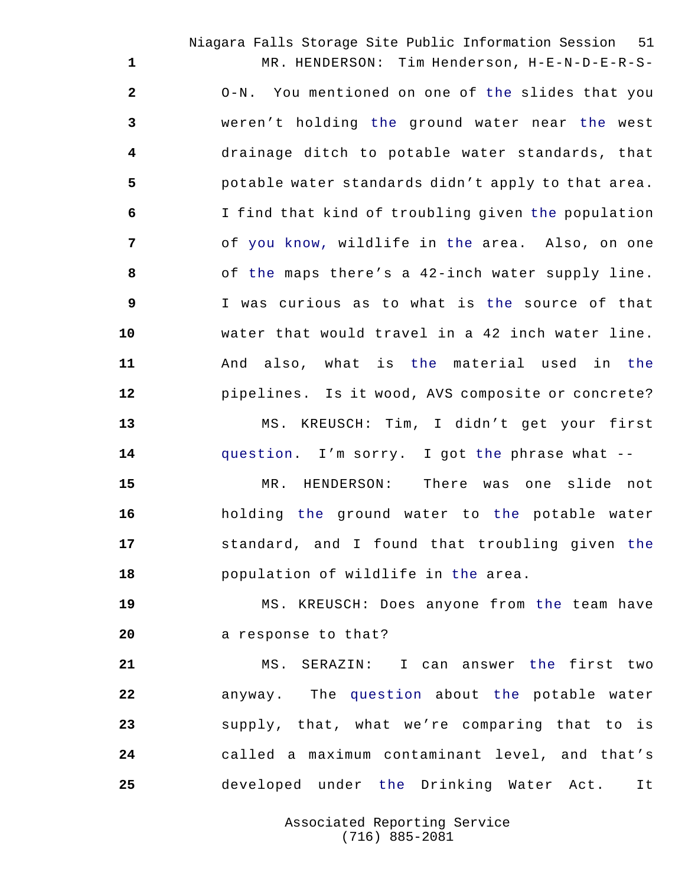Niagara Falls Storage Site Public Information Session 51 MR. HENDERSON: Tim Henderson, H-E-N-D-E-R-S- O-N. You mentioned on one of the slides that you weren't holding the ground water near the west drainage ditch to potable water standards, that potable water standards didn't apply to that area. I find that kind of troubling given the population of you know, wildlife in the area. Also, on one of the maps there's a 42-inch water supply line. I was curious as to what is the source of that water that would travel in a 42 inch water line. And also, what is the material used in the pipelines. Is it wood, AVS composite or concrete? MS. KREUSCH: Tim, I didn't get your first

question. I'm sorry. I got the phrase what --

 MR. HENDERSON: There was one slide not holding the ground water to the potable water standard, and I found that troubling given the population of wildlife in the area.

 MS. KREUSCH: Does anyone from the team have 20 a response to that?

 MS. SERAZIN: I can answer the first two anyway. The question about the potable water supply, that, what we're comparing that to is called a maximum contaminant level, and that's developed under the Drinking Water Act. It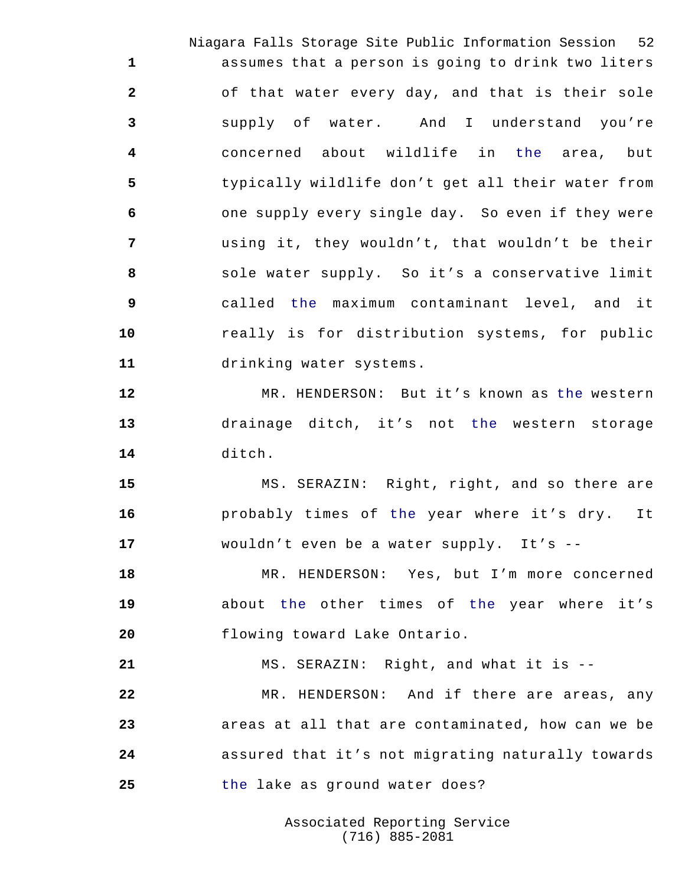Niagara Falls Storage Site Public Information Session 52 assumes that a person is going to drink two liters of that water every day, and that is their sole supply of water. And I understand you're concerned about wildlife in the area, but typically wildlife don't get all their water from one supply every single day. So even if they were using it, they wouldn't, that wouldn't be their sole water supply. So it's a conservative limit called the maximum contaminant level, and it really is for distribution systems, for public drinking water systems.

 MR. HENDERSON: But it's known as the western drainage ditch, it's not the western storage ditch.

 MS. SERAZIN: Right, right, and so there are probably times of the year where it's dry. It wouldn't even be a water supply. It's --

 MR. HENDERSON: Yes, but I'm more concerned about the other times of the year where it's flowing toward Lake Ontario.

MS. SERAZIN: Right, and what it is --

 MR. HENDERSON: And if there are areas, any areas at all that are contaminated, how can we be assured that it's not migrating naturally towards the lake as ground water does?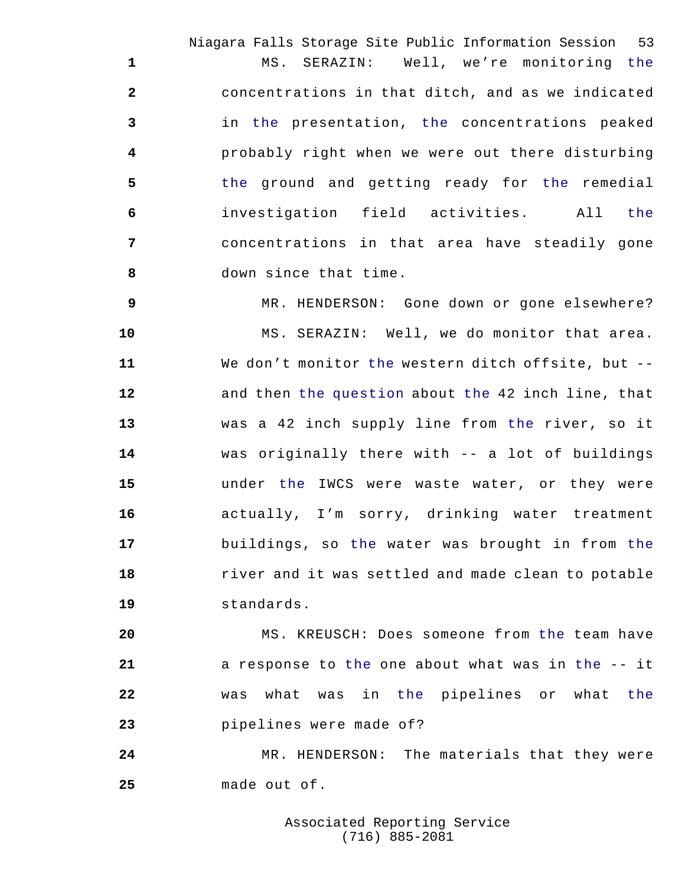Niagara Falls Storage Site Public Information Session 53 MS. SERAZIN: Well, we're monitoring the concentrations in that ditch, and as we indicated in the presentation, the concentrations peaked probably right when we were out there disturbing 5 the ground and getting ready for the remedial investigation field activities. All the concentrations in that area have steadily gone down since that time.

 MR. HENDERSON: Gone down or gone elsewhere? MS. SERAZIN: Well, we do monitor that area. We don't monitor the western ditch offsite, but -- and then the question about the 42 inch line, that was a 42 inch supply line from the river, so it was originally there with -- a lot of buildings under the IWCS were waste water, or they were actually, I'm sorry, drinking water treatment buildings, so the water was brought in from the river and it was settled and made clean to potable standards.

 MS. KREUSCH: Does someone from the team have a response to the one about what was in the -- it was what was in the pipelines or what the pipelines were made of?

 MR. HENDERSON: The materials that they were made out of.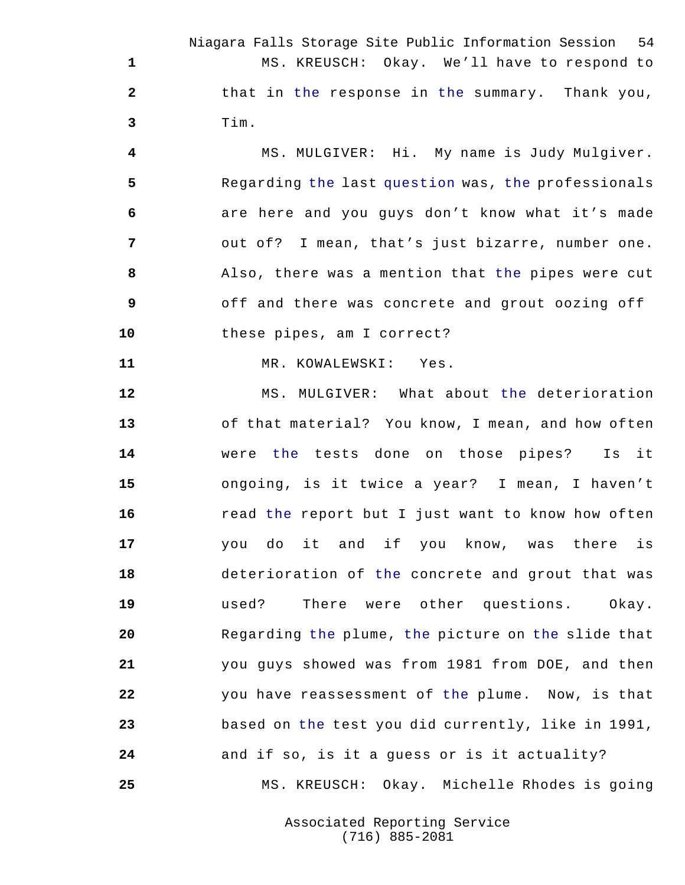Niagara Falls Storage Site Public Information Session 54 MS. KREUSCH: Okay. We'll have to respond to that in the response in the summary. Thank you, Tim.

 MS. MULGIVER: Hi. My name is Judy Mulgiver. Regarding the last question was, the professionals are here and you guys don't know what it's made out of? I mean, that's just bizarre, number one. Also, there was a mention that the pipes were cut off and there was concrete and grout oozing off these pipes, am I correct?

MR. KOWALEWSKI: Yes.

 MS. MULGIVER: What about the deterioration of that material? You know, I mean, and how often were the tests done on those pipes? Is it ongoing, is it twice a year? I mean, I haven't **16** read the report but I just want to know how often you do it and if you know, was there is deterioration of the concrete and grout that was used? There were other questions. Okay. Regarding the plume, the picture on the slide that you guys showed was from 1981 from DOE, and then you have reassessment of the plume. Now, is that based on the test you did currently, like in 1991, and if so, is it a guess or is it actuality? MS. KREUSCH: Okay. Michelle Rhodes is going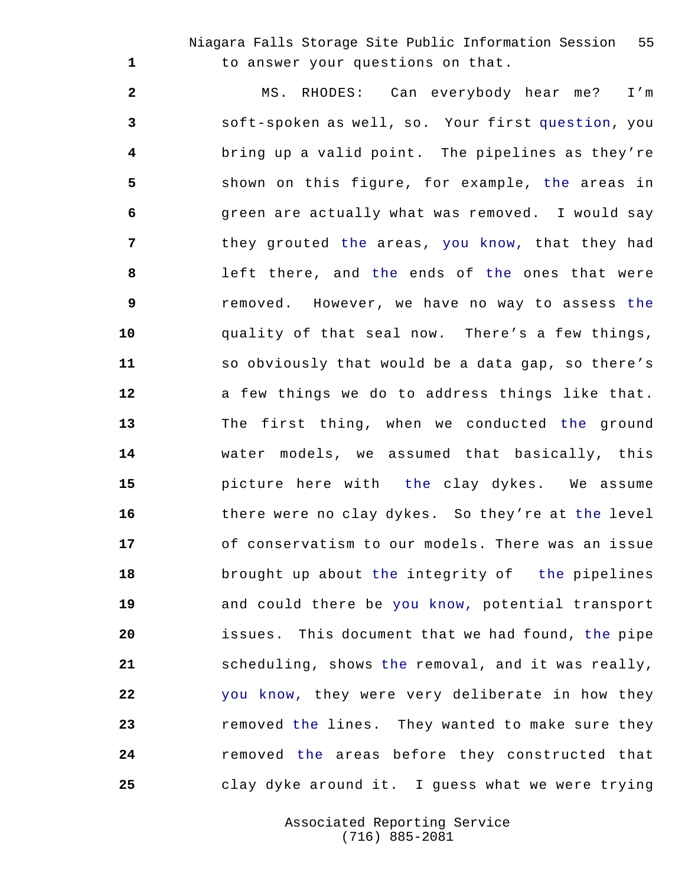Niagara Falls Storage Site Public Information Session 55 to answer your questions on that.

 MS. RHODES: Can everybody hear me? I'm soft-spoken as well, so. Your first question, you bring up a valid point. The pipelines as they're shown on this figure, for example, the areas in green are actually what was removed. I would say they grouted the areas, you know, that they had left there, and the ends of the ones that were removed. However, we have no way to assess the quality of that seal now. There's a few things, so obviously that would be a data gap, so there's a few things we do to address things like that. The first thing, when we conducted the ground water models, we assumed that basically, this picture here with the clay dykes. We assume there were no clay dykes. So they're at the level of conservatism to our models. There was an issue brought up about the integrity of the pipelines and could there be you know, potential transport issues. This document that we had found, the pipe scheduling, shows the removal, and it was really, you know, they were very deliberate in how they removed the lines. They wanted to make sure they removed the areas before they constructed that clay dyke around it. I guess what we were trying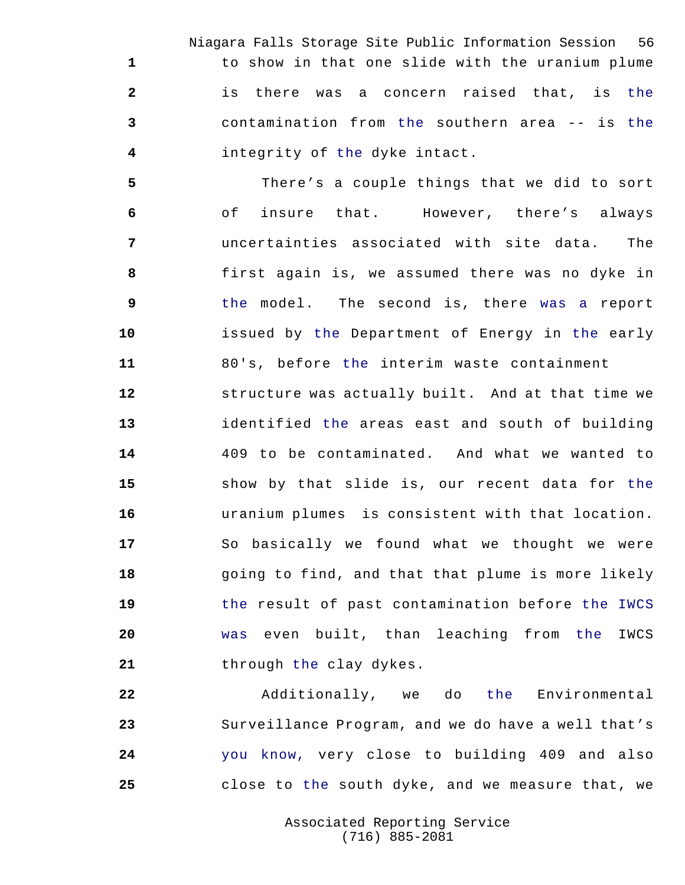Niagara Falls Storage Site Public Information Session 56 to show in that one slide with the uranium plume is there was a concern raised that, is the contamination from the southern area -- is the integrity of the dyke intact.

 There's a couple things that we did to sort of insure that. However, there's always uncertainties associated with site data. The first again is, we assumed there was no dyke in the model. The second is, there was a report issued by the Department of Energy in the early 80's, before the interim waste containment structure was actually built. And at that time we identified the areas east and south of building 409 to be contaminated. And what we wanted to show by that slide is, our recent data for the uranium plumes is consistent with that location. So basically we found what we thought we were **18** going to find, and that that plume is more likely the result of past contamination before the IWCS was even built, than leaching from the IWCS 21 through the clay dykes.

 Additionally, we do the Environmental Surveillance Program, and we do have a well that's you know, very close to building 409 and also close to the south dyke, and we measure that, we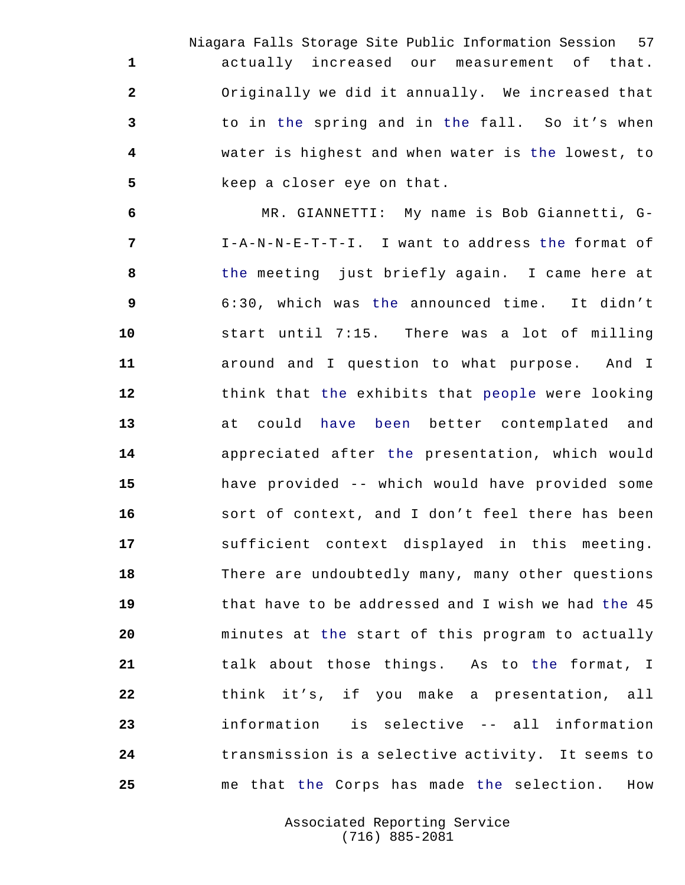Niagara Falls Storage Site Public Information Session 57 actually increased our measurement of that. Originally we did it annually. We increased that to in the spring and in the fall. So it's when water is highest and when water is the lowest, to keep a closer eye on that.

 MR. GIANNETTI: My name is Bob Giannetti, G- I-A-N-N-E-T-T-I. I want to address the format of the meeting just briefly again. I came here at 6:30, which was the announced time. It didn't start until 7:15. There was a lot of milling around and I question to what purpose. And I think that the exhibits that people were looking at could have been better contemplated and appreciated after the presentation, which would have provided -- which would have provided some sort of context, and I don't feel there has been sufficient context displayed in this meeting. There are undoubtedly many, many other questions that have to be addressed and I wish we had the 45 minutes at the start of this program to actually talk about those things. As to the format, I think it's, if you make a presentation, all information is selective -- all information transmission is a selective activity. It seems to me that the Corps has made the selection. How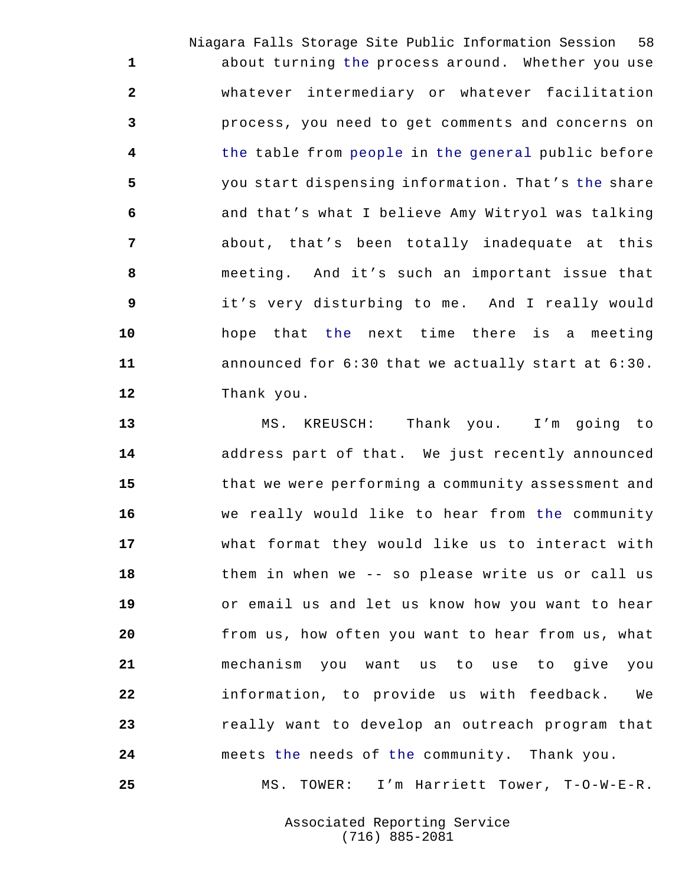Niagara Falls Storage Site Public Information Session 58 about turning the process around. Whether you use whatever intermediary or whatever facilitation process, you need to get comments and concerns on the table from people in the general public before you start dispensing information. That's the share and that's what I believe Amy Witryol was talking about, that's been totally inadequate at this meeting. And it's such an important issue that it's very disturbing to me. And I really would hope that the next time there is a meeting announced for 6:30 that we actually start at 6:30. Thank you.

 MS. KREUSCH: Thank you. I'm going to address part of that. We just recently announced that we were performing a community assessment and we really would like to hear from the community what format they would like us to interact with them in when we -- so please write us or call us or email us and let us know how you want to hear from us, how often you want to hear from us, what mechanism you want us to use to give you information, to provide us with feedback. We really want to develop an outreach program that meets the needs of the community. Thank you.

MS. TOWER: I'm Harriett Tower, T-O-W-E-R.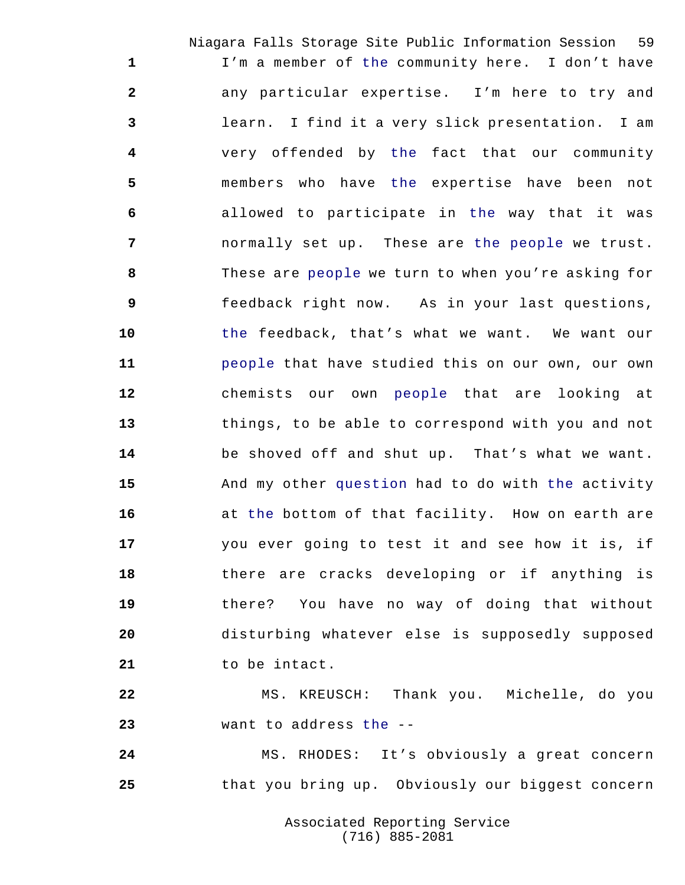Niagara Falls Storage Site Public Information Session 59 I'm a member of the community here. I don't have any particular expertise. I'm here to try and learn. I find it a very slick presentation. I am very offended by the fact that our community members who have the expertise have been not allowed to participate in the way that it was normally set up. These are the people we trust. These are people we turn to when you're asking for feedback right now. As in your last questions, the feedback, that's what we want. We want our people that have studied this on our own, our own chemists our own people that are looking at things, to be able to correspond with you and not be shoved off and shut up. That's what we want. And my other question had to do with the activity at the bottom of that facility. How on earth are you ever going to test it and see how it is, if there are cracks developing or if anything is there? You have no way of doing that without disturbing whatever else is supposedly supposed to be intact.

 MS. KREUSCH: Thank you. Michelle, do you want to address the --

 MS. RHODES: It's obviously a great concern that you bring up. Obviously our biggest concern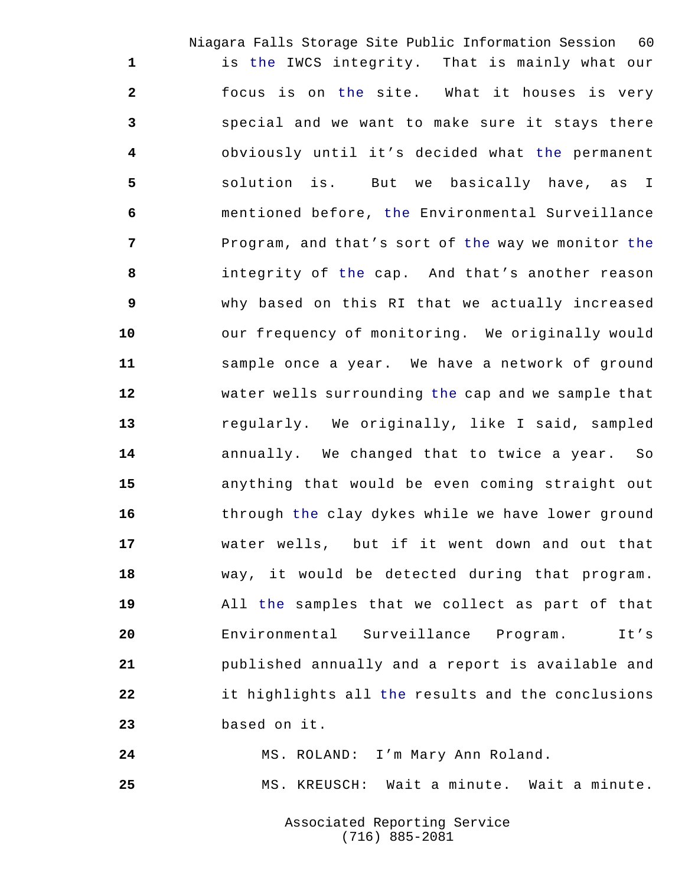Niagara Falls Storage Site Public Information Session 60 is the IWCS integrity. That is mainly what our focus is on the site. What it houses is very special and we want to make sure it stays there obviously until it's decided what the permanent solution is. But we basically have, as I mentioned before, the Environmental Surveillance Program, and that's sort of the way we monitor the integrity of the cap. And that's another reason why based on this RI that we actually increased our frequency of monitoring. We originally would sample once a year. We have a network of ground water wells surrounding the cap and we sample that regularly. We originally, like I said, sampled annually. We changed that to twice a year. So anything that would be even coming straight out 16 through the clay dykes while we have lower ground water wells, but if it went down and out that way, it would be detected during that program. All the samples that we collect as part of that Environmental Surveillance Program. It's published annually and a report is available and it highlights all the results and the conclusions based on it.

MS. ROLAND: I'm Mary Ann Roland.

MS. KREUSCH: Wait a minute. Wait a minute.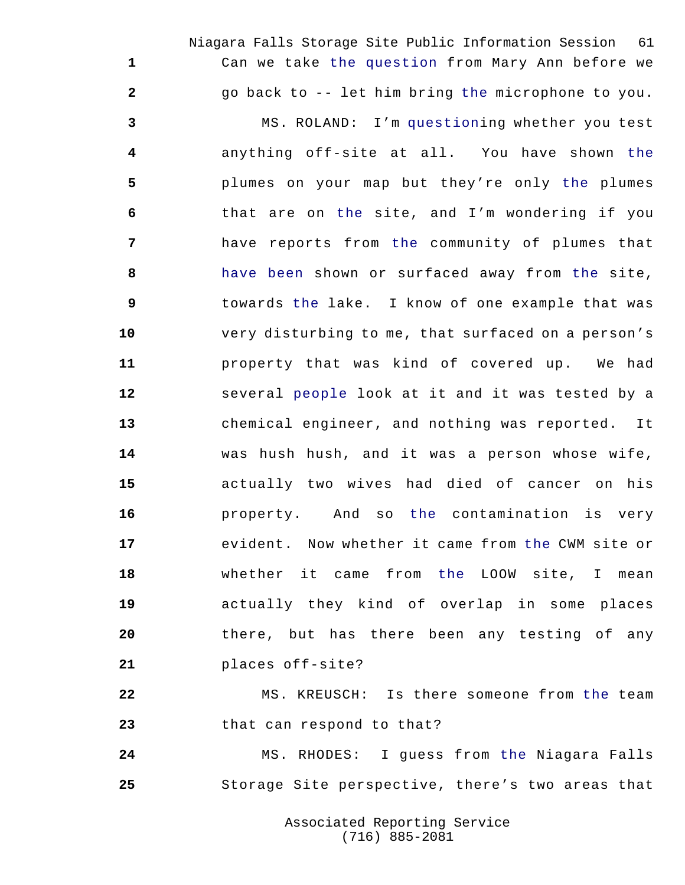Niagara Falls Storage Site Public Information Session 61 Can we take the question from Mary Ann before we go back to -- let him bring the microphone to you. MS. ROLAND: I'm questioning whether you test anything off-site at all. You have shown the plumes on your map but they're only the plumes that are on the site, and I'm wondering if you have reports from the community of plumes that have been shown or surfaced away from the site, towards the lake. I know of one example that was very disturbing to me, that surfaced on a person's property that was kind of covered up. We had several people look at it and it was tested by a chemical engineer, and nothing was reported. It was hush hush, and it was a person whose wife, actually two wives had died of cancer on his property. And so the contamination is very evident. Now whether it came from the CWM site or whether it came from the LOOW site, I mean actually they kind of overlap in some places there, but has there been any testing of any places off-site?

 MS. KREUSCH: Is there someone from the team that can respond to that?

 MS. RHODES: I guess from the Niagara Falls Storage Site perspective, there's two areas that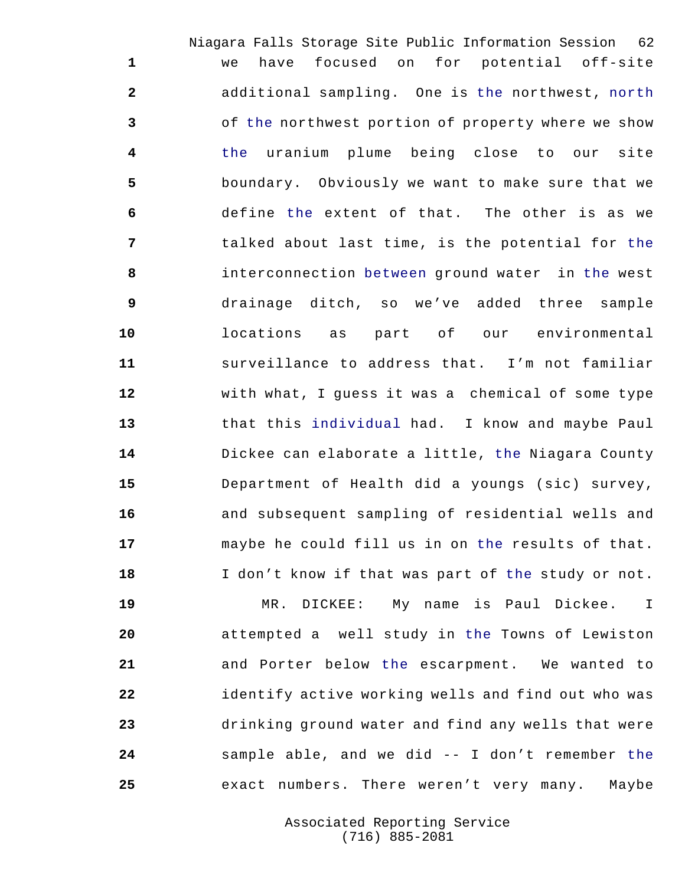Niagara Falls Storage Site Public Information Session 62 we have focused on for potential off-site additional sampling. One is the northwest, north of the northwest portion of property where we show the uranium plume being close to our site boundary. Obviously we want to make sure that we define the extent of that. The other is as we talked about last time, is the potential for the interconnection between ground water in the west drainage ditch, so we've added three sample locations as part of our environmental surveillance to address that. I'm not familiar with what, I guess it was a chemical of some type that this individual had. I know and maybe Paul Dickee can elaborate a little, the Niagara County Department of Health did a youngs (sic) survey, and subsequent sampling of residential wells and maybe he could fill us in on the results of that. I don't know if that was part of the study or not.

 MR. DICKEE: My name is Paul Dickee. I attempted a well study in the Towns of Lewiston and Porter below the escarpment. We wanted to identify active working wells and find out who was drinking ground water and find any wells that were sample able, and we did -- I don't remember the exact numbers. There weren't very many. Maybe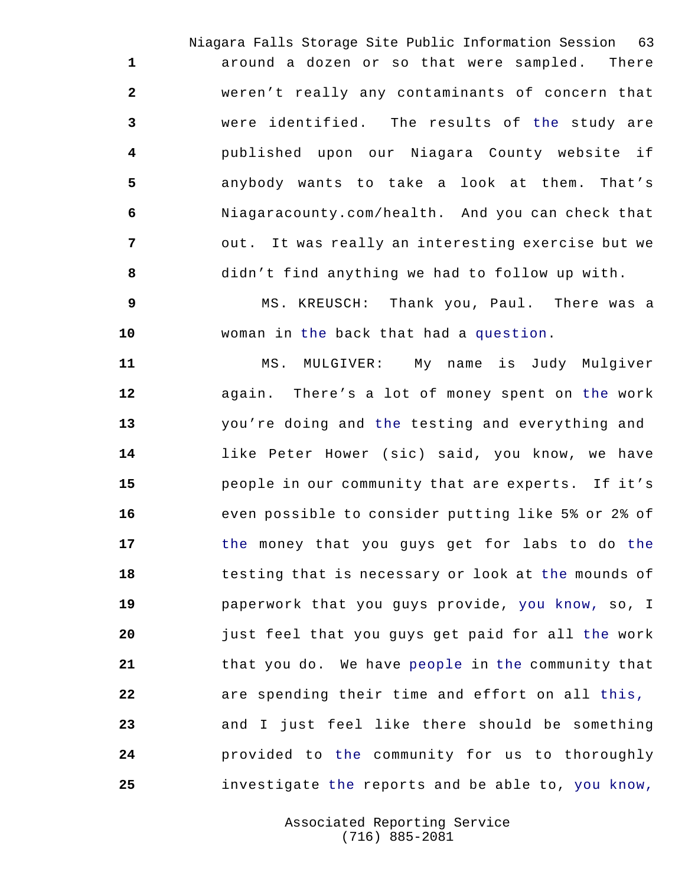Niagara Falls Storage Site Public Information Session 63 around a dozen or so that were sampled. There weren't really any contaminants of concern that were identified. The results of the study are published upon our Niagara County website if anybody wants to take a look at them. That's Niagaracounty.com/health. And you can check that out. It was really an interesting exercise but we didn't find anything we had to follow up with.

 MS. KREUSCH: Thank you, Paul. There was a woman in the back that had a question.

 MS. MULGIVER: My name is Judy Mulgiver again. There's a lot of money spent on the work you're doing and the testing and everything and like Peter Hower (sic) said, you know, we have people in our community that are experts. If it's even possible to consider putting like 5% or 2% of the money that you guys get for labs to do the testing that is necessary or look at the mounds of paperwork that you guys provide, you know, so, I just feel that you guys get paid for all the work that you do. We have people in the community that are spending their time and effort on all this, and I just feel like there should be something provided to the community for us to thoroughly investigate the reports and be able to, you know,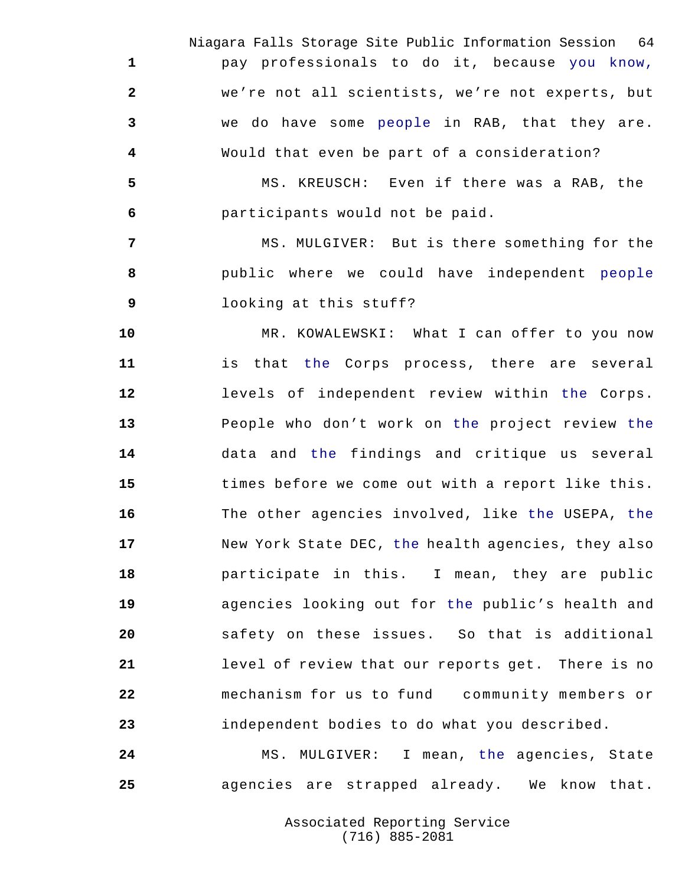Niagara Falls Storage Site Public Information Session 64 pay professionals to do it, because you know, we're not all scientists, we're not experts, but we do have some people in RAB, that they are. Would that even be part of a consideration?

 MS. KREUSCH: Even if there was a RAB, the participants would not be paid.

 MS. MULGIVER: But is there something for the public where we could have independent people looking at this stuff?

 MR. KOWALEWSKI: What I can offer to you now is that the Corps process, there are several levels of independent review within the Corps. People who don't work on the project review the data and the findings and critique us several times before we come out with a report like this. The other agencies involved, like the USEPA, the New York State DEC, the health agencies, they also participate in this. I mean, they are public agencies looking out for the public's health and safety on these issues. So that is additional level of review that our reports get. There is no mechanism for us to fund community members or independent bodies to do what you described.

 MS. MULGIVER: I mean, the agencies, State agencies are strapped already. We know that.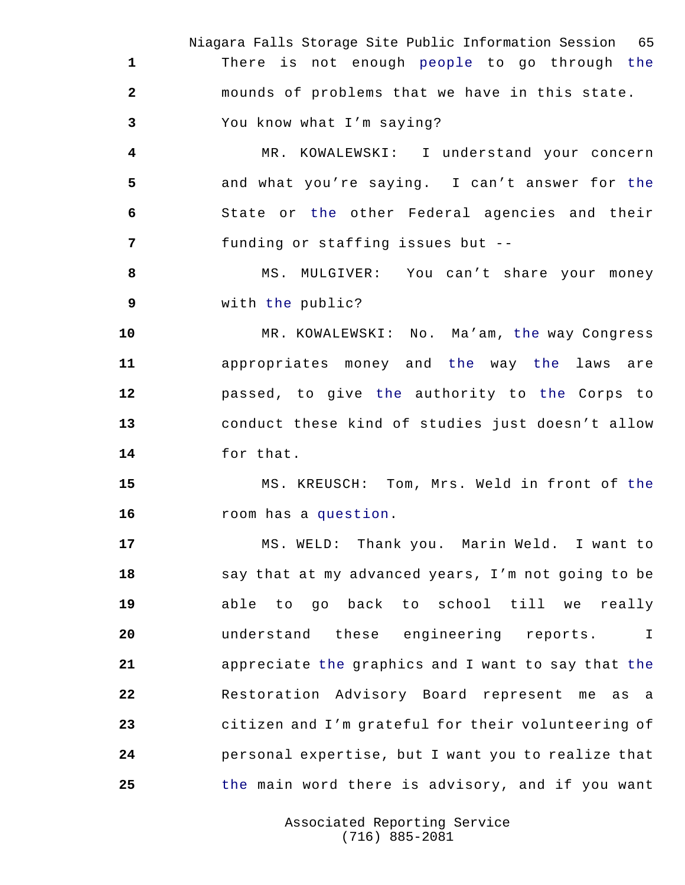Niagara Falls Storage Site Public Information Session 65 There is not enough people to go through the mounds of problems that we have in this state. You know what I'm saying?

 MR. KOWALEWSKI: I understand your concern and what you're saying. I can't answer for the State or the other Federal agencies and their funding or staffing issues but --

8 MS. MULGIVER: You can't share your money with the public?

 MR. KOWALEWSKI: No. Ma'am, the way Congress appropriates money and the way the laws are passed, to give the authority to the Corps to conduct these kind of studies just doesn't allow for that.

 MS. KREUSCH: Tom, Mrs. Weld in front of the room has a question.

 MS. WELD: Thank you. Marin Weld. I want to say that at my advanced years, I'm not going to be able to go back to school till we really understand these engineering reports. I appreciate the graphics and I want to say that the Restoration Advisory Board represent me as a citizen and I'm grateful for their volunteering of personal expertise, but I want you to realize that the main word there is advisory, and if you want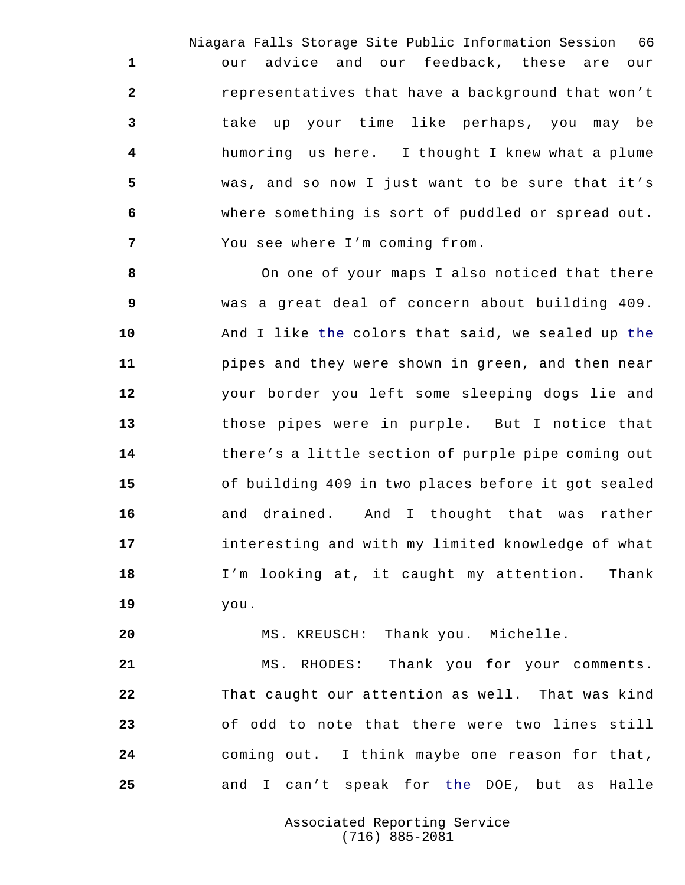Niagara Falls Storage Site Public Information Session 66 our advice and our feedback, these are our representatives that have a background that won't take up your time like perhaps, you may be humoring us here. I thought I knew what a plume was, and so now I just want to be sure that it's where something is sort of puddled or spread out. You see where I'm coming from.

 On one of your maps I also noticed that there was a great deal of concern about building 409. And I like the colors that said, we sealed up the pipes and they were shown in green, and then near your border you left some sleeping dogs lie and those pipes were in purple. But I notice that there's a little section of purple pipe coming out of building 409 in two places before it got sealed and drained. And I thought that was rather interesting and with my limited knowledge of what I'm looking at, it caught my attention. Thank you.

MS. KREUSCH: Thank you. Michelle.

 MS. RHODES: Thank you for your comments. That caught our attention as well. That was kind of odd to note that there were two lines still coming out. I think maybe one reason for that, and I can't speak for the DOE, but as Halle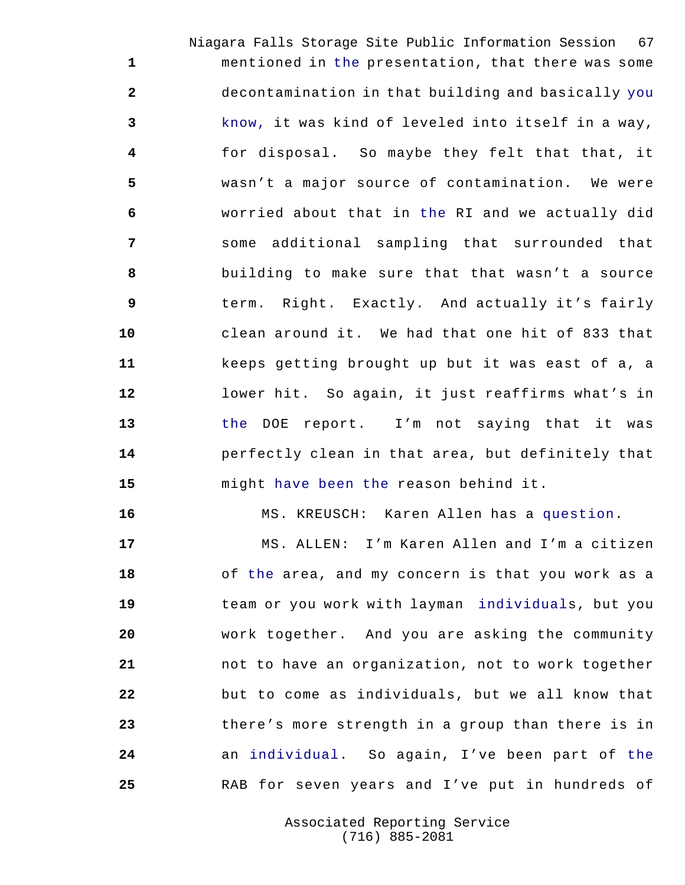Niagara Falls Storage Site Public Information Session 67 mentioned in the presentation, that there was some decontamination in that building and basically you know, it was kind of leveled into itself in a way, for disposal. So maybe they felt that that, it wasn't a major source of contamination. We were worried about that in the RI and we actually did some additional sampling that surrounded that building to make sure that that wasn't a source term. Right. Exactly. And actually it's fairly clean around it. We had that one hit of 833 that keeps getting brought up but it was east of a, a lower hit. So again, it just reaffirms what's in the DOE report. I'm not saying that it was perfectly clean in that area, but definitely that might have been the reason behind it.

MS. KREUSCH: Karen Allen has a question.

 MS. ALLEN: I'm Karen Allen and I'm a citizen of the area, and my concern is that you work as a team or you work with layman individuals, but you work together. And you are asking the community not to have an organization, not to work together but to come as individuals, but we all know that there's more strength in a group than there is in an individual. So again, I've been part of the RAB for seven years and I've put in hundreds of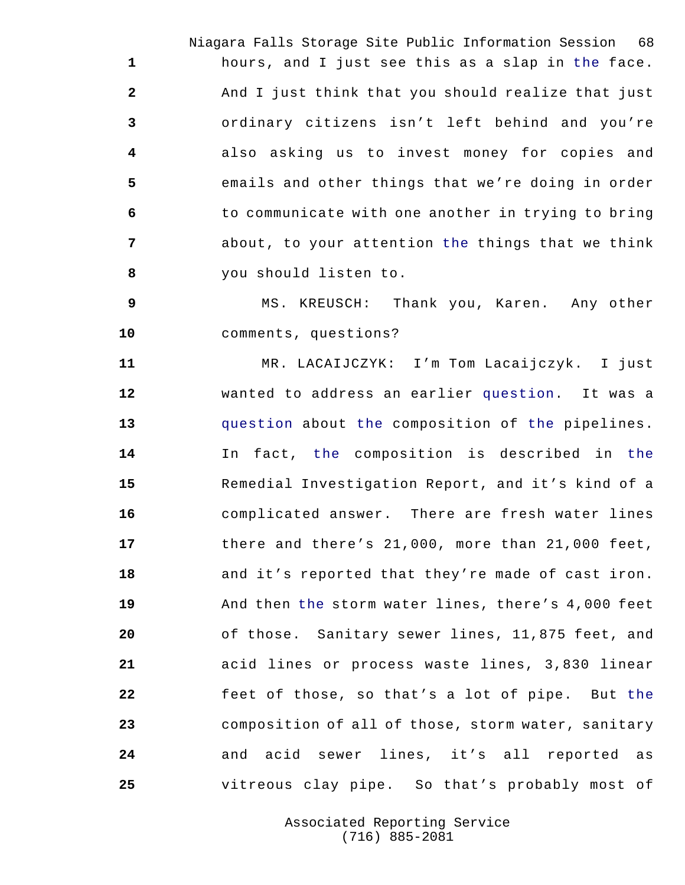Niagara Falls Storage Site Public Information Session 68 hours, and I just see this as a slap in the face. And I just think that you should realize that just ordinary citizens isn't left behind and you're also asking us to invest money for copies and emails and other things that we're doing in order to communicate with one another in trying to bring about, to your attention the things that we think you should listen to.

 MS. KREUSCH: Thank you, Karen. Any other comments, questions?

 MR. LACAIJCZYK: I'm Tom Lacaijczyk. I just wanted to address an earlier question. It was a question about the composition of the pipelines. In fact, the composition is described in the Remedial Investigation Report, and it's kind of a complicated answer. There are fresh water lines there and there's 21,000, more than 21,000 feet, and it's reported that they're made of cast iron. And then the storm water lines, there's 4,000 feet of those. Sanitary sewer lines, 11,875 feet, and acid lines or process waste lines, 3,830 linear feet of those, so that's a lot of pipe. But the composition of all of those, storm water, sanitary and acid sewer lines, it's all reported as vitreous clay pipe. So that's probably most of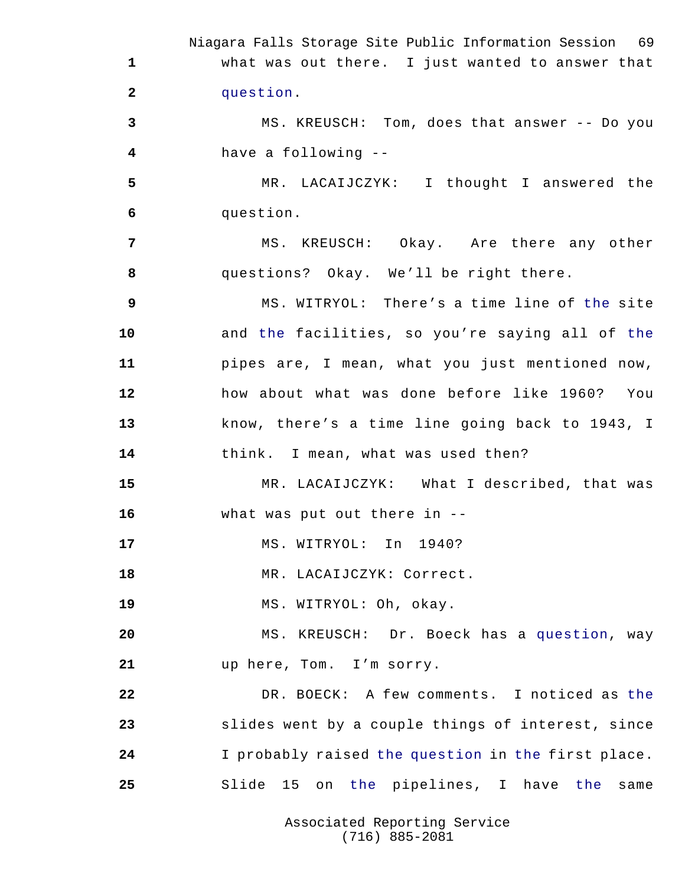Niagara Falls Storage Site Public Information Session 69 what was out there. I just wanted to answer that question. MS. KREUSCH: Tom, does that answer -- Do you have a following -- MR. LACAIJCZYK: I thought I answered the question. MS. KREUSCH: Okay. Are there any other questions? Okay. We'll be right there. MS. WITRYOL: There's a time line of the site and the facilities, so you're saying all of the pipes are, I mean, what you just mentioned now, how about what was done before like 1960? You know, there's a time line going back to 1943, I think. I mean, what was used then? MR. LACAIJCZYK: What I described, that was what was put out there in -- MS. WITRYOL: In 1940? 18 MR. LACAIJCZYK: Correct. MS. WITRYOL: Oh, okay. MS. KREUSCH: Dr. Boeck has a question, way up here, Tom. I'm sorry. DR. BOECK: A few comments. I noticed as the slides went by a couple things of interest, since I probably raised the question in the first place. Slide 15 on the pipelines, I have the same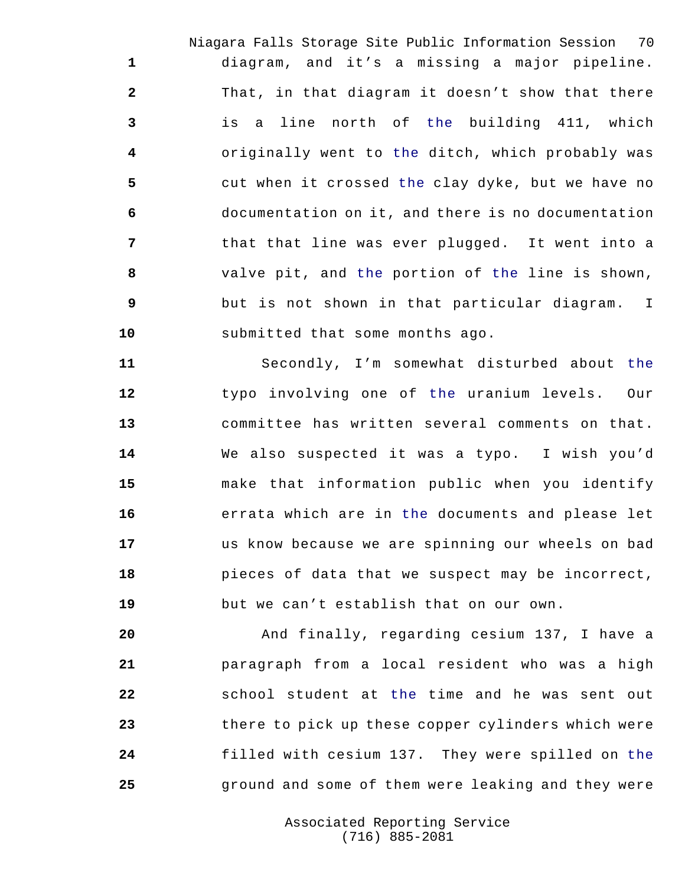Niagara Falls Storage Site Public Information Session 70 diagram, and it's a missing a major pipeline. That, in that diagram it doesn't show that there is a line north of the building 411, which originally went to the ditch, which probably was cut when it crossed the clay dyke, but we have no documentation on it, and there is no documentation that that line was ever plugged. It went into a valve pit, and the portion of the line is shown, but is not shown in that particular diagram. I submitted that some months ago.

 Secondly, I'm somewhat disturbed about the typo involving one of the uranium levels. Our committee has written several comments on that. We also suspected it was a typo. I wish you'd make that information public when you identify errata which are in the documents and please let us know because we are spinning our wheels on bad pieces of data that we suspect may be incorrect, but we can't establish that on our own.

 And finally, regarding cesium 137, I have a paragraph from a local resident who was a high school student at the time and he was sent out there to pick up these copper cylinders which were filled with cesium 137. They were spilled on the ground and some of them were leaking and they were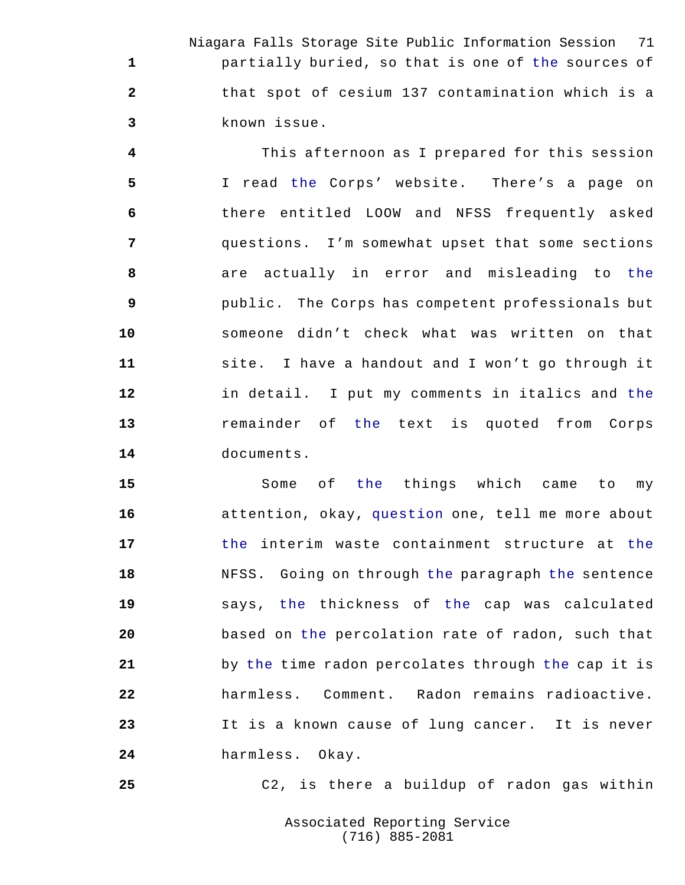Niagara Falls Storage Site Public Information Session 71 partially buried, so that is one of the sources of that spot of cesium 137 contamination which is a known issue.

 This afternoon as I prepared for this session I read the Corps' website. There's a page on there entitled LOOW and NFSS frequently asked questions. I'm somewhat upset that some sections are actually in error and misleading to the public. The Corps has competent professionals but someone didn't check what was written on that site. I have a handout and I won't go through it in detail. I put my comments in italics and the remainder of the text is quoted from Corps documents.

 Some of the things which came to my attention, okay, question one, tell me more about the interim waste containment structure at the NFSS. Going on through the paragraph the sentence says, the thickness of the cap was calculated based on the percolation rate of radon, such that by the time radon percolates through the cap it is harmless. Comment. Radon remains radioactive. It is a known cause of lung cancer. It is never harmless. Okay.

C2, is there a buildup of radon gas within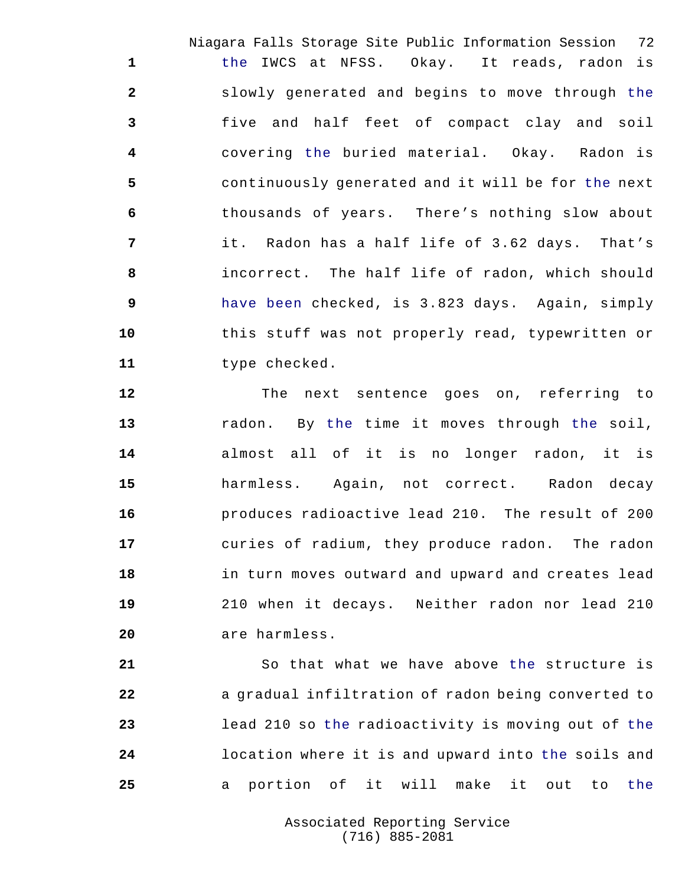Niagara Falls Storage Site Public Information Session 72 the IWCS at NFSS. Okay. It reads, radon is slowly generated and begins to move through the five and half feet of compact clay and soil covering the buried material. Okay. Radon is continuously generated and it will be for the next thousands of years. There's nothing slow about it. Radon has a half life of 3.62 days. That's incorrect. The half life of radon, which should have been checked, is 3.823 days. Again, simply this stuff was not properly read, typewritten or type checked.

 The next sentence goes on, referring to radon. By the time it moves through the soil, almost all of it is no longer radon, it is harmless. Again, not correct. Radon decay produces radioactive lead 210. The result of 200 curies of radium, they produce radon. The radon in turn moves outward and upward and creates lead 210 when it decays. Neither radon nor lead 210 are harmless.

 So that what we have above the structure is **a** gradual infiltration of radon being converted to lead 210 so the radioactivity is moving out of the location where it is and upward into the soils and a portion of it will make it out to the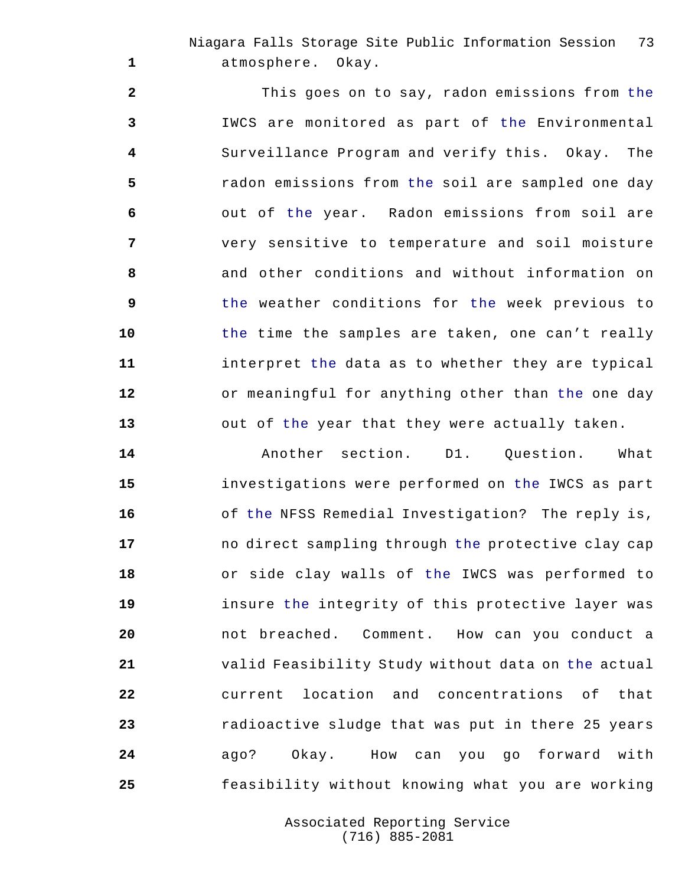Niagara Falls Storage Site Public Information Session 73 atmosphere. Okay.

 This goes on to say, radon emissions from the IWCS are monitored as part of the Environmental Surveillance Program and verify this. Okay. The radon emissions from the soil are sampled one day out of the year. Radon emissions from soil are very sensitive to temperature and soil moisture and other conditions and without information on the weather conditions for the week previous to the time the samples are taken, one can't really interpret the data as to whether they are typical or meaningful for anything other than the one day out of the year that they were actually taken.

 Another section. D1. Question. What investigations were performed on the IWCS as part of the NFSS Remedial Investigation? The reply is, no direct sampling through the protective clay cap or side clay walls of the IWCS was performed to insure the integrity of this protective layer was not breached. Comment. How can you conduct a valid Feasibility Study without data on the actual current location and concentrations of that radioactive sludge that was put in there 25 years ago? Okay. How can you go forward with feasibility without knowing what you are working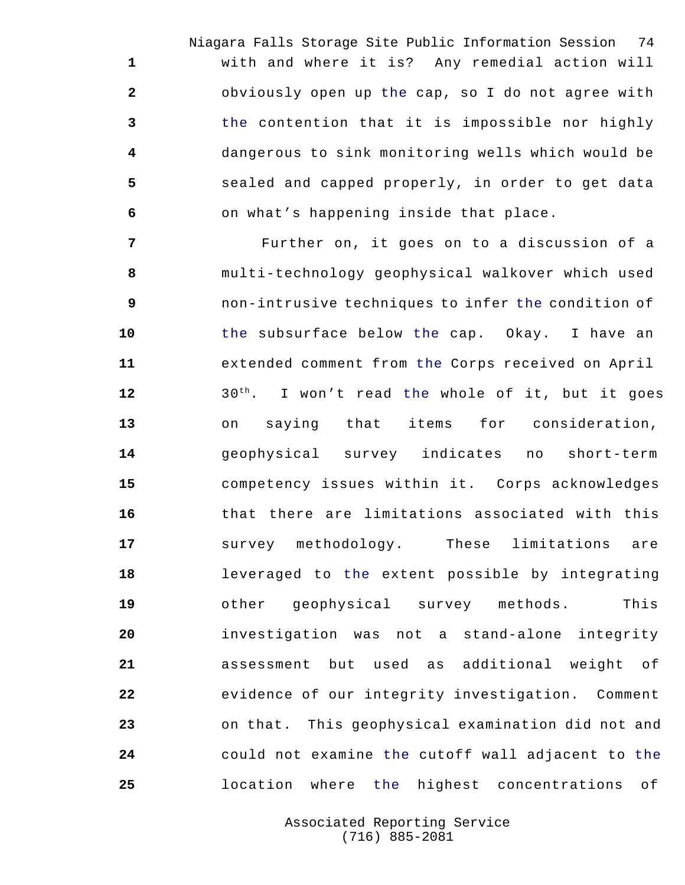Niagara Falls Storage Site Public Information Session 74 with and where it is? Any remedial action will obviously open up the cap, so I do not agree with the contention that it is impossible nor highly dangerous to sink monitoring wells which would be sealed and capped properly, in order to get data on what's happening inside that place.

 **Further on, it goes on to a discussion of a**  multi-technology geophysical walkover which used non-intrusive techniques to infer the condition of the subsurface below the cap. Okay. I have an extended comment from the Corps received on April 12 30<sup>th</sup>. I won't read the whole of it, but it goes on saying that items for consideration, geophysical survey indicates no short-term competency issues within it. Corps acknowledges that there are limitations associated with this survey methodology. These limitations are leveraged to the extent possible by integrating other geophysical survey methods. This investigation was not a stand-alone integrity assessment but used as additional weight of evidence of our integrity investigation. Comment on that. This geophysical examination did not and could not examine the cutoff wall adjacent to the location where the highest concentrations of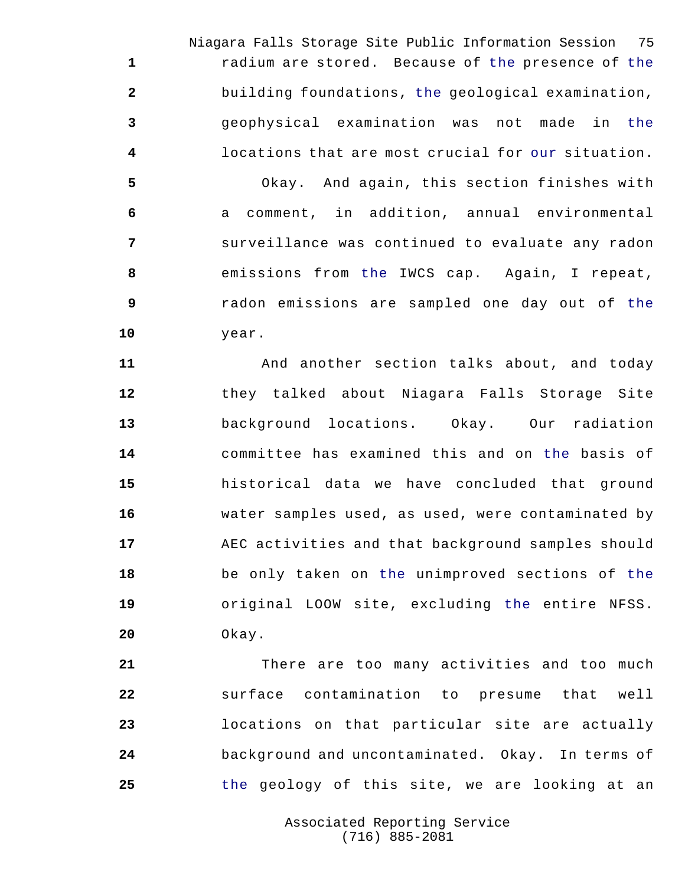Niagara Falls Storage Site Public Information Session 75 radium are stored. Because of the presence of the building foundations, the geological examination, geophysical examination was not made in the locations that are most crucial for our situation.

 Okay. And again, this section finishes with a comment, in addition, annual environmental surveillance was continued to evaluate any radon emissions from the IWCS cap. Again, I repeat, radon emissions are sampled one day out of the year.

 And another section talks about, and today they talked about Niagara Falls Storage Site background locations. Okay. Our radiation committee has examined this and on the basis of historical data we have concluded that ground water samples used, as used, were contaminated by AEC activities and that background samples should be only taken on the unimproved sections of the original LOOW site, excluding the entire NFSS. Okay.

 There are too many activities and too much surface contamination to presume that well locations on that particular site are actually background and uncontaminated. Okay. In terms of the geology of this site, we are looking at an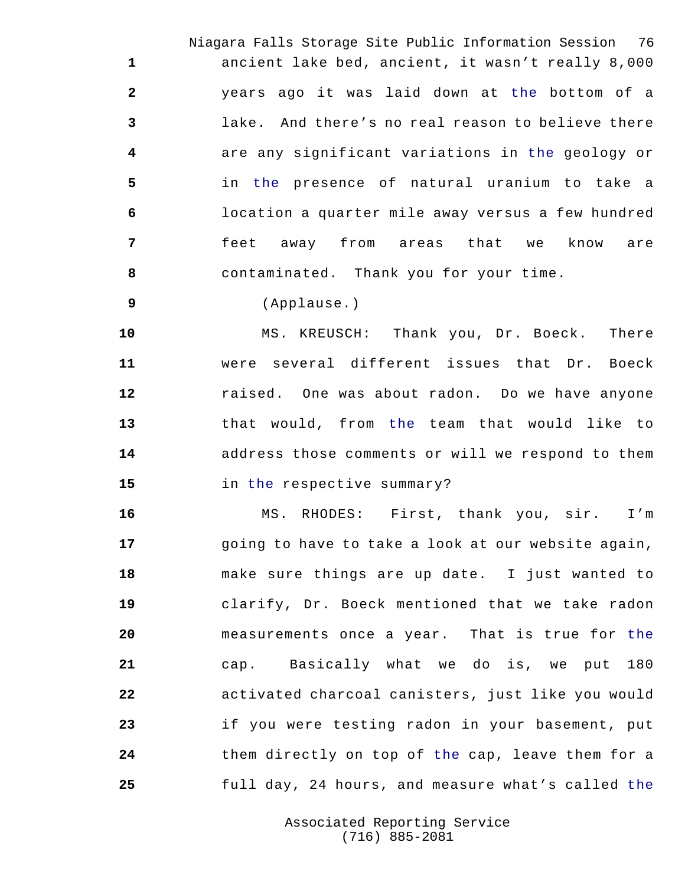Niagara Falls Storage Site Public Information Session 76 ancient lake bed, ancient, it wasn't really 8,000 years ago it was laid down at the bottom of a lake. And there's no real reason to believe there are any significant variations in the geology or in the presence of natural uranium to take a location a quarter mile away versus a few hundred feet away from areas that we know are contaminated. Thank you for your time.

(Applause.)

 MS. KREUSCH: Thank you, Dr. Boeck. There were several different issues that Dr. Boeck raised. One was about radon. Do we have anyone that would, from the team that would like to address those comments or will we respond to them in the respective summary?

 MS. RHODES: First, thank you, sir. I'm going to have to take a look at our website again, make sure things are up date. I just wanted to clarify, Dr. Boeck mentioned that we take radon measurements once a year. That is true for the cap. Basically what we do is, we put 180 activated charcoal canisters, just like you would if you were testing radon in your basement, put them directly on top of the cap, leave them for a full day, 24 hours, and measure what's called the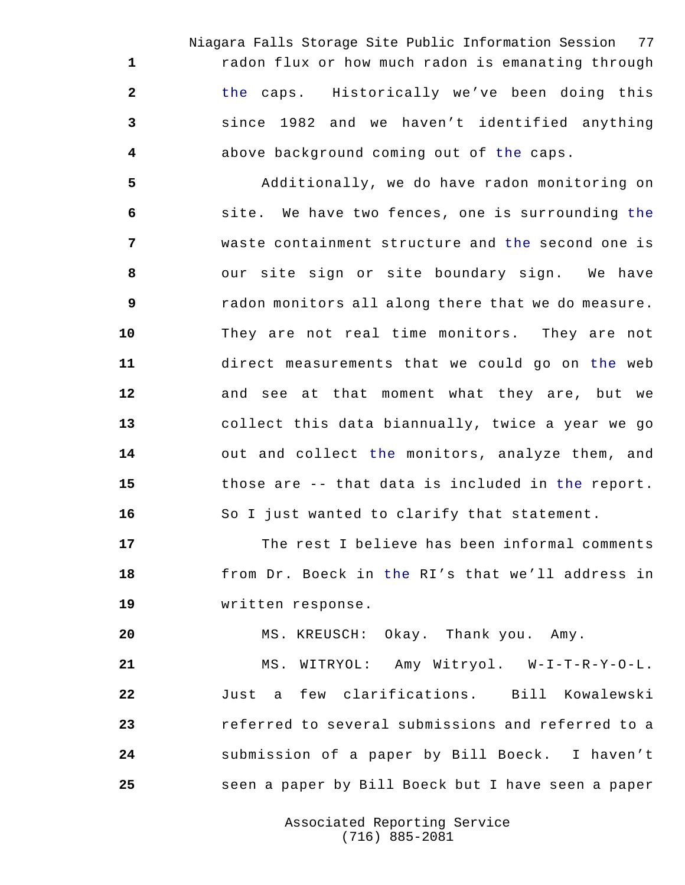Niagara Falls Storage Site Public Information Session 77 radon flux or how much radon is emanating through the caps. Historically we've been doing this since 1982 and we haven't identified anything above background coming out of the caps.

 Additionally, we do have radon monitoring on site. We have two fences, one is surrounding the waste containment structure and the second one is our site sign or site boundary sign. We have radon monitors all along there that we do measure. They are not real time monitors. They are not direct measurements that we could go on the web and see at that moment what they are, but we collect this data biannually, twice a year we go 14 out and collect the monitors, analyze them, and those are -- that data is included in the report. So I just wanted to clarify that statement.

 The rest I believe has been informal comments from Dr. Boeck in the RI's that we'll address in written response.

MS. KREUSCH: Okay. Thank you. Amy.

 MS. WITRYOL: Amy Witryol. W-I-T-R-Y-O-L. Just a few clarifications. Bill Kowalewski referred to several submissions and referred to a submission of a paper by Bill Boeck. I haven't seen a paper by Bill Boeck but I have seen a paper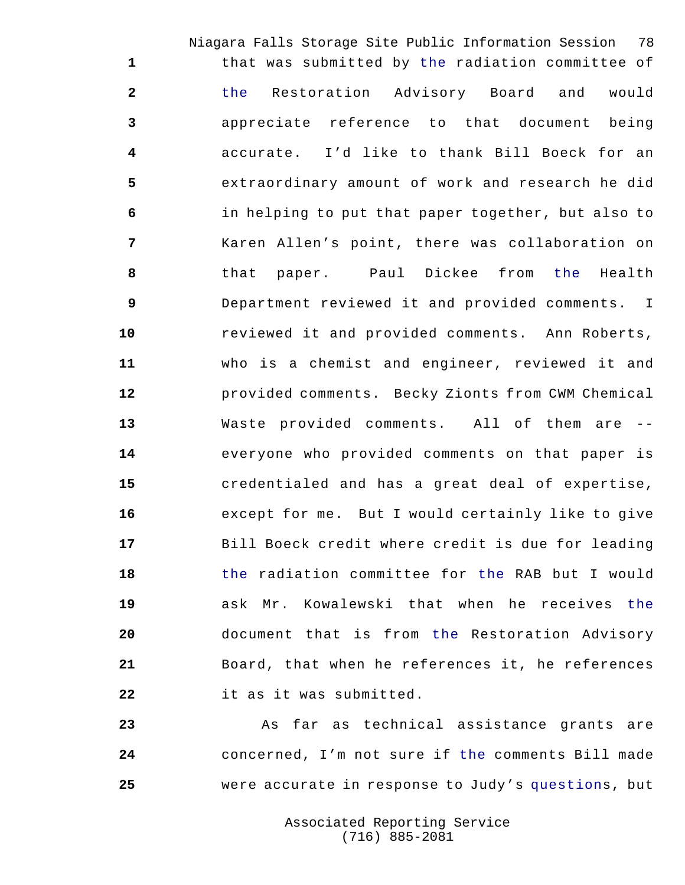Niagara Falls Storage Site Public Information Session 78 that was submitted by the radiation committee of the Restoration Advisory Board and would appreciate reference to that document being accurate. I'd like to thank Bill Boeck for an extraordinary amount of work and research he did in helping to put that paper together, but also to Karen Allen's point, there was collaboration on that paper. Paul Dickee from the Health Department reviewed it and provided comments. I reviewed it and provided comments. Ann Roberts, who is a chemist and engineer, reviewed it and provided comments. Becky Zionts from CWM Chemical Waste provided comments. All of them are -- everyone who provided comments on that paper is credentialed and has a great deal of expertise, except for me. But I would certainly like to give Bill Boeck credit where credit is due for leading the radiation committee for the RAB but I would ask Mr. Kowalewski that when he receives the document that is from the Restoration Advisory Board, that when he references it, he references it as it was submitted.

 As far as technical assistance grants are concerned, I'm not sure if the comments Bill made were accurate in response to Judy's questions, but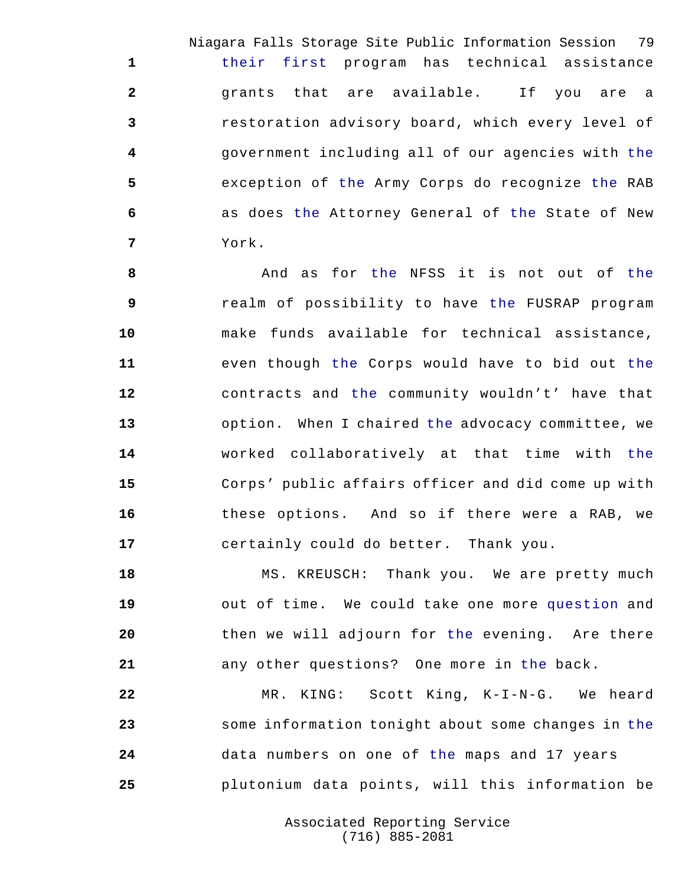Niagara Falls Storage Site Public Information Session 79 their first program has technical assistance grants that are available. If you are a restoration advisory board, which every level of government including all of our agencies with the exception of the Army Corps do recognize the RAB as does the Attorney General of the State of New York.

8 And as for the NFSS it is not out of the realm of possibility to have the FUSRAP program make funds available for technical assistance, even though the Corps would have to bid out the contracts and the community wouldn't' have that option. When I chaired the advocacy committee, we worked collaboratively at that time with the Corps' public affairs officer and did come up with these options. And so if there were a RAB, we certainly could do better. Thank you.

 MS. KREUSCH: Thank you. We are pretty much out of time. We could take one more question and then we will adjourn for the evening. Are there any other questions? One more in the back.

 MR. KING: Scott King, K-I-N-G. We heard some information tonight about some changes in the data numbers on one of the maps and 17 years plutonium data points, will this information be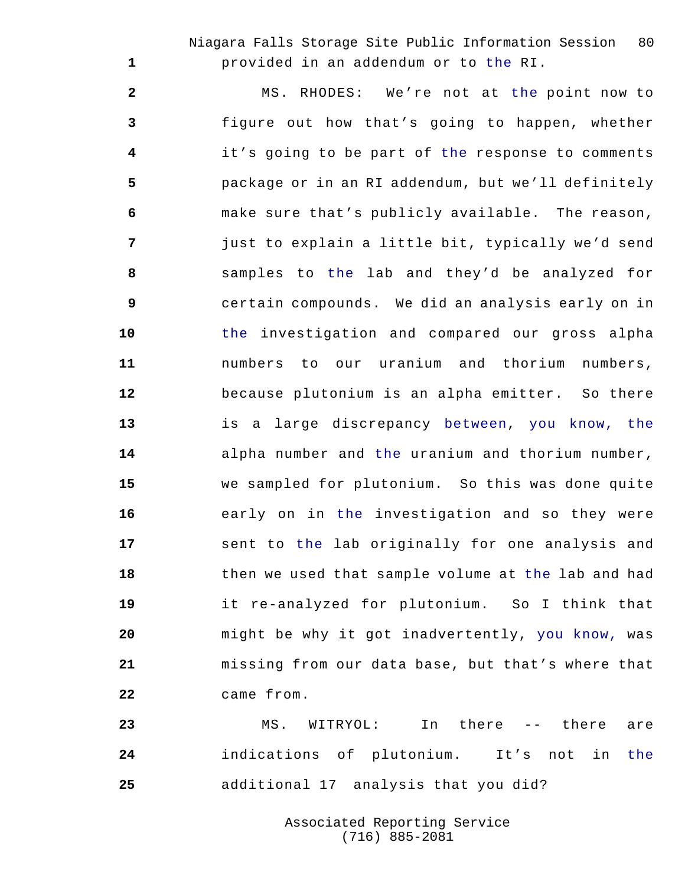Niagara Falls Storage Site Public Information Session 80 provided in an addendum or to the RI.

 MS. RHODES: We're not at the point now to figure out how that's going to happen, whether it's going to be part of the response to comments package or in an RI addendum, but we'll definitely make sure that's publicly available. The reason, just to explain a little bit, typically we'd send samples to the lab and they'd be analyzed for certain compounds. We did an analysis early on in the investigation and compared our gross alpha numbers to our uranium and thorium numbers, because plutonium is an alpha emitter. So there is a large discrepancy between, you know, the alpha number and the uranium and thorium number, we sampled for plutonium. So this was done quite early on in the investigation and so they were sent to the lab originally for one analysis and then we used that sample volume at the lab and had it re-analyzed for plutonium. So I think that might be why it got inadvertently, you know, was missing from our data base, but that's where that came from.

 MS. WITRYOL: In there -- there are indications of plutonium. It's not in the additional 17 analysis that you did?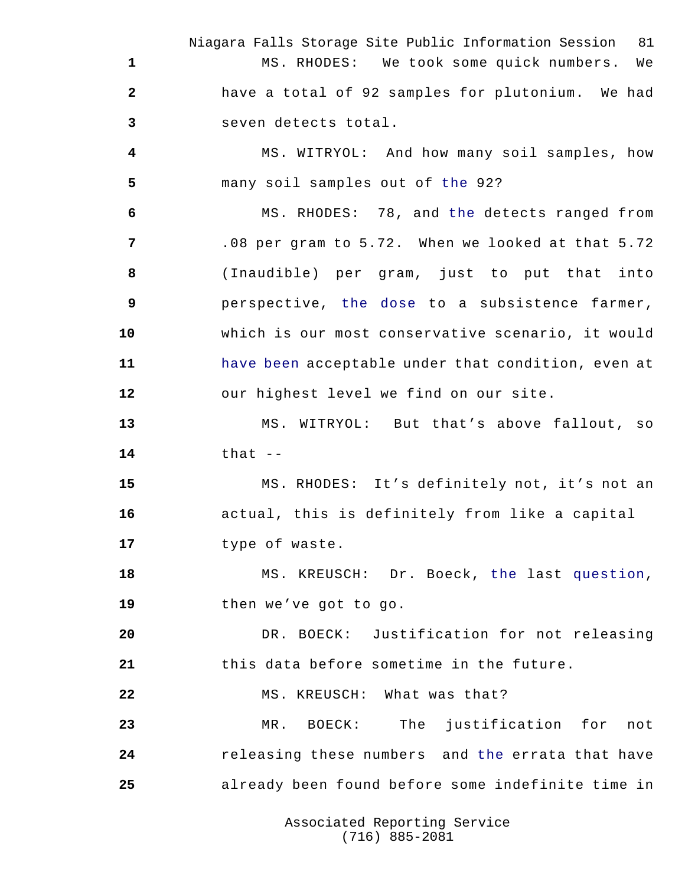Niagara Falls Storage Site Public Information Session 81 MS. RHODES: We took some quick numbers. We have a total of 92 samples for plutonium. We had seven detects total.

 MS. WITRYOL: And how many soil samples, how many soil samples out of the 92?

 MS. RHODES: 78, and the detects ranged from .08 per gram to 5.72. When we looked at that 5.72 (Inaudible) per gram, just to put that into perspective, the dose to a subsistence farmer, which is our most conservative scenario, it would have been acceptable under that condition, even at our highest level we find on our site.

 MS. WITRYOL: But that's above fallout, so that --

 MS. RHODES: It's definitely not, it's not an actual, this is definitely from like a capital type of waste.

 MS. KREUSCH: Dr. Boeck, the last question, then we've got to go.

 DR. BOECK: Justification for not releasing this data before sometime in the future.

22 MS. KREUSCH: What was that?

 MR. BOECK: The justification for not releasing these numbers and the errata that have already been found before some indefinite time in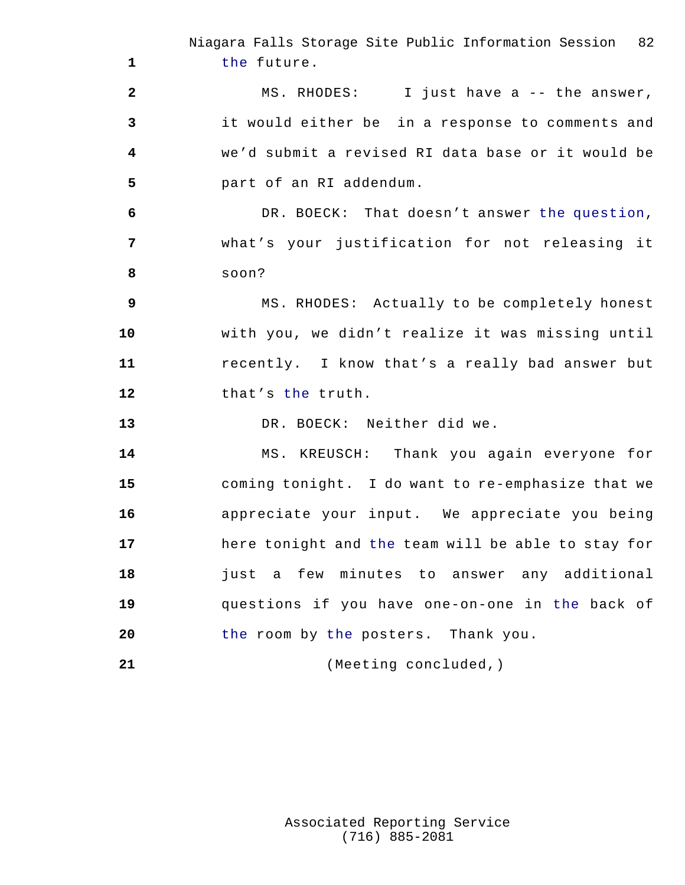Niagara Falls Storage Site Public Information Session 82 the future. MS. RHODES: I just have a -- the answer, it would either be in a response to comments and we'd submit a revised RI data base or it would be part of an RI addendum. DR. BOECK: That doesn't answer the question, what's your justification for not releasing it soon? MS. RHODES: Actually to be completely honest with you, we didn't realize it was missing until recently. I know that's a really bad answer but 12 that's the truth. DR. BOECK: Neither did we. MS. KREUSCH: Thank you again everyone for coming tonight. I do want to re-emphasize that we appreciate your input. We appreciate you being here tonight and the team will be able to stay for just a few minutes to answer any additional questions if you have one-on-one in the back of the room by the posters. Thank you. (Meeting concluded,)